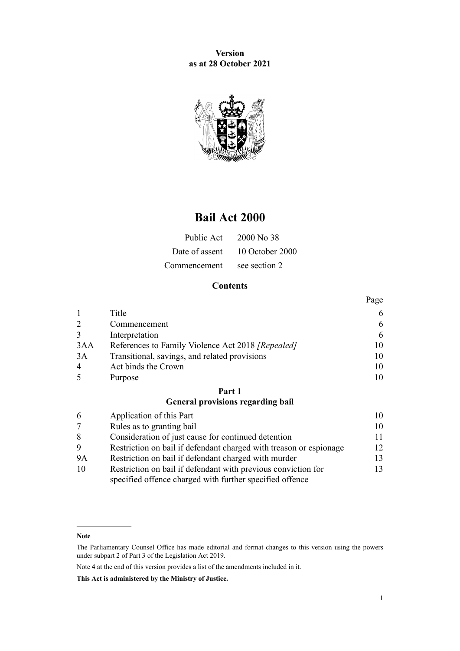**Version as at 28 October 2021**



# **Bail Act 2000**

|              | Public Act 2000 No 38          |  |
|--------------|--------------------------------|--|
|              | Date of assent 10 October 2000 |  |
| Commencement | see section 2                  |  |

# **Contents**

|                |                                                   | Page |
|----------------|---------------------------------------------------|------|
|                | Title                                             | 6    |
| 2              | Commencement                                      | 6    |
| 3              | Interpretation                                    | 6    |
| 3AA            | References to Family Violence Act 2018 [Repealed] | 10   |
| 3A             | Transitional, savings, and related provisions     | 10   |
| $\overline{4}$ | Act binds the Crown                               | 10   |
| $\overline{5}$ | Purpose                                           | 10   |

# **[Part 1](#page-9-0)**

# **[General provisions regarding bail](#page-9-0)**

| 6         | Application of this Part                                           |     |
|-----------|--------------------------------------------------------------------|-----|
| 7         | Rules as to granting bail                                          | 10  |
| 8         | Consideration of just cause for continued detention                | 11  |
| 9         | Restriction on bail if defendant charged with treason or espionage | 12  |
| <b>9A</b> | Restriction on bail if defendant charged with murder               | 13. |
| 10        | Restriction on bail if defendant with previous conviction for      | 13. |
|           | specified offence charged with further specified offence           |     |

Note 4 at the end of this version provides a list of the amendments included in it.

**Note**

The Parliamentary Counsel Office has made editorial and format changes to this version using the powers under [subpart 2](http://legislation.govt.nz/pdflink.aspx?id=DLM7298371) of Part 3 of the Legislation Act 2019.

**This Act is administered by the Ministry of Justice.**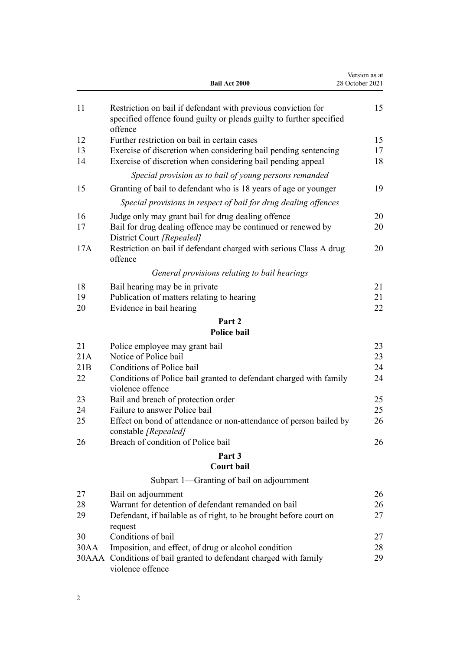|      | <b>Bail Act 2000</b>                                                                                                                             | Version as at<br>28 October 2021 |
|------|--------------------------------------------------------------------------------------------------------------------------------------------------|----------------------------------|
| 11   | Restriction on bail if defendant with previous conviction for<br>specified offence found guilty or pleads guilty to further specified<br>offence | 15                               |
| 12   | Further restriction on bail in certain cases                                                                                                     | 15                               |
| 13   | Exercise of discretion when considering bail pending sentencing                                                                                  | 17                               |
| 14   | Exercise of discretion when considering bail pending appeal                                                                                      | 18                               |
|      | Special provision as to bail of young persons remanded                                                                                           |                                  |
| 15   | Granting of bail to defendant who is 18 years of age or younger                                                                                  | 19                               |
|      | Special provisions in respect of bail for drug dealing offences                                                                                  |                                  |
| 16   | Judge only may grant bail for drug dealing offence                                                                                               | 20                               |
| 17   | Bail for drug dealing offence may be continued or renewed by<br>District Court [Repealed]                                                        | 20                               |
| 17A  | Restriction on bail if defendant charged with serious Class A drug<br>offence                                                                    | 20                               |
|      | General provisions relating to bail hearings                                                                                                     |                                  |
| 18   | Bail hearing may be in private                                                                                                                   | 21                               |
| 19   | Publication of matters relating to hearing                                                                                                       | 21                               |
| 20   | Evidence in bail hearing                                                                                                                         | 22                               |
|      | Part 2                                                                                                                                           |                                  |
|      | <b>Police bail</b>                                                                                                                               |                                  |
| 21   | Police employee may grant bail                                                                                                                   | 23                               |
| 21A  | Notice of Police bail                                                                                                                            | 23                               |
| 21B  | Conditions of Police bail                                                                                                                        | 24                               |
| 22   | Conditions of Police bail granted to defendant charged with family<br>violence offence                                                           | 24                               |
| 23   | Bail and breach of protection order                                                                                                              | 25                               |
| 24   | Failure to answer Police bail                                                                                                                    | 25                               |
| 25   | Effect on bond of attendance or non-attendance of person bailed by<br>constable [Repealed]                                                       | 26                               |
| 26   | Breach of condition of Police bail                                                                                                               | 26                               |
|      | Part 3<br><b>Court bail</b>                                                                                                                      |                                  |
|      |                                                                                                                                                  |                                  |
|      | Subpart 1-Granting of bail on adjournment                                                                                                        |                                  |
| 27   | Bail on adjournment                                                                                                                              | 26                               |
| 28   | Warrant for detention of defendant remanded on bail                                                                                              | 26                               |
| 29   | Defendant, if bailable as of right, to be brought before court on                                                                                | 27                               |
| 30   | request<br>Conditions of bail                                                                                                                    | 27                               |
| 30AA | Imposition, and effect, of drug or alcohol condition                                                                                             | 28                               |
|      | 30AAA Conditions of bail granted to defendant charged with family                                                                                | 29                               |
|      | violence offence                                                                                                                                 |                                  |
|      |                                                                                                                                                  |                                  |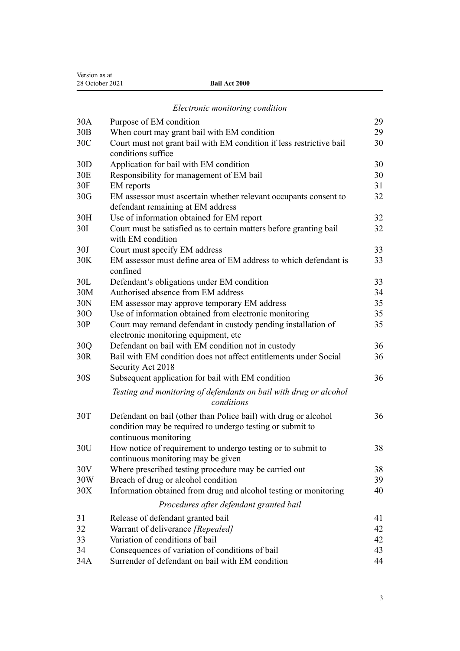|                 | Electronic monitoring condition                                                            |          |
|-----------------|--------------------------------------------------------------------------------------------|----------|
| 30A             | Purpose of EM condition                                                                    | 29       |
| 30B             | When court may grant bail with EM condition                                                | 29       |
| 30 <sup>C</sup> | Court must not grant bail with EM condition if less restrictive bail                       | 30       |
|                 | conditions suffice                                                                         |          |
| 30 <sub>D</sub> | Application for bail with EM condition                                                     | 30       |
| 30E             | Responsibility for management of EM bail                                                   | 30       |
| 30F             | EM reports                                                                                 | 31       |
| 30G             | EM assessor must ascertain whether relevant occupants consent to                           | 32       |
|                 | defendant remaining at EM address                                                          |          |
| 30H             | Use of information obtained for EM report                                                  | 32       |
| <b>30I</b>      | Court must be satisfied as to certain matters before granting bail                         | 32       |
|                 | with EM condition                                                                          |          |
| 30J             | Court must specify EM address                                                              | 33       |
| 30K             | EM assessor must define area of EM address to which defendant is                           | 33       |
|                 | confined                                                                                   |          |
| 30L             | Defendant's obligations under EM condition                                                 | 33       |
| 30M             | Authorised absence from EM address                                                         | 34       |
| 30N             | EM assessor may approve temporary EM address                                               | 35       |
| 30O             | Use of information obtained from electronic monitoring                                     | 35       |
| 30P             | Court may remand defendant in custody pending installation of                              | 35       |
| 30Q             | electronic monitoring equipment, etc<br>Defendant on bail with EM condition not in custody | 36       |
| 30R             | Bail with EM condition does not affect entitlements under Social                           | 36       |
|                 | Security Act 2018                                                                          |          |
| 30S             | Subsequent application for bail with EM condition                                          | 36       |
|                 |                                                                                            |          |
|                 | Testing and monitoring of defendants on bail with drug or alcohol<br>conditions            |          |
|                 |                                                                                            |          |
| 30T             | Defendant on bail (other than Police bail) with drug or alcohol                            | 36       |
|                 | condition may be required to undergo testing or submit to                                  |          |
|                 | continuous monitoring                                                                      |          |
| 30U             | How notice of requirement to undergo testing or to submit to                               | 38       |
|                 | continuous monitoring may be given                                                         |          |
| 30V             | Where prescribed testing procedure may be carried out                                      | 38       |
| 30W             | Breach of drug or alcohol condition                                                        | 39<br>40 |
| 30X             | Information obtained from drug and alcohol testing or monitoring                           |          |
|                 | Procedures after defendant granted bail                                                    |          |
| 31              | Release of defendant granted bail                                                          | 41       |
| 32              | Warrant of deliverance [Repealed]                                                          | 42       |
| 33              | Variation of conditions of bail                                                            | 42       |
| 34              | Consequences of variation of conditions of bail                                            | 43       |
| 34A             | Surrender of defendant on bail with EM condition                                           | 44       |

Version as at

28 October 2021 **Bail Act 2000**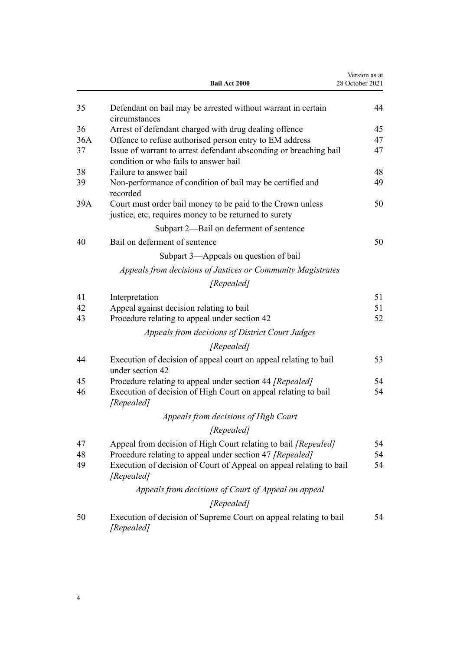|     | Bail Act 2000                                                                                                       | Version as at<br>28 October 2021 |
|-----|---------------------------------------------------------------------------------------------------------------------|----------------------------------|
| 35  | Defendant on bail may be arrested without warrant in certain<br>circumstances                                       | 44                               |
| 36  | Arrest of defendant charged with drug dealing offence                                                               | 45                               |
| 36A | Offence to refuse authorised person entry to EM address                                                             | 47                               |
| 37  | Issue of warrant to arrest defendant absconding or breaching bail<br>condition or who fails to answer bail          | 47                               |
| 38  | Failure to answer bail                                                                                              | 48                               |
| 39  | Non-performance of condition of bail may be certified and<br>recorded                                               | 49                               |
| 39A | Court must order bail money to be paid to the Crown unless<br>justice, etc, requires money to be returned to surety | 50                               |
|     | Subpart 2-Bail on deferment of sentence                                                                             |                                  |
| 40  | Bail on deferment of sentence                                                                                       | 50                               |
|     | Subpart 3—Appeals on question of bail                                                                               |                                  |
|     | Appeals from decisions of Justices or Community Magistrates                                                         |                                  |
|     | [Repealed]                                                                                                          |                                  |
| 41  | Interpretation                                                                                                      | 51                               |
| 42  | Appeal against decision relating to bail                                                                            | 51                               |
| 43  | Procedure relating to appeal under section 42                                                                       | 52                               |
|     | Appeals from decisions of District Court Judges                                                                     |                                  |
|     | [Repealed]                                                                                                          |                                  |
| 44  | Execution of decision of appeal court on appeal relating to bail<br>under section 42                                | 53                               |
| 45  | Procedure relating to appeal under section 44 [Repealed]                                                            | 54                               |
| 46  | Execution of decision of High Court on appeal relating to bail<br>[Repealed]                                        | 54                               |
|     | Appeals from decisions of High Court                                                                                |                                  |
|     | [Repealed]                                                                                                          |                                  |
| 47  | Appeal from decision of High Court relating to bail [Repealed]                                                      | 54                               |
| 48  | Procedure relating to appeal under section 47 [Repealed]                                                            | 54                               |
| 49  | Execution of decision of Court of Appeal on appeal relating to bail<br>[Repealed]                                   | 54                               |
|     | Appeals from decisions of Court of Appeal on appeal                                                                 |                                  |
|     | [Repealed]                                                                                                          |                                  |
| 50  | Execution of decision of Supreme Court on appeal relating to bail<br>[Repealed]                                     | 54                               |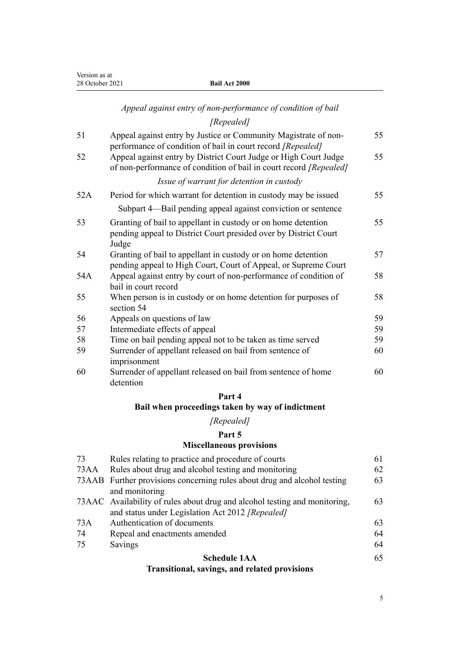# *[Appeal against entry of non-performance of condition of bail](#page-54-0)*

# *[Repealed]*

| 51  | Appeal against entry by Justice or Community Magistrate of non-                                                                                                                                       | 55 |
|-----|-------------------------------------------------------------------------------------------------------------------------------------------------------------------------------------------------------|----|
| 52  | performance of condition of bail in court record [Repealed]<br>Appeal against entry by District Court Judge or High Court Judge<br>of non-performance of condition of bail in court record [Repealed] | 55 |
|     | Issue of warrant for detention in custody                                                                                                                                                             |    |
| 52A | Period for which warrant for detention in custody may be issued                                                                                                                                       | 55 |
|     | Subpart 4—Bail pending appeal against conviction or sentence                                                                                                                                          |    |
| 53  | Granting of bail to appellant in custody or on home detention<br>pending appeal to District Court presided over by District Court<br>Judge                                                            | 55 |
| 54  | Granting of bail to appellant in custody or on home detention<br>pending appeal to High Court, Court of Appeal, or Supreme Court                                                                      | 57 |
| 54A | Appeal against entry by court of non-performance of condition of<br>bail in court record                                                                                                              | 58 |
| 55  | When person is in custody or on home detention for purposes of<br>section 54                                                                                                                          | 58 |
| 56  | Appeals on questions of law                                                                                                                                                                           | 59 |
| 57  | Intermediate effects of appeal                                                                                                                                                                        | 59 |
| 58  | Time on bail pending appeal not to be taken as time served                                                                                                                                            | 59 |
| 59  | Surrender of appellant released on bail from sentence of<br>imprisonment                                                                                                                              | 60 |
| 60  | Surrender of appellant released on bail from sentence of home<br>detention                                                                                                                            | 60 |

#### **[Part 4](#page-60-0)**

# **[Bail when proceedings taken by way of indictment](#page-60-0)**

# *[Repealed]*

# **[Part 5](#page-60-0)**

# **[Miscellaneous provisions](#page-60-0)**

| 73   | Rules relating to practice and procedure of courts                         | 61 |
|------|----------------------------------------------------------------------------|----|
| 73AA | Rules about drug and alcohol testing and monitoring                        | 62 |
|      | 73AAB Further provisions concerning rules about drug and alcohol testing   | 63 |
|      | and monitoring                                                             |    |
|      | 73AAC Availability of rules about drug and alcohol testing and monitoring, | 63 |
|      | and status under Legislation Act 2012 [Repealed]                           |    |
| 73A  | Authentication of documents                                                | 63 |
| 74   | Repeal and enactments amended                                              | 64 |
| 75   | Savings                                                                    | 64 |
|      | <b>Schedule 1AA</b>                                                        | 65 |
|      | Tuonaitianal, savings, and valated nuavisions                              |    |

# **[Transitional, savings, and related provisions](#page-64-0)**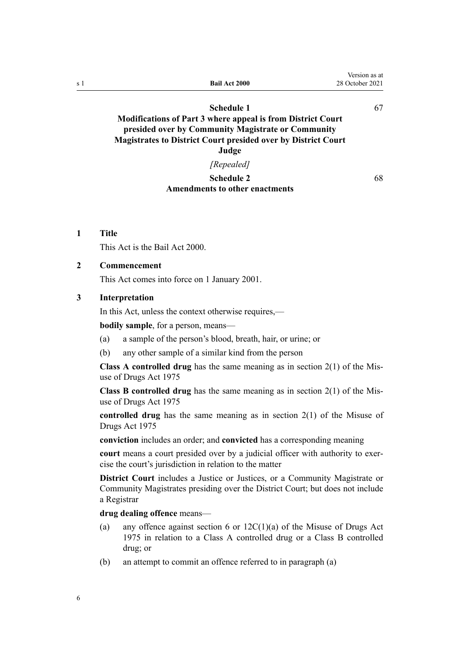<span id="page-5-0"></span>

| s 1 | <b>Bail Act 2000</b>                                                                                                     | version as at<br>28 October 2021 |
|-----|--------------------------------------------------------------------------------------------------------------------------|----------------------------------|
|     | Schedule 1                                                                                                               | 67                               |
|     | <b>Modifications of Part 3 where appeal is from District Court</b><br>presided over by Community Magistrate or Community |                                  |
|     | <b>Magistrates to District Court presided over by District Court</b>                                                     |                                  |
|     | Judge                                                                                                                    |                                  |

#### *[Repealed]*

#### **[Schedule 2](#page-67-0) [Amendments to other enactments](#page-67-0)**

[68](#page-67-0)

 $\mathbf{v}$  as a at a set  $\mathbf{v}$ 

## **1 Title**

This Act is the Bail Act 2000.

#### **2 Commencement**

This Act comes into force on 1 January 2001.

#### **3 Interpretation**

In this Act, unless the context otherwise requires,—

**bodily sample**, for a person, means—

- (a) a sample of the person's blood, breath, hair, or urine; or
- (b) any other sample of a similar kind from the person

**Class A controlled drug** has the same meaning as in [section 2\(1\)](http://legislation.govt.nz/pdflink.aspx?id=DLM436106) of the Mis‐ use of Drugs Act 1975

**Class B controlled drug** has the same meaning as in [section 2\(1\)](http://legislation.govt.nz/pdflink.aspx?id=DLM436106) of the Mis‐ use of Drugs Act 1975

**controlled drug** has the same meaning as in [section 2\(1\)](http://legislation.govt.nz/pdflink.aspx?id=DLM436106) of the Misuse of Drugs Act 1975

**conviction** includes an order; and **convicted** has a corresponding meaning

court means a court presided over by a judicial officer with authority to exercise the court's jurisdiction in relation to the matter

**District Court** includes a Justice or Justices, or a Community Magistrate or Community Magistrates presiding over the District Court; but does not include a Registrar

**drug dealing offence** means—

- (a) any offence against [section 6](http://legislation.govt.nz/pdflink.aspx?id=DLM436222) or  $12C(1)(a)$  of the Misuse of Drugs Act 1975 in relation to a Class A controlled drug or a Class B controlled drug; or
- (b) an attempt to commit an offence referred to in paragraph (a)

6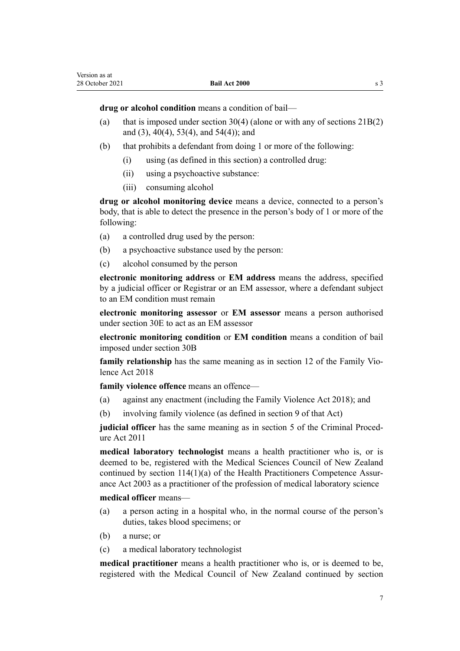**drug or alcohol condition** means a condition of bail—

- (a) that is imposed under [section 30\(4\)](#page-26-0) (alone or with any of sections  $21B(2)$ [and \(3\)](#page-23-0), [40\(4\),](#page-49-0) [53\(4\)](#page-54-0), and [54\(4\)\)](#page-56-0); and
- (b) that prohibits a defendant from doing 1 or more of the following:
	- (i) using (as defined in this section) a controlled drug:
	- (ii) using a psychoactive substance:
	- (iii) consuming alcohol

**drug or alcohol monitoring device** means a device, connected to a person's body, that is able to detect the presence in the person's body of 1 or more of the following:

- (a) a controlled drug used by the person:
- (b) a psychoactive substance used by the person:
- (c) alcohol consumed by the person

**electronic monitoring address** or **EM address** means the address, specified by a judicial officer or Registrar or an EM assessor, where a defendant subject to an EM condition must remain

**electronic monitoring assessor** or **EM assessor** means a person authorised under [section 30E](#page-29-0) to act as an EM assessor

**electronic monitoring condition** or **EM condition** means a condition of bail imposed under [section 30B](#page-28-0)

family relationship has the same meaning as in [section 12](http://legislation.govt.nz/pdflink.aspx?id=LMS112972) of the Family Violence Act 2018

**family violence offence** means an offence—

- (a) against any enactment (including the [Family Violence Act 2018\)](http://legislation.govt.nz/pdflink.aspx?id=DLM7159300); and
- (b) involving family violence (as defined in [section 9](http://legislation.govt.nz/pdflink.aspx?id=LMS112966) of that Act)

**judicial officer** has the same meaning as in [section 5](http://legislation.govt.nz/pdflink.aspx?id=DLM3359970) of the Criminal Procedure Act 2011

**medical laboratory technologist** means a health practitioner who is, or is deemed to be, registered with the Medical Sciences Council of New Zealand continued by section  $114(1)(a)$  of the Health Practitioners Competence Assurance Act 2003 as a practitioner of the profession of medical laboratory science

**medical officer** means—

- (a) a person acting in a hospital who, in the normal course of the person's duties, takes blood specimens; or
- (b) a nurse; or
- (c) a medical laboratory technologist

**medical practitioner** means a health practitioner who is, or is deemed to be, registered with the Medical Council of New Zealand continued by [section](http://legislation.govt.nz/pdflink.aspx?id=DLM204329)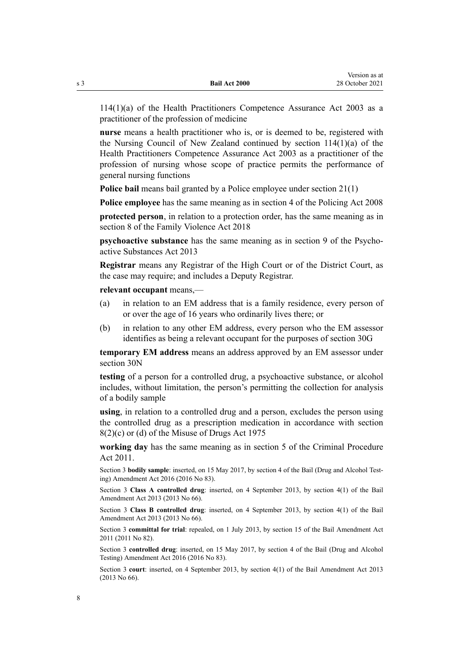[114\(1\)\(a\)](http://legislation.govt.nz/pdflink.aspx?id=DLM204329) of the Health Practitioners Competence Assurance Act 2003 as a practitioner of the profession of medicine

**nurse** means a health practitioner who is, or is deemed to be, registered with the Nursing Council of New Zealand continued by [section 114\(1\)\(a\)](http://legislation.govt.nz/pdflink.aspx?id=DLM204329) of the Health Practitioners Competence Assurance Act 2003 as a practitioner of the profession of nursing whose scope of practice permits the performance of general nursing functions

**Police bail** means bail granted by a Police employee under [section 21\(1\)](#page-22-0)

**Police employee** has the same meaning as in [section 4](http://legislation.govt.nz/pdflink.aspx?id=DLM1102132) of the Policing Act 2008

**protected person**, in relation to a protection order, has the same meaning as in [section 8](http://legislation.govt.nz/pdflink.aspx?id=LMS112963) of the Family Violence Act 2018

**psychoactive substance** has the same meaning as in [section 9](http://legislation.govt.nz/pdflink.aspx?id=DLM5278431) of the Psychoactive Substances Act 2013

**Registrar** means any Registrar of the High Court or of the District Court, as the case may require; and includes a Deputy Registrar.

**relevant occupant** means,—

- (a) in relation to an EM address that is a family residence, every person of or over the age of 16 years who ordinarily lives there; or
- (b) in relation to any other EM address, every person who the EM assessor identifies as being a relevant occupant for the purposes of [section 30G](#page-31-0)

**temporary EM address** means an address approved by an EM assessor under [section 30N](#page-34-0)

**testing** of a person for a controlled drug, a psychoactive substance, or alcohol includes, without limitation, the person's permitting the collection for analysis of a bodily sample

**using**, in relation to a controlled drug and a person, excludes the person using the controlled drug as a prescription medication in accordance with [section](http://legislation.govt.nz/pdflink.aspx?id=DLM436242) [8\(2\)\(c\) or \(d\)](http://legislation.govt.nz/pdflink.aspx?id=DLM436242) of the Misuse of Drugs Act 1975

**working day** has the same meaning as in [section 5](http://legislation.govt.nz/pdflink.aspx?id=DLM3359970) of the Criminal Procedure Act 2011.

Section 3 **bodily sample**: inserted, on 15 May 2017, by [section 4](http://legislation.govt.nz/pdflink.aspx?id=DLM7017004) of the Bail (Drug and Alcohol Testing) Amendment Act 2016 (2016 No 83).

Section 3 **Class A controlled drug**: inserted, on 4 September 2013, by [section 4\(1\)](http://legislation.govt.nz/pdflink.aspx?id=DLM4454113) of the Bail Amendment Act 2013 (2013 No 66).

Section 3 **Class B controlled drug**: inserted, on 4 September 2013, by [section 4\(1\)](http://legislation.govt.nz/pdflink.aspx?id=DLM4454113) of the Bail Amendment Act 2013 (2013 No 66).

Section 3 **committal for trial**: repealed, on 1 July 2013, by [section 15](http://legislation.govt.nz/pdflink.aspx?id=DLM4057416) of the Bail Amendment Act 2011 (2011 No 82).

Section 3 **controlled drug**: inserted, on 15 May 2017, by [section 4](http://legislation.govt.nz/pdflink.aspx?id=DLM7017004) of the Bail (Drug and Alcohol Testing) Amendment Act 2016 (2016 No 83).

Section 3 **court**: inserted, on 4 September 2013, by [section 4\(1\)](http://legislation.govt.nz/pdflink.aspx?id=DLM4454113) of the Bail Amendment Act 2013 (2013 No 66).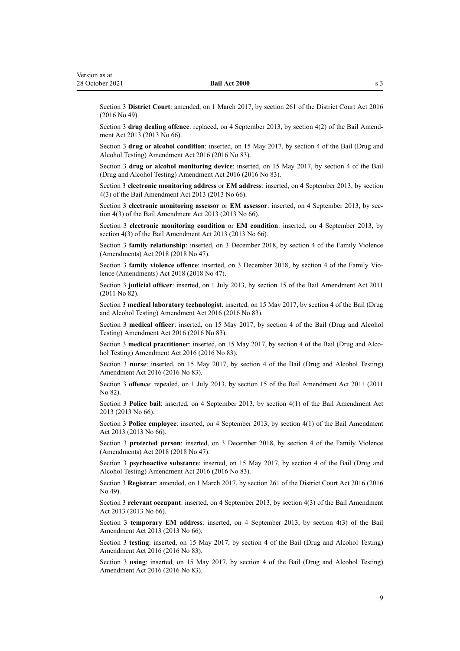Section 3 **District Court**: amended, on 1 March 2017, by [section 261](http://legislation.govt.nz/pdflink.aspx?id=DLM6942680) of the District Court Act 2016 (2016 No 49).

Section 3 drug dealing offence: replaced, on 4 September 2013, by [section 4\(2\)](http://legislation.govt.nz/pdflink.aspx?id=DLM4454113) of the Bail Amendment Act 2013 (2013 No 66).

Section 3 **drug or alcohol condition**: inserted, on 15 May 2017, by [section 4](http://legislation.govt.nz/pdflink.aspx?id=DLM7017004) of the Bail (Drug and Alcohol Testing) Amendment Act 2016 (2016 No 83).

Section 3 **drug or alcohol monitoring device**: inserted, on 15 May 2017, by [section 4](http://legislation.govt.nz/pdflink.aspx?id=DLM7017004) of the Bail (Drug and Alcohol Testing) Amendment Act 2016 (2016 No 83).

Section 3 **electronic monitoring address** or **EM address**: inserted, on 4 September 2013, by [section](http://legislation.govt.nz/pdflink.aspx?id=DLM4454113) [4\(3\)](http://legislation.govt.nz/pdflink.aspx?id=DLM4454113) of the Bail Amendment Act 2013 (2013 No 66).

Section 3 **electronic monitoring assessor** or **EM assessor**: inserted, on 4 September 2013, by [sec‐](http://legislation.govt.nz/pdflink.aspx?id=DLM4454113) [tion 4\(3\)](http://legislation.govt.nz/pdflink.aspx?id=DLM4454113) of the Bail Amendment Act 2013 (2013 No 66).

Section 3 **electronic monitoring condition** or **EM condition**: inserted, on 4 September 2013, by [section 4\(3\)](http://legislation.govt.nz/pdflink.aspx?id=DLM4454113) of the Bail Amendment Act 2013 (2013 No 66).

Section 3 **family relationship**: inserted, on 3 December 2018, by [section 4](http://legislation.govt.nz/pdflink.aspx?id=LMS113447) of the Family Violence (Amendments) Act 2018 (2018 No 47).

Section 3 **family violence offence**: inserted, on 3 December 2018, by [section 4](http://legislation.govt.nz/pdflink.aspx?id=LMS113447) of the Family Violence (Amendments) Act 2018 (2018 No 47).

Section 3 **judicial officer**: inserted, on 1 July 2013, by [section 15](http://legislation.govt.nz/pdflink.aspx?id=DLM4057416) of the Bail Amendment Act 2011 (2011 No 82).

Section 3 **medical laboratory technologist**: inserted, on 15 May 2017, by [section 4](http://legislation.govt.nz/pdflink.aspx?id=DLM7017004) of the Bail (Drug and Alcohol Testing) Amendment Act 2016 (2016 No 83).

Section 3 **medical officer**: inserted, on 15 May 2017, by [section 4](http://legislation.govt.nz/pdflink.aspx?id=DLM7017004) of the Bail (Drug and Alcohol Testing) Amendment Act 2016 (2016 No 83).

Section 3 **medical practitioner**: inserted, on 15 May 2017, by [section 4](http://legislation.govt.nz/pdflink.aspx?id=DLM7017004) of the Bail (Drug and Alcohol Testing) Amendment Act 2016 (2016 No 83).

Section 3 **nurse**: inserted, on 15 May 2017, by [section 4](http://legislation.govt.nz/pdflink.aspx?id=DLM7017004) of the Bail (Drug and Alcohol Testing) Amendment Act 2016 (2016 No 83).

Section 3 **offence**: repealed, on 1 July 2013, by [section 15](http://legislation.govt.nz/pdflink.aspx?id=DLM4057416) of the Bail Amendment Act 2011 (2011 No 82).

Section 3 **Police bail**: inserted, on 4 September 2013, by [section 4\(1\)](http://legislation.govt.nz/pdflink.aspx?id=DLM4454113) of the Bail Amendment Act 2013 (2013 No 66).

Section 3 **Police employee**: inserted, on 4 September 2013, by [section 4\(1\)](http://legislation.govt.nz/pdflink.aspx?id=DLM4454113) of the Bail Amendment Act 2013 (2013 No 66).

Section 3 **protected person**: inserted, on 3 December 2018, by [section 4](http://legislation.govt.nz/pdflink.aspx?id=LMS113447) of the Family Violence (Amendments) Act 2018 (2018 No 47).

Section 3 **psychoactive substance**: inserted, on 15 May 2017, by [section 4](http://legislation.govt.nz/pdflink.aspx?id=DLM7017004) of the Bail (Drug and Alcohol Testing) Amendment Act 2016 (2016 No 83).

Section 3 **Registrar**: amended, on 1 March 2017, by [section 261](http://legislation.govt.nz/pdflink.aspx?id=DLM6942680) of the District Court Act 2016 (2016 No 49).

Section 3 **relevant occupant**: inserted, on 4 September 2013, by [section 4\(3\)](http://legislation.govt.nz/pdflink.aspx?id=DLM4454113) of the Bail Amendment Act 2013 (2013 No 66).

Section 3 **temporary EM address**: inserted, on 4 September 2013, by [section 4\(3\)](http://legislation.govt.nz/pdflink.aspx?id=DLM4454113) of the Bail Amendment Act 2013 (2013 No 66).

Section 3 **testing**: inserted, on 15 May 2017, by [section 4](http://legislation.govt.nz/pdflink.aspx?id=DLM7017004) of the Bail (Drug and Alcohol Testing) Amendment Act 2016 (2016 No 83).

Section 3 **using**: inserted, on 15 May 2017, by [section 4](http://legislation.govt.nz/pdflink.aspx?id=DLM7017004) of the Bail (Drug and Alcohol Testing) Amendment Act 2016 (2016 No 83).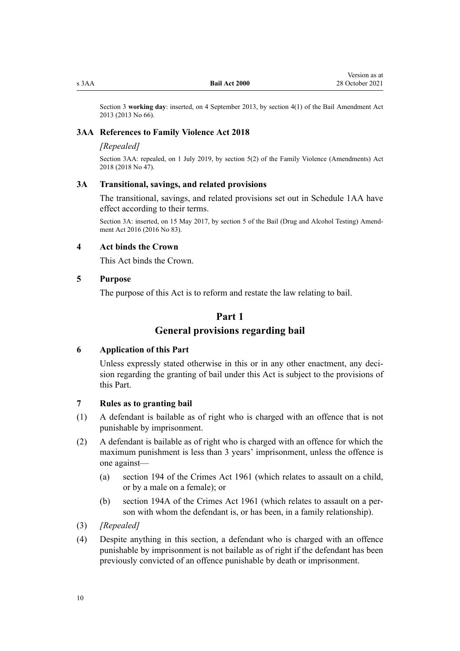<span id="page-9-0"></span>

Section 3 **working day**: inserted, on 4 September 2013, by [section 4\(1\)](http://legislation.govt.nz/pdflink.aspx?id=DLM4454113) of the Bail Amendment Act 2013 (2013 No 66).

#### **3AA References to Family Violence Act 2018**

#### *[Repealed]*

Section 3AA: repealed, on 1 July 2019, by [section 5\(2\)](http://legislation.govt.nz/pdflink.aspx?id=LMS113449) of the Family Violence (Amendments) Act 2018 (2018 No 47).

# **3A Transitional, savings, and related provisions**

The transitional, savings, and related provisions set out in [Schedule 1AA](#page-64-0) have effect according to their terms.

Section 3A: inserted, on 15 May 2017, by [section 5](http://legislation.govt.nz/pdflink.aspx?id=DLM7017027) of the Bail (Drug and Alcohol Testing) Amendment Act 2016 (2016 No 83).

#### **4 Act binds the Crown**

This Act binds the Crown.

#### **5 Purpose**

The purpose of this Act is to reform and restate the law relating to bail.

## **Part 1**

# **General provisions regarding bail**

## **6 Application of this Part**

Unless expressly stated otherwise in this or in any other enactment, any decision regarding the granting of bail under this Act is subject to the provisions of this Part.

#### **7 Rules as to granting bail**

- (1) A defendant is bailable as of right who is charged with an offence that is not punishable by imprisonment.
- (2) A defendant is bailable as of right who is charged with an offence for which the maximum punishment is less than 3 years' imprisonment, unless the offence is one against—
	- (a) [section 194](http://legislation.govt.nz/pdflink.aspx?id=DLM329383) of the Crimes Act 1961 (which relates to assault on a child, or by a male on a female); or
	- (b) [section 194A](http://legislation.govt.nz/pdflink.aspx?id=LMS139002) of the Crimes Act 1961 (which relates to assault on a per‐ son with whom the defendant is, or has been, in a family relationship).
- (3) *[Repealed]*
- (4) Despite anything in this section, a defendant who is charged with an offence punishable by imprisonment is not bailable as of right if the defendant has been previously convicted of an offence punishable by death or imprisonment.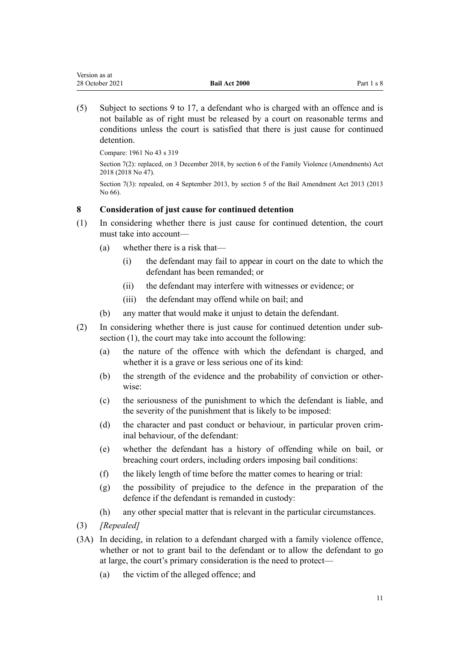<span id="page-10-0"></span>(5) Subject to [sections 9 to 17,](#page-11-0) a defendant who is charged with an offence and is not bailable as of right must be released by a court on reasonable terms and conditions unless the court is satisfied that there is just cause for continued detention.

Compare: 1961 No 43 [s 319](http://legislation.govt.nz/pdflink.aspx?id=DLM331258)

Section 7(2): replaced, on 3 December 2018, by [section 6](http://legislation.govt.nz/pdflink.aspx?id=LMS113450) of the Family Violence (Amendments) Act 2018 (2018 No 47).

Section 7(3): repealed, on 4 September 2013, by [section 5](http://legislation.govt.nz/pdflink.aspx?id=DLM4454138) of the Bail Amendment Act 2013 (2013) No 66).

# **8 Consideration of just cause for continued detention**

- (1) In considering whether there is just cause for continued detention, the court must take into account—
	- (a) whether there is a risk that—
		- (i) the defendant may fail to appear in court on the date to which the defendant has been remanded; or
		- (ii) the defendant may interfere with witnesses or evidence; or
		- (iii) the defendant may offend while on bail; and
	- (b) any matter that would make it unjust to detain the defendant.
- (2) In considering whether there is just cause for continued detention under sub‐ section (1), the court may take into account the following:
	- (a) the nature of the offence with which the defendant is charged, and whether it is a grave or less serious one of its kind:
	- (b) the strength of the evidence and the probability of conviction or otherwise:
	- (c) the seriousness of the punishment to which the defendant is liable, and the severity of the punishment that is likely to be imposed:
	- (d) the character and past conduct or behaviour, in particular proven crim‐ inal behaviour, of the defendant:
	- (e) whether the defendant has a history of offending while on bail, or breaching court orders, including orders imposing bail conditions:
	- (f) the likely length of time before the matter comes to hearing or trial:
	- (g) the possibility of prejudice to the defence in the preparation of the defence if the defendant is remanded in custody:
	- (h) any other special matter that is relevant in the particular circumstances.
- (3) *[Repealed]*
- (3A) In deciding, in relation to a defendant charged with a family violence offence, whether or not to grant bail to the defendant or to allow the defendant to go at large, the court's primary consideration is the need to protect—
	- (a) the victim of the alleged offence; and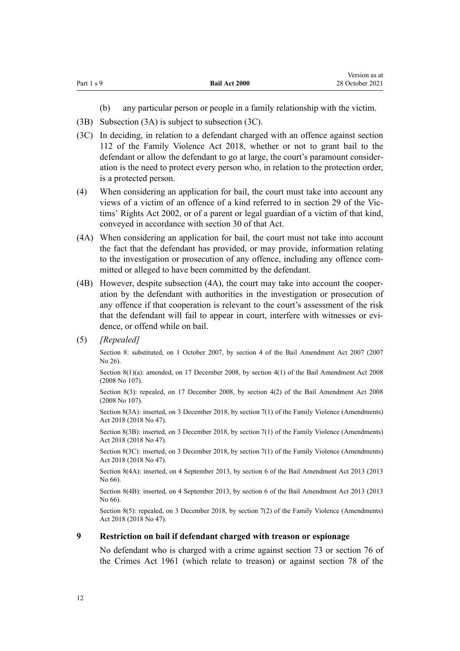<span id="page-11-0"></span>

|            |                      | Version as at   |
|------------|----------------------|-----------------|
| Part 1 s 9 | <b>Bail Act 2000</b> | 28 October 2021 |

- (b) any particular person or people in a family relationship with the victim.
- (3B) Subsection (3A) is subject to subsection (3C).
- (3C) In deciding, in relation to a defendant charged with an offence against [section](http://legislation.govt.nz/pdflink.aspx?id=LMS113176) [112](http://legislation.govt.nz/pdflink.aspx?id=LMS113176) of the Family Violence Act 2018, whether or not to grant bail to the defendant or allow the defendant to go at large, the court's paramount consider‐ ation is the need to protect every person who, in relation to the protection order, is a protected person.
- (4) When considering an application for bail, the court must take into account any views of a victim of an offence of a kind referred to in [section 29](http://legislation.govt.nz/pdflink.aspx?id=DLM157893) of the Vic‐ tims' Rights Act 2002, or of a parent or legal guardian of a victim of that kind, conveyed in accordance with [section 30](http://legislation.govt.nz/pdflink.aspx?id=DLM157895) of that Act.
- (4A) When considering an application for bail, the court must not take into account the fact that the defendant has provided, or may provide, information relating to the investigation or prosecution of any offence, including any offence committed or alleged to have been committed by the defendant.
- (4B) However, despite subsection (4A), the court may take into account the cooper‐ ation by the defendant with authorities in the investigation or prosecution of any offence if that cooperation is relevant to the court's assessment of the risk that the defendant will fail to appear in court, interfere with witnesses or evidence, or offend while on bail.
- (5) *[Repealed]*

Section 8: substituted, on 1 October 2007, by [section 4](http://legislation.govt.nz/pdflink.aspx?id=DLM410221) of the Bail Amendment Act 2007 (2007 No 26).

Section 8(1)(a): amended, on 17 December 2008, by [section 4\(1\)](http://legislation.govt.nz/pdflink.aspx?id=DLM1764008) of the Bail Amendment Act 2008 (2008 No 107).

Section 8(3): repealed, on 17 December 2008, by [section 4\(2\)](http://legislation.govt.nz/pdflink.aspx?id=DLM1764008) of the Bail Amendment Act 2008 (2008 No 107).

Section 8(3A): inserted, on 3 December 2018, by [section 7\(1\)](http://legislation.govt.nz/pdflink.aspx?id=LMS113451) of the Family Violence (Amendments) Act 2018 (2018 No 47).

Section 8(3B): inserted, on 3 December 2018, by [section 7\(1\)](http://legislation.govt.nz/pdflink.aspx?id=LMS113451) of the Family Violence (Amendments) Act 2018 (2018 No 47).

Section 8(3C): inserted, on 3 December 2018, by [section 7\(1\)](http://legislation.govt.nz/pdflink.aspx?id=LMS113451) of the Family Violence (Amendments) Act 2018 (2018 No 47).

Section 8(4A): inserted, on 4 September 2013, by [section 6](http://legislation.govt.nz/pdflink.aspx?id=DLM4454139) of the Bail Amendment Act 2013 (2013 No 66).

Section 8(4B): inserted, on 4 September 2013, by [section 6](http://legislation.govt.nz/pdflink.aspx?id=DLM4454139) of the Bail Amendment Act 2013 (2013 No 66).

Section 8(5): repealed, on 3 December 2018, by [section 7\(2\)](http://legislation.govt.nz/pdflink.aspx?id=LMS113451) of the Family Violence (Amendments) Act 2018 (2018 No 47).

### **9 Restriction on bail if defendant charged with treason or espionage**

No defendant who is charged with a crime against [section 73](http://legislation.govt.nz/pdflink.aspx?id=DLM328520) or [section 76](http://legislation.govt.nz/pdflink.aspx?id=DLM328524) of the Crimes Act 1961 (which relate to treason) or against [section 78](http://legislation.govt.nz/pdflink.aspx?id=DLM328526) of the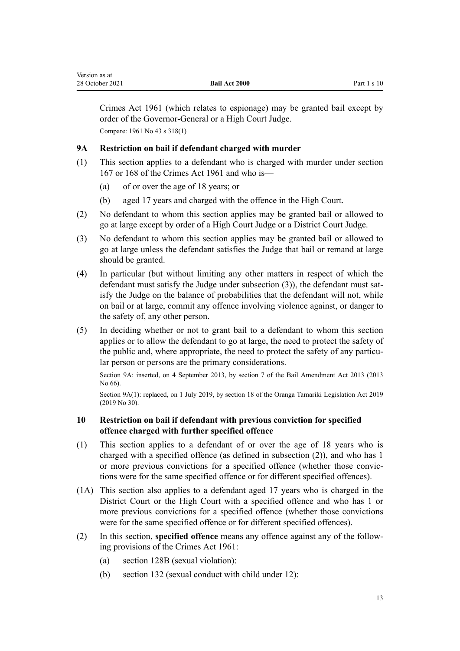Crimes Act 1961 (which relates to espionage) may be granted bail except by order of the Governor-General or a High Court Judge. Compare: 1961 No 43 [s 318\(1\)](http://legislation.govt.nz/pdflink.aspx?id=DLM331254)

# **9A Restriction on bail if defendant charged with murder**

- (1) This section applies to a defendant who is charged with murder under [section](http://legislation.govt.nz/pdflink.aspx?id=DLM329311) [167](http://legislation.govt.nz/pdflink.aspx?id=DLM329311) or [168](http://legislation.govt.nz/pdflink.aspx?id=DLM329312) of the Crimes Act 1961 and who is—
	- (a) of or over the age of 18 years; or

<span id="page-12-0"></span>Version as at

- (b) aged 17 years and charged with the offence in the High Court.
- (2) No defendant to whom this section applies may be granted bail or allowed to go at large except by order of a High Court Judge or a District Court Judge.
- (3) No defendant to whom this section applies may be granted bail or allowed to go at large unless the defendant satisfies the Judge that bail or remand at large should be granted.
- (4) In particular (but without limiting any other matters in respect of which the defendant must satisfy the Judge under subsection  $(3)$ ), the defendant must satisfy the Judge on the balance of probabilities that the defendant will not, while on bail or at large, commit any offence involving violence against, or danger to the safety of, any other person.
- (5) In deciding whether or not to grant bail to a defendant to whom this section applies or to allow the defendant to go at large, the need to protect the safety of the public and, where appropriate, the need to protect the safety of any particular person or persons are the primary considerations.

Section 9A: inserted, on 4 September 2013, by [section 7](http://legislation.govt.nz/pdflink.aspx?id=DLM4454140) of the Bail Amendment Act 2013 (2013 No 66).

Section 9A(1): replaced, on 1 July 2019, by [section 18](http://legislation.govt.nz/pdflink.aspx?id=LMS158686) of the Oranga Tamariki Legislation Act 2019 (2019 No 30).

# **10 Restriction on bail if defendant with previous conviction for specified offence charged with further specified offence**

- (1) This section applies to a defendant of or over the age of 18 years who is charged with a specified offence (as defined in subsection (2)), and who has 1 or more previous convictions for a specified offence (whether those convic‐ tions were for the same specified offence or for different specified offences).
- (1A) This section also applies to a defendant aged 17 years who is charged in the District Court or the High Court with a specified offence and who has 1 or more previous convictions for a specified offence (whether those convictions were for the same specified offence or for different specified offences).
- (2) In this section, **specified offence** means any offence against any of the follow‐ ing provisions of the Crimes Act 1961:
	- (a) [section 128B](http://legislation.govt.nz/pdflink.aspx?id=DLM329064) (sexual violation):
	- (b) [section 132](http://legislation.govt.nz/pdflink.aspx?id=DLM329203) (sexual conduct with child under 12):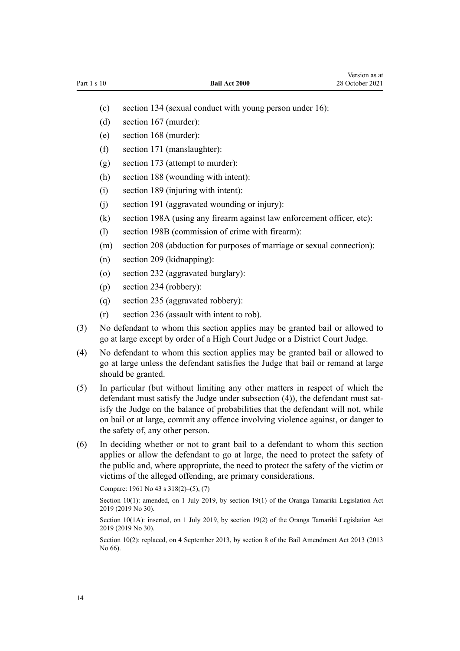- (c) [section 134](http://legislation.govt.nz/pdflink.aspx?id=DLM329212) (sexual conduct with young person under 16):
- (d) [section 167](http://legislation.govt.nz/pdflink.aspx?id=DLM329311) (murder):
- (e) [section 168](http://legislation.govt.nz/pdflink.aspx?id=DLM329312) (murder):
- (f) [section 171](http://legislation.govt.nz/pdflink.aspx?id=DLM329319) (manslaughter):
- (g) [section 173](http://legislation.govt.nz/pdflink.aspx?id=DLM329322) (attempt to murder):
- (h) [section 188](http://legislation.govt.nz/pdflink.aspx?id=DLM329371) (wounding with intent):
- (i) [section 189](http://legislation.govt.nz/pdflink.aspx?id=DLM329374) (injuring with intent):
- (j) [section 191](http://legislation.govt.nz/pdflink.aspx?id=DLM329378) (aggravated wounding or injury):
- (k) [section 198A](http://legislation.govt.nz/pdflink.aspx?id=DLM329392) (using any firearm against law enforcement officer, etc):
- (l) [section 198B](http://legislation.govt.nz/pdflink.aspx?id=DLM329394) (commission of crime with firearm):
- (m) [section 208](http://legislation.govt.nz/pdflink.aspx?id=DLM329771) (abduction for purposes of marriage or sexual connection):
- (n) [section 209](http://legislation.govt.nz/pdflink.aspx?id=DLM329775) (kidnapping):
- (o) [section 232](http://legislation.govt.nz/pdflink.aspx?id=DLM330245) (aggravated burglary):
- (p) [section 234](http://legislation.govt.nz/pdflink.aspx?id=DLM330250) (robbery):
- (q) [section 235](http://legislation.govt.nz/pdflink.aspx?id=DLM330254) (aggravated robbery):
- (r) [section 236](http://legislation.govt.nz/pdflink.aspx?id=DLM330259) (assault with intent to rob).
- (3) No defendant to whom this section applies may be granted bail or allowed to go at large except by order of a High Court Judge or a District Court Judge.
- (4) No defendant to whom this section applies may be granted bail or allowed to go at large unless the defendant satisfies the Judge that bail or remand at large should be granted.
- (5) In particular (but without limiting any other matters in respect of which the defendant must satisfy the Judge under subsection (4)), the defendant must satisfy the Judge on the balance of probabilities that the defendant will not, while on bail or at large, commit any offence involving violence against, or danger to the safety of, any other person.
- (6) In deciding whether or not to grant bail to a defendant to whom this section applies or allow the defendant to go at large, the need to protect the safety of the public and, where appropriate, the need to protect the safety of the victim or victims of the alleged offending, are primary considerations.

Compare: 1961 No 43 [s 318\(2\)–\(5\), \(7\)](http://legislation.govt.nz/pdflink.aspx?id=DLM331254)

Section 10(1): amended, on 1 July 2019, by [section 19\(1\)](http://legislation.govt.nz/pdflink.aspx?id=LMS158687) of the Oranga Tamariki Legislation Act 2019 (2019 No 30).

Section 10(1A): inserted, on 1 July 2019, by [section 19\(2\)](http://legislation.govt.nz/pdflink.aspx?id=LMS158687) of the Oranga Tamariki Legislation Act 2019 (2019 No 30).

Section 10(2): replaced, on 4 September 2013, by [section 8](http://legislation.govt.nz/pdflink.aspx?id=DLM4454142) of the Bail Amendment Act 2013 (2013 No 66).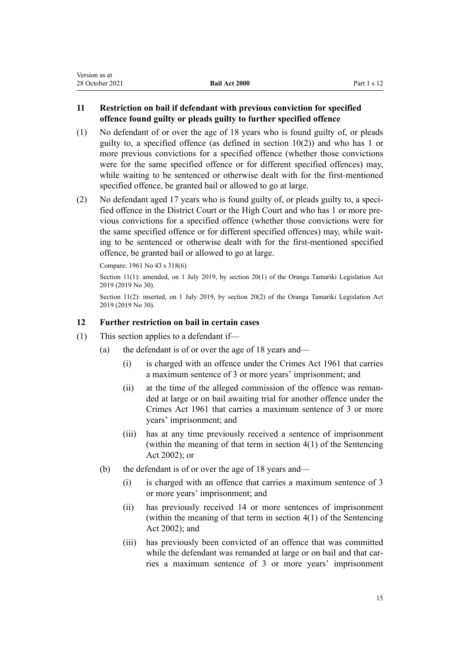<span id="page-14-0"></span>

| Version as at   |                      |             |
|-----------------|----------------------|-------------|
| 28 October 2021 | <b>Bail Act 2000</b> | Part 1 s 12 |

# **11 Restriction on bail if defendant with previous conviction for specified offence found guilty or pleads guilty to further specified offence**

- (1) No defendant of or over the age of 18 years who is found guilty of, or pleads guilty to, a specified offence (as defined in [section 10\(2\)](#page-12-0)) and who has 1 or more previous convictions for a specified offence (whether those convictions were for the same specified offence or for different specified offences) may, while waiting to be sentenced or otherwise dealt with for the first-mentioned specified offence, be granted bail or allowed to go at large.
- (2) No defendant aged 17 years who is found guilty of, or pleads guilty to, a specified offence in the District Court or the High Court and who has 1 or more pre‐ vious convictions for a specified offence (whether those convictions were for the same specified offence or for different specified offences) may, while waiting to be sentenced or otherwise dealt with for the first-mentioned specified offence, be granted bail or allowed to go at large.

Compare: 1961 No 43 [s 318\(6\)](http://legislation.govt.nz/pdflink.aspx?id=DLM331254)

Section 11(1): amended, on 1 July 2019, by [section 20\(1\)](http://legislation.govt.nz/pdflink.aspx?id=LMS158688) of the Oranga Tamariki Legislation Act 2019 (2019 No 30).

Section 11(2): inserted, on 1 July 2019, by [section 20\(2\)](http://legislation.govt.nz/pdflink.aspx?id=LMS158688) of the Oranga Tamariki Legislation Act 2019 (2019 No 30).

## **12 Further restriction on bail in certain cases**

- (1) This section applies to a defendant if—
	- (a) the defendant is of or over the age of 18 years and—
		- (i) is charged with an offence under the [Crimes Act 1961](http://legislation.govt.nz/pdflink.aspx?id=DLM327381) that carries a maximum sentence of 3 or more years' imprisonment; and
		- (ii) at the time of the alleged commission of the offence was reman‐ ded at large or on bail awaiting trial for another offence under the [Crimes Act 1961](http://legislation.govt.nz/pdflink.aspx?id=DLM327381) that carries a maximum sentence of 3 or more years' imprisonment; and
		- (iii) has at any time previously received a sentence of imprisonment (within the meaning of that term in [section 4\(1\)](http://legislation.govt.nz/pdflink.aspx?id=DLM135350) of the Sentencing Act 2002); or
	- (b) the defendant is of or over the age of 18 years and—
		- (i) is charged with an offence that carries a maximum sentence of 3 or more years' imprisonment; and
		- (ii) has previously received 14 or more sentences of imprisonment (within the meaning of that term in [section 4\(1\)](http://legislation.govt.nz/pdflink.aspx?id=DLM135350) of the Sentencing Act 2002); and
		- (iii) has previously been convicted of an offence that was committed while the defendant was remanded at large or on bail and that carries a maximum sentence of 3 or more years' imprisonment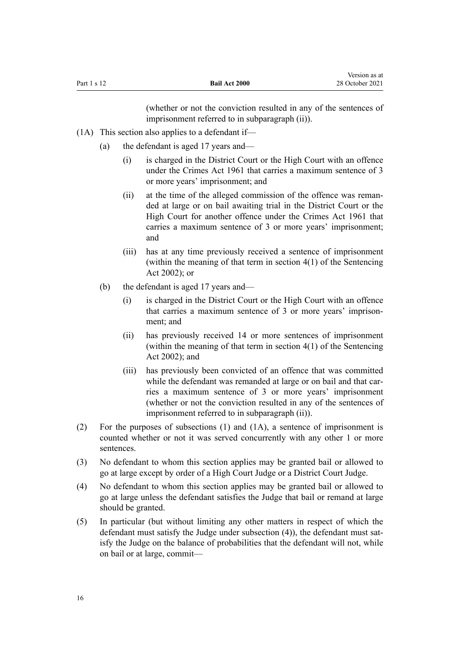(whether or not the conviction resulted in any of the sentences of imprisonment referred to in subparagraph (ii)).

- (1A) This section also applies to a defendant if—
	- (a) the defendant is aged 17 years and—
		- (i) is charged in the District Court or the High Court with an offence under the [Crimes Act 1961](http://legislation.govt.nz/pdflink.aspx?id=DLM327381) that carries a maximum sentence of 3 or more years' imprisonment; and
		- (ii) at the time of the alleged commission of the offence was remanded at large or on bail awaiting trial in the District Court or the High Court for another offence under the [Crimes Act 1961](http://legislation.govt.nz/pdflink.aspx?id=DLM327381) that carries a maximum sentence of 3 or more years' imprisonment; and
		- (iii) has at any time previously received a sentence of imprisonment (within the meaning of that term in [section 4\(1\)](http://legislation.govt.nz/pdflink.aspx?id=DLM135350) of the Sentencing Act 2002); or
	- (b) the defendant is aged 17 years and—
		- (i) is charged in the District Court or the High Court with an offence that carries a maximum sentence of 3 or more years' imprisonment; and
		- (ii) has previously received 14 or more sentences of imprisonment (within the meaning of that term in [section 4\(1\)](http://legislation.govt.nz/pdflink.aspx?id=DLM135350) of the Sentencing Act 2002); and
		- (iii) has previously been convicted of an offence that was committed while the defendant was remanded at large or on bail and that carries a maximum sentence of 3 or more years' imprisonment (whether or not the conviction resulted in any of the sentences of imprisonment referred to in subparagraph (ii)).
- (2) For the purposes of subsections (1) and (1A), a sentence of imprisonment is counted whether or not it was served concurrently with any other 1 or more sentences.
- (3) No defendant to whom this section applies may be granted bail or allowed to go at large except by order of a High Court Judge or a District Court Judge.
- (4) No defendant to whom this section applies may be granted bail or allowed to go at large unless the defendant satisfies the Judge that bail or remand at large should be granted.
- (5) In particular (but without limiting any other matters in respect of which the defendant must satisfy the Judge under subsection (4)), the defendant must satisfy the Judge on the balance of probabilities that the defendant will not, while on bail or at large, commit—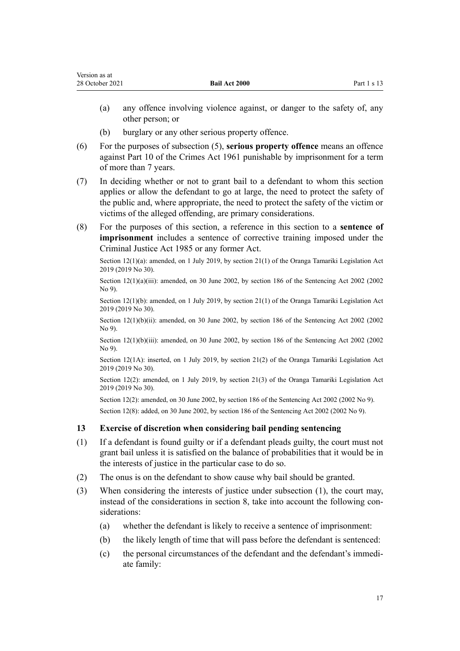<span id="page-16-0"></span>

| Version as at   |                      |               |
|-----------------|----------------------|---------------|
| 28 October 2021 | <b>Bail Act 2000</b> | Part $1 s 13$ |

- (a) any offence involving violence against, or danger to the safety of, any other person; or
- (b) burglary or any other serious property offence.
- (6) For the purposes of subsection (5), **serious property offence** means an offence against [Part 10](http://legislation.govt.nz/pdflink.aspx?id=DLM329883) of the Crimes Act 1961 punishable by imprisonment for a term of more than 7 years.
- (7) In deciding whether or not to grant bail to a defendant to whom this section applies or allow the defendant to go at large, the need to protect the safety of the public and, where appropriate, the need to protect the safety of the victim or victims of the alleged offending, are primary considerations.
- (8) For the purposes of this section, a reference in this section to a **sentence of imprisonment** includes a sentence of corrective training imposed under the [Criminal Justice Act 1985](http://legislation.govt.nz/pdflink.aspx?id=DLM76615) or any former Act.

Section 12(1)(a): amended, on 1 July 2019, by [section 21\(1\)](http://legislation.govt.nz/pdflink.aspx?id=LMS158689) of the Oranga Tamariki Legislation Act 2019 (2019 No 30).

Section  $12(1)(a)(iii)$ : amended, on 30 June 2002, by [section 186](http://legislation.govt.nz/pdflink.aspx?id=DLM137267) of the Sentencing Act 2002 (2002) No 9).

Section 12(1)(b): amended, on 1 July 2019, by [section 21\(1\)](http://legislation.govt.nz/pdflink.aspx?id=LMS158689) of the Oranga Tamariki Legislation Act 2019 (2019 No 30).

Section 12(1)(b)(ii): amended, on 30 June 2002, by [section 186](http://legislation.govt.nz/pdflink.aspx?id=DLM137267) of the Sentencing Act 2002 (2002) No 9).

Section 12(1)(b)(iii): amended, on 30 June 2002, by [section 186](http://legislation.govt.nz/pdflink.aspx?id=DLM137267) of the Sentencing Act 2002 (2002) No 9).

Section 12(1A): inserted, on 1 July 2019, by [section 21\(2\)](http://legislation.govt.nz/pdflink.aspx?id=LMS158689) of the Oranga Tamariki Legislation Act 2019 (2019 No 30).

Section 12(2): amended, on 1 July 2019, by [section 21\(3\)](http://legislation.govt.nz/pdflink.aspx?id=LMS158689) of the Oranga Tamariki Legislation Act 2019 (2019 No 30).

Section 12(2): amended, on 30 June 2002, by [section 186](http://legislation.govt.nz/pdflink.aspx?id=DLM137267) of the Sentencing Act 2002 (2002 No 9). Section 12(8): added, on 30 June 2002, by [section 186](http://legislation.govt.nz/pdflink.aspx?id=DLM137267) of the Sentencing Act 2002 (2002 No 9).

# **13 Exercise of discretion when considering bail pending sentencing**

- (1) If a defendant is found guilty or if a defendant pleads guilty, the court must not grant bail unless it is satisfied on the balance of probabilities that it would be in the interests of justice in the particular case to do so.
- (2) The onus is on the defendant to show cause why bail should be granted.
- (3) When considering the interests of justice under subsection (1), the court may, instead of the considerations in [section 8](#page-10-0), take into account the following considerations:
	- (a) whether the defendant is likely to receive a sentence of imprisonment:
	- (b) the likely length of time that will pass before the defendant is sentenced:
	- (c) the personal circumstances of the defendant and the defendant's immedi‐ ate family: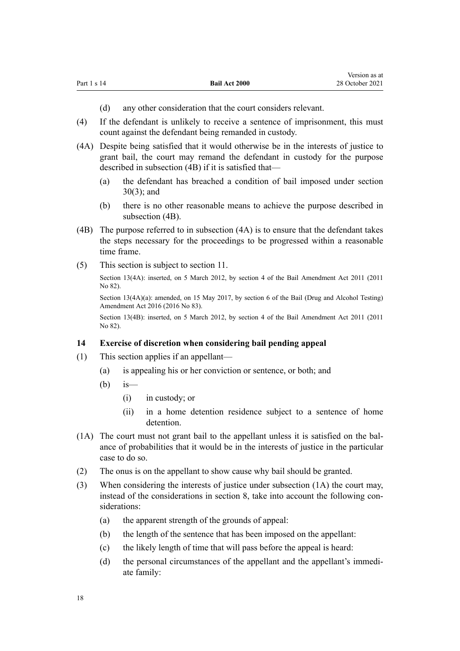<span id="page-17-0"></span>

| Part 1 s 14<br><b>Bail Act 2000</b> | 28 October 2021 |
|-------------------------------------|-----------------|
|-------------------------------------|-----------------|

Version as at

- (d) any other consideration that the court considers relevant.
- (4) If the defendant is unlikely to receive a sentence of imprisonment, this must count against the defendant being remanded in custody.
- (4A) Despite being satisfied that it would otherwise be in the interests of justice to grant bail, the court may remand the defendant in custody for the purpose described in subsection (4B) if it is satisfied that—
	- (a) the defendant has breached a condition of bail imposed under [section](#page-26-0) [30\(3\)](#page-26-0); and
	- (b) there is no other reasonable means to achieve the purpose described in subsection (4B).
- (4B) The purpose referred to in subsection (4A) is to ensure that the defendant takes the steps necessary for the proceedings to be progressed within a reasonable time frame.
- (5) This section is subject to [section 11](#page-14-0).

Section 13(4A): inserted, on 5 March 2012, by [section 4](http://legislation.govt.nz/pdflink.aspx?id=DLM4057406) of the Bail Amendment Act 2011 (2011 No 82).

Section 13(4A)(a): amended, on 15 May 2017, by [section 6](http://legislation.govt.nz/pdflink.aspx?id=DLM7017029) of the Bail (Drug and Alcohol Testing) Amendment Act 2016 (2016 No 83).

Section 13(4B): inserted, on 5 March 2012, by [section 4](http://legislation.govt.nz/pdflink.aspx?id=DLM4057406) of the Bail Amendment Act 2011 (2011 No 82).

#### **14 Exercise of discretion when considering bail pending appeal**

- (1) This section applies if an appellant—
	- (a) is appealing his or her conviction or sentence, or both; and
	- $(b)$  is
		- (i) in custody; or
		- (ii) in a home detention residence subject to a sentence of home detention.
- (1A) The court must not grant bail to the appellant unless it is satisfied on the bal‐ ance of probabilities that it would be in the interests of justice in the particular case to do so.
- (2) The onus is on the appellant to show cause why bail should be granted.
- (3) When considering the interests of justice under subsection (1A) the court may, instead of the considerations in [section 8](#page-10-0), take into account the following considerations:
	- (a) the apparent strength of the grounds of appeal:
	- (b) the length of the sentence that has been imposed on the appellant:
	- (c) the likely length of time that will pass before the appeal is heard:
	- (d) the personal circumstances of the appellant and the appellant's immediate family: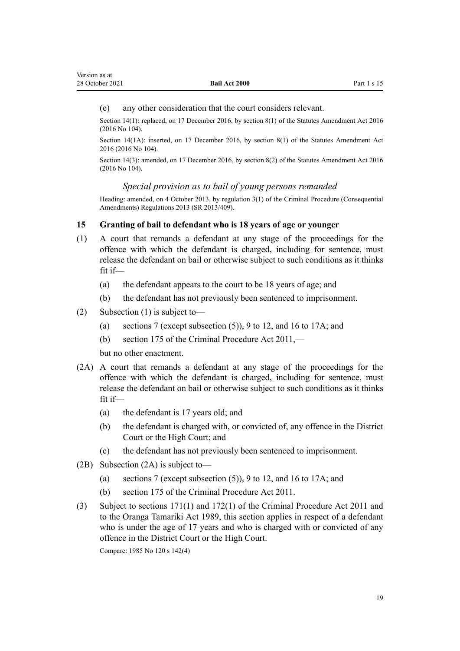#### <span id="page-18-0"></span>(e) any other consideration that the court considers relevant.

Section 14(1): replaced, on 17 December 2016, by [section 8\(1\)](http://legislation.govt.nz/pdflink.aspx?id=DLM6623743) of the Statutes Amendment Act 2016 (2016 No 104).

Section 14(1A): inserted, on 17 December 2016, by [section 8\(1\)](http://legislation.govt.nz/pdflink.aspx?id=DLM6623743) of the Statutes Amendment Act 2016 (2016 No 104).

Section 14(3): amended, on 17 December 2016, by [section 8\(2\)](http://legislation.govt.nz/pdflink.aspx?id=DLM6623743) of the Statutes Amendment Act 2016 (2016 No 104).

#### *Special provision as to bail of young persons remanded*

Heading: amended, on 4 October 2013, by [regulation 3\(1\)](http://legislation.govt.nz/pdflink.aspx?id=DLM5642106) of the Criminal Procedure (Consequential Amendments) Regulations 2013 (SR 2013/409).

#### **15 Granting of bail to defendant who is 18 years of age or younger**

- (1) A court that remands a defendant at any stage of the proceedings for the offence with which the defendant is charged, including for sentence, must release the defendant on bail or otherwise subject to such conditions as it thinks fit if—
	- (a) the defendant appears to the court to be 18 years of age; and
	- (b) the defendant has not previously been sentenced to imprisonment.
- (2) Subsection (1) is subject to—
	- (a) [sections 7](#page-9-0) (except subsection (5)), [9 to 12,](#page-11-0) and [16 to 17A](#page-19-0); and
	- (b) [section 175](http://legislation.govt.nz/pdflink.aspx?id=DLM3360304) of the Criminal Procedure Act 2011,—

but no other enactment.

- (2A) A court that remands a defendant at any stage of the proceedings for the offence with which the defendant is charged, including for sentence, must release the defendant on bail or otherwise subject to such conditions as it thinks fit if—
	- (a) the defendant is 17 years old; and
	- (b) the defendant is charged with, or convicted of, any offence in the District Court or the High Court; and
	- (c) the defendant has not previously been sentenced to imprisonment.
- (2B) Subsection (2A) is subject to—
	- (a) [sections 7](#page-9-0) (except subsection (5)), [9 to 12,](#page-11-0) and [16 to 17A](#page-19-0); and
	- (b) [section 175](http://legislation.govt.nz/pdflink.aspx?id=DLM3360304) of the Criminal Procedure Act 2011.
- (3) Subject to [sections 171\(1\)](http://legislation.govt.nz/pdflink.aspx?id=DLM3360298) and [172\(1\)](http://legislation.govt.nz/pdflink.aspx?id=DLM3360300) of the Criminal Procedure Act 2011 and to the [Oranga Tamariki Act 1989](http://legislation.govt.nz/pdflink.aspx?id=DLM147087), this section applies in respect of a defendant who is under the age of 17 years and who is charged with or convicted of any offence in the District Court or the High Court.

Compare: 1985 No 120 [s 142\(4\)](http://legislation.govt.nz/pdflink.aspx?id=DLM78874)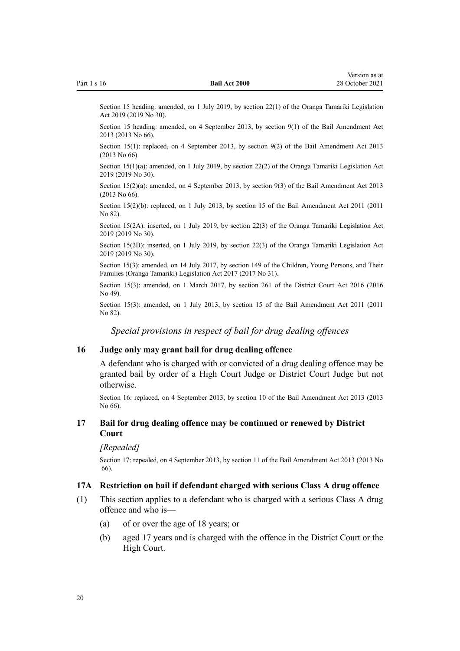<span id="page-19-0"></span>Section 15 heading: amended, on 1 July 2019, by [section 22\(1\)](http://legislation.govt.nz/pdflink.aspx?id=LMS158690) of the Oranga Tamariki Legislation Act 2019 (2019 No 30).

Section 15 heading: amended, on 4 September 2013, by [section 9\(1\)](http://legislation.govt.nz/pdflink.aspx?id=DLM4454144) of the Bail Amendment Act 2013 (2013 No 66).

Section 15(1): replaced, on 4 September 2013, by [section 9\(2\)](http://legislation.govt.nz/pdflink.aspx?id=DLM4454144) of the Bail Amendment Act 2013 (2013 No 66).

Section 15(1)(a): amended, on 1 July 2019, by [section 22\(2\)](http://legislation.govt.nz/pdflink.aspx?id=LMS158690) of the Oranga Tamariki Legislation Act 2019 (2019 No 30).

Section 15(2)(a): amended, on 4 September 2013, by [section 9\(3\)](http://legislation.govt.nz/pdflink.aspx?id=DLM4454144) of the Bail Amendment Act 2013 (2013 No 66).

Section 15(2)(b): replaced, on 1 July 2013, by [section 15](http://legislation.govt.nz/pdflink.aspx?id=DLM4057416) of the Bail Amendment Act 2011 (2011 No 82).

Section 15(2A): inserted, on 1 July 2019, by [section 22\(3\)](http://legislation.govt.nz/pdflink.aspx?id=LMS158690) of the Oranga Tamariki Legislation Act 2019 (2019 No 30).

Section 15(2B): inserted, on 1 July 2019, by [section 22\(3\)](http://legislation.govt.nz/pdflink.aspx?id=LMS158690) of the Oranga Tamariki Legislation Act 2019 (2019 No 30).

Section 15(3): amended, on 14 July 2017, by [section 149](http://legislation.govt.nz/pdflink.aspx?id=DLM7287401) of the Children, Young Persons, and Their Families (Oranga Tamariki) Legislation Act 2017 (2017 No 31).

Section 15(3): amended, on 1 March 2017, by [section 261](http://legislation.govt.nz/pdflink.aspx?id=DLM6942680) of the District Court Act 2016 (2016 No 49).

Section 15(3): amended, on 1 July 2013, by [section 15](http://legislation.govt.nz/pdflink.aspx?id=DLM4057416) of the Bail Amendment Act 2011 (2011 No 82).

*Special provisions in respect of bail for drug dealing offences*

#### **16 Judge only may grant bail for drug dealing offence**

A defendant who is charged with or convicted of a drug dealing offence may be granted bail by order of a High Court Judge or District Court Judge but not otherwise.

Section 16: replaced, on 4 September 2013, by [section 10](http://legislation.govt.nz/pdflink.aspx?id=DLM5565505) of the Bail Amendment Act 2013 (2013 No 66).

#### **17 Bail for drug dealing offence may be continued or renewed by District Court**

#### *[Repealed]*

Section 17: repealed, on 4 September 2013, by [section 11](http://legislation.govt.nz/pdflink.aspx?id=DLM5565509) of the Bail Amendment Act 2013 (2013 No 66).

#### **17A Restriction on bail if defendant charged with serious Class A drug offence**

- (1) This section applies to a defendant who is charged with a serious Class A drug offence and who is—
	- (a) of or over the age of 18 years; or
	- (b) aged 17 years and is charged with the offence in the District Court or the High Court.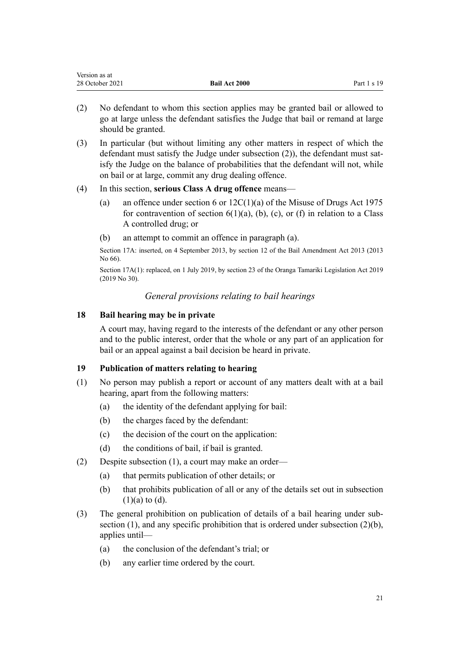| version as at   |                      |               |
|-----------------|----------------------|---------------|
| 28 October 2021 | <b>Bail Act 2000</b> | Part $1 s 19$ |

- (2) No defendant to whom this section applies may be granted bail or allowed to go at large unless the defendant satisfies the Judge that bail or remand at large should be granted.
- (3) In particular (but without limiting any other matters in respect of which the defendant must satisfy the Judge under subsection (2)), the defendant must satisfy the Judge on the balance of probabilities that the defendant will not, while on bail or at large, commit any drug dealing offence.

#### (4) In this section, **serious Class A drug offence** means—

- (a) an offence under [section 6](http://legislation.govt.nz/pdflink.aspx?id=DLM436222) or  $12C(1)(a)$  of the Misuse of Drugs Act 1975 for contravention of section  $6(1)(a)$ ,  $(b)$ ,  $(c)$ , or  $(f)$  in relation to a Class A controlled drug; or
- (b) an attempt to commit an offence in paragraph (a).

Section 17A: inserted, on 4 September 2013, by [section 12](http://legislation.govt.nz/pdflink.aspx?id=DLM4454148) of the Bail Amendment Act 2013 (2013 No 66).

Section 17A(1): replaced, on 1 July 2019, by [section 23](http://legislation.govt.nz/pdflink.aspx?id=LMS158691) of the Oranga Tamariki Legislation Act 2019 (2019 No 30).

#### *General provisions relating to bail hearings*

#### **18 Bail hearing may be in private**

<span id="page-20-0"></span> $\mathbf{v}$  as a at a set  $\mathbf{v}$ 

A court may, having regard to the interests of the defendant or any other person and to the public interest, order that the whole or any part of an application for bail or an appeal against a bail decision be heard in private.

#### **19 Publication of matters relating to hearing**

- (1) No person may publish a report or account of any matters dealt with at a bail hearing, apart from the following matters:
	- (a) the identity of the defendant applying for bail:
	- (b) the charges faced by the defendant:
	- (c) the decision of the court on the application:
	- (d) the conditions of bail, if bail is granted.
- (2) Despite subsection (1), a court may make an order—
	- (a) that permits publication of other details; or
	- (b) that prohibits publication of all or any of the details set out in subsection  $(1)(a)$  to  $(d)$ .
- (3) The general prohibition on publication of details of a bail hearing under sub‐ section (1), and any specific prohibition that is ordered under subsection (2)(b), applies until—
	- (a) the conclusion of the defendant's trial; or
	- (b) any earlier time ordered by the court.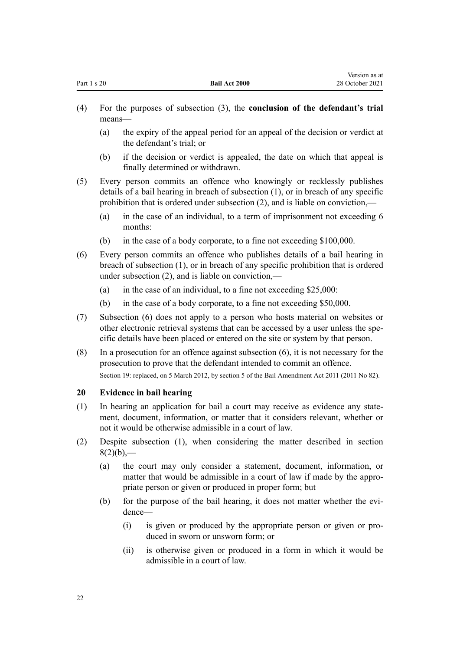- <span id="page-21-0"></span>(a) the expiry of the appeal period for an appeal of the decision or verdict at the defendant's trial; or
- (b) if the decision or verdict is appealed, the date on which that appeal is finally determined or withdrawn.
- (5) Every person commits an offence who knowingly or recklessly publishes details of a bail hearing in breach of subsection (1), or in breach of any specific prohibition that is ordered under subsection (2), and is liable on conviction,—
	- (a) in the case of an individual, to a term of imprisonment not exceeding 6 months:
	- (b) in the case of a body corporate, to a fine not exceeding \$100,000.
- (6) Every person commits an offence who publishes details of a bail hearing in breach of subsection (1), or in breach of any specific prohibition that is ordered under subsection (2), and is liable on conviction,—
	- (a) in the case of an individual, to a fine not exceeding  $$25,000$ :
	- (b) in the case of a body corporate, to a fine not exceeding \$50,000.
- (7) Subsection (6) does not apply to a person who hosts material on websites or other electronic retrieval systems that can be accessed by a user unless the spe‐ cific details have been placed or entered on the site or system by that person.
- (8) In a prosecution for an offence against subsection (6), it is not necessary for the prosecution to prove that the defendant intended to commit an offence. Section 19: replaced, on 5 March 2012, by [section 5](http://legislation.govt.nz/pdflink.aspx?id=DLM4057407) of the Bail Amendment Act 2011 (2011 No 82).

# **20 Evidence in bail hearing**

- (1) In hearing an application for bail a court may receive as evidence any state‐ ment, document, information, or matter that it considers relevant, whether or not it would be otherwise admissible in a court of law.
- (2) Despite subsection (1), when considering the matter described in [section](#page-10-0)  $8(2)(b)$ ,—
	- (a) the court may only consider a statement, document, information, or matter that would be admissible in a court of law if made by the appro‐ priate person or given or produced in proper form; but
	- (b) for the purpose of the bail hearing, it does not matter whether the evidence—
		- (i) is given or produced by the appropriate person or given or pro‐ duced in sworn or unsworn form; or
		- (ii) is otherwise given or produced in a form in which it would be admissible in a court of law.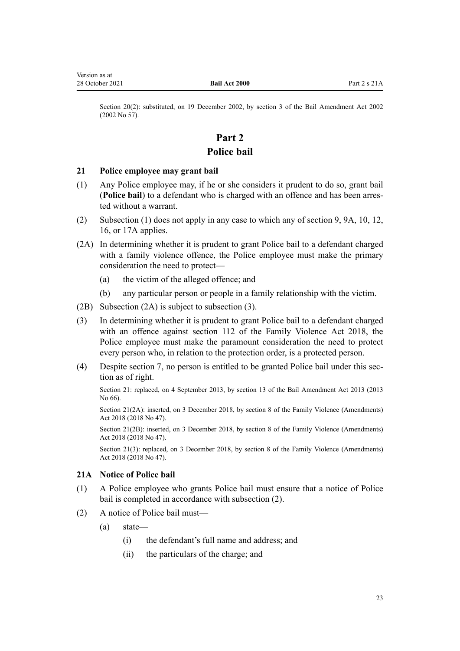<span id="page-22-0"></span>Section 20(2): substituted, on 19 December 2002, by [section 3](http://legislation.govt.nz/pdflink.aspx?id=DLM167837) of the Bail Amendment Act 2002 (2002 No 57).

# **Part 2 Police bail**

#### **21 Police employee may grant bail**

- (1) Any Police employee may, if he or she considers it prudent to do so, grant bail (**Police bail**) to a defendant who is charged with an offence and has been arres‐ ted without a warrant.
- (2) Subsection (1) does not apply in any case to which any of [section 9,](#page-11-0) [9A, 10,](#page-12-0) [12](#page-14-0), [16,](#page-19-0) or [17A](#page-19-0) applies.
- (2A) In determining whether it is prudent to grant Police bail to a defendant charged with a family violence offence, the Police employee must make the primary consideration the need to protect—
	- (a) the victim of the alleged offence; and
	- (b) any particular person or people in a family relationship with the victim.
- (2B) Subsection (2A) is subject to subsection (3).
- (3) In determining whether it is prudent to grant Police bail to a defendant charged with an offence against [section 112](http://legislation.govt.nz/pdflink.aspx?id=LMS113176) of the Family Violence Act 2018, the Police employee must make the paramount consideration the need to protect every person who, in relation to the protection order, is a protected person.
- (4) Despite [section 7](#page-9-0), no person is entitled to be granted Police bail under this sec‐ tion as of right.

Section 21: replaced, on 4 September 2013, by [section 13](http://legislation.govt.nz/pdflink.aspx?id=DLM4454151) of the Bail Amendment Act 2013 (2013 No 66).

Section 21(2A): inserted, on 3 December 2018, by [section 8](http://legislation.govt.nz/pdflink.aspx?id=LMS113452) of the Family Violence (Amendments) Act 2018 (2018 No 47).

Section 21(2B): inserted, on 3 December 2018, by [section 8](http://legislation.govt.nz/pdflink.aspx?id=LMS113452) of the Family Violence (Amendments) Act 2018 (2018 No 47).

Section 21(3): replaced, on 3 December 2018, by [section 8](http://legislation.govt.nz/pdflink.aspx?id=LMS113452) of the Family Violence (Amendments) Act 2018 (2018 No 47).

#### **21A Notice of Police bail**

- (1) A Police employee who grants Police bail must ensure that a notice of Police bail is completed in accordance with subsection (2).
- (2) A notice of Police bail must—
	- (a) state—
		- (i) the defendant's full name and address; and
		- (ii) the particulars of the charge; and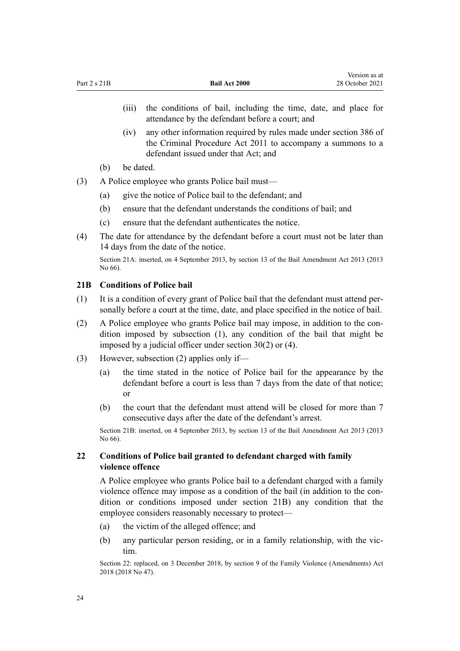<span id="page-23-0"></span>(iii) the conditions of bail, including the time, date, and place for attendance by the defendant before a court; and

Version as at

- (iv) any other information required by rules made under [section 386](http://legislation.govt.nz/pdflink.aspx?id=DLM3360605) of the Criminal Procedure Act 2011 to accompany a summons to a defendant issued under that Act; and
- (b) be dated.
- (3) A Police employee who grants Police bail must—
	- (a) give the notice of Police bail to the defendant; and
	- (b) ensure that the defendant understands the conditions of bail; and
	- (c) ensure that the defendant authenticates the notice.
- (4) The date for attendance by the defendant before a court must not be later than 14 days from the date of the notice.

Section 21A: inserted, on 4 September 2013, by [section 13](http://legislation.govt.nz/pdflink.aspx?id=DLM4454151) of the Bail Amendment Act 2013 (2013 No 66).

### **21B Conditions of Police bail**

- $(1)$  It is a condition of every grant of Police bail that the defendant must attend personally before a court at the time, date, and place specified in the notice of bail.
- (2) A Police employee who grants Police bail may impose, in addition to the condition imposed by subsection (1), any condition of the bail that might be imposed by a judicial officer under [section 30\(2\) or \(4\)](#page-26-0).
- (3) However, subsection (2) applies only if—
	- (a) the time stated in the notice of Police bail for the appearance by the defendant before a court is less than 7 days from the date of that notice; or
	- (b) the court that the defendant must attend will be closed for more than 7 consecutive days after the date of the defendant's arrest.

Section 21B: inserted, on 4 September 2013, by [section 13](http://legislation.govt.nz/pdflink.aspx?id=DLM4454151) of the Bail Amendment Act 2013 (2013 No 66).

#### **22 Conditions of Police bail granted to defendant charged with family violence offence**

A Police employee who grants Police bail to a defendant charged with a family violence offence may impose as a condition of the bail (in addition to the condition or conditions imposed under section 21B) any condition that the employee considers reasonably necessary to protect—

- (a) the victim of the alleged offence; and
- (b) any particular person residing, or in a family relationship, with the vic‐ tim.

Section 22: replaced, on 3 December 2018, by [section 9](http://legislation.govt.nz/pdflink.aspx?id=LMS113454) of the Family Violence (Amendments) Act 2018 (2018 No 47).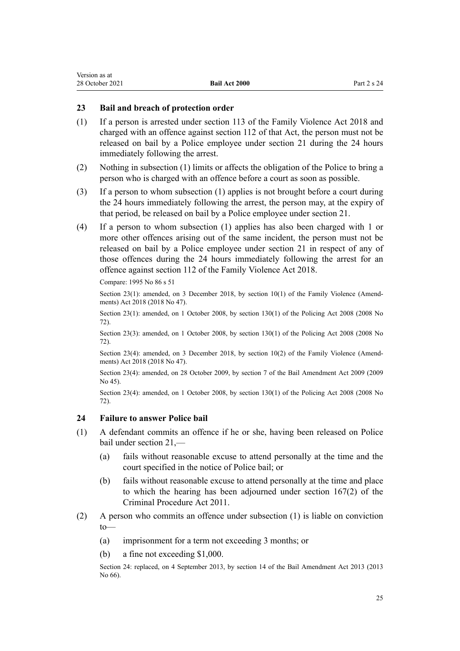#### <span id="page-24-0"></span>**23 Bail and breach of protection order**

- (1) If a person is arrested under [section 113](http://legislation.govt.nz/pdflink.aspx?id=LMS113177) of the Family Violence Act 2018 and charged with an offence against [section 112](http://legislation.govt.nz/pdflink.aspx?id=LMS113176) of that Act, the person must not be released on bail by a Police employee under [section 21](#page-22-0) during the 24 hours immediately following the arrest.
- (2) Nothing in subsection (1) limits or affects the obligation of the Police to bring a person who is charged with an offence before a court as soon as possible.
- (3) If a person to whom subsection (1) applies is not brought before a court during the 24 hours immediately following the arrest, the person may, at the expiry of that period, be released on bail by a Police employee under [section 21.](#page-22-0)
- (4) If a person to whom subsection (1) applies has also been charged with 1 or more other offences arising out of the same incident, the person must not be released on bail by a Police employee under [section 21](#page-22-0) in respect of any of those offences during the 24 hours immediately following the arrest for an offence against [section 112](http://legislation.govt.nz/pdflink.aspx?id=LMS113176) of the Family Violence Act 2018.

Compare: 1995 No 86 [s 51](http://legislation.govt.nz/pdflink.aspx?id=DLM372400)

Section 23(1): amended, on 3 December 2018, by [section 10\(1\)](http://legislation.govt.nz/pdflink.aspx?id=LMS113455) of the Family Violence (Amendments) Act 2018 (2018 No 47).

Section 23(1): amended, on 1 October 2008, by [section 130\(1\)](http://legislation.govt.nz/pdflink.aspx?id=DLM1102383) of the Policing Act 2008 (2008 No 72).

Section 23(3): amended, on 1 October 2008, by [section 130\(1\)](http://legislation.govt.nz/pdflink.aspx?id=DLM1102383) of the Policing Act 2008 (2008 No 72).

Section 23(4): amended, on 3 December 2018, by [section 10\(2\)](http://legislation.govt.nz/pdflink.aspx?id=LMS113455) of the Family Violence (Amendments) Act 2018 (2018 No 47).

Section 23(4): amended, on 28 October 2009, by [section 7](http://legislation.govt.nz/pdflink.aspx?id=DLM2473216) of the Bail Amendment Act 2009 (2009 No 45).

Section 23(4): amended, on 1 October 2008, by [section 130\(1\)](http://legislation.govt.nz/pdflink.aspx?id=DLM1102383) of the Policing Act 2008 (2008 No 72).

#### **24 Failure to answer Police bail**

- (1) A defendant commits an offence if he or she, having been released on Police bail under [section 21](#page-22-0),—
	- (a) fails without reasonable excuse to attend personally at the time and the court specified in the notice of Police bail; or
	- (b) fails without reasonable excuse to attend personally at the time and place to which the hearing has been adjourned under [section 167\(2\)](http://legislation.govt.nz/pdflink.aspx?id=DLM3360287) of the Criminal Procedure Act 2011.
- (2) A person who commits an offence under subsection (1) is liable on conviction to—
	- (a) imprisonment for a term not exceeding 3 months; or
	- (b) a fine not exceeding \$1,000.

Section 24: replaced, on 4 September 2013, by [section 14](http://legislation.govt.nz/pdflink.aspx?id=DLM4454162) of the Bail Amendment Act 2013 (2013 No 66).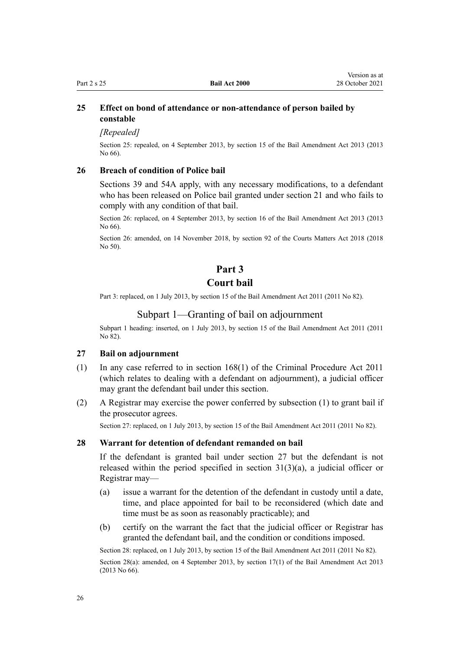#### <span id="page-25-0"></span>**25 Effect on bond of attendance or non-attendance of person bailed by constable**

*[Repealed]*

Section 25: repealed, on 4 September 2013, by [section 15](http://legislation.govt.nz/pdflink.aspx?id=DLM4454164) of the Bail Amendment Act 2013 (2013 No 66).

#### **26 Breach of condition of Police bail**

[Sections 39](#page-48-0) and [54A](#page-57-0) apply, with any necessary modifications, to a defendant who has been released on Police bail granted under [section 21](#page-22-0) and who fails to comply with any condition of that bail.

Section 26: replaced, on 4 September 2013, by [section 16](http://legislation.govt.nz/pdflink.aspx?id=DLM5565506) of the Bail Amendment Act 2013 (2013 No 66).

Section 26: amended, on 14 November 2018, by [section 92](http://legislation.govt.nz/pdflink.aspx?id=LMS45962) of the Courts Matters Act 2018 (2018 No 50).

# **Part 3**

# **Court bail**

Part 3: replaced, on 1 July 2013, by [section 15](http://legislation.govt.nz/pdflink.aspx?id=DLM4057416) of the Bail Amendment Act 2011 (2011 No 82).

#### Subpart 1—Granting of bail on adjournment

Subpart 1 heading: inserted, on 1 July 2013, by [section 15](http://legislation.govt.nz/pdflink.aspx?id=DLM4057416) of the Bail Amendment Act 2011 (2011 No 82).

#### **27 Bail on adjournment**

- (1) In any case referred to in [section 168\(1\)](http://legislation.govt.nz/pdflink.aspx?id=DLM3360288) of the Criminal Procedure Act 2011 (which relates to dealing with a defendant on adjournment), a judicial officer may grant the defendant bail under this section.
- (2) A Registrar may exercise the power conferred by subsection (1) to grant bail if the prosecutor agrees.

Section 27: replaced, on 1 July 2013, by [section 15](http://legislation.govt.nz/pdflink.aspx?id=DLM4057416) of the Bail Amendment Act 2011 (2011 No 82).

#### **28 Warrant for detention of defendant remanded on bail**

If the defendant is granted bail under section 27 but the defendant is not released within the period specified in section  $31(3)(a)$ , a judicial officer or Registrar may—

- (a) issue a warrant for the detention of the defendant in custody until a date, time, and place appointed for bail to be reconsidered (which date and time must be as soon as reasonably practicable); and
- (b) certify on the warrant the fact that the judicial officer or Registrar has granted the defendant bail, and the condition or conditions imposed.

Section 28: replaced, on 1 July 2013, by [section 15](http://legislation.govt.nz/pdflink.aspx?id=DLM4057416) of the Bail Amendment Act 2011 (2011 No 82). Section 28(a): amended, on 4 September 2013, by [section 17\(1\)](http://legislation.govt.nz/pdflink.aspx?id=DLM4869203) of the Bail Amendment Act 2013 (2013 No 66).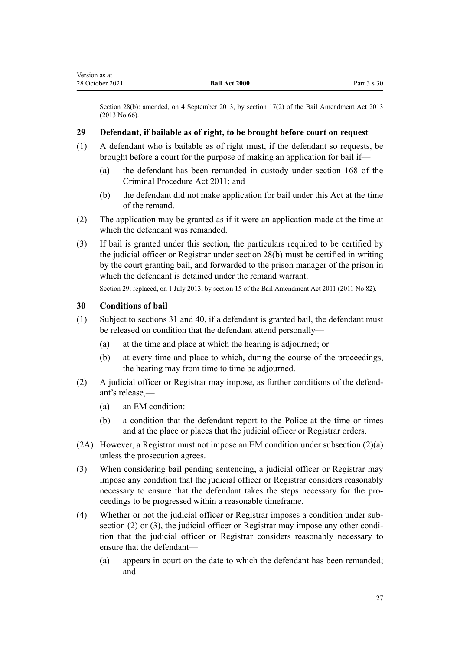<span id="page-26-0"></span>Section 28(b): amended, on 4 September 2013, by [section 17\(2\)](http://legislation.govt.nz/pdflink.aspx?id=DLM4869203) of the Bail Amendment Act 2013 (2013 No 66).

## **29 Defendant, if bailable as of right, to be brought before court on request**

- (1) A defendant who is bailable as of right must, if the defendant so requests, be brought before a court for the purpose of making an application for bail if—
	- (a) the defendant has been remanded in custody under [section 168](http://legislation.govt.nz/pdflink.aspx?id=DLM3360288) of the Criminal Procedure Act 2011; and
	- (b) the defendant did not make application for bail under this Act at the time of the remand.
- (2) The application may be granted as if it were an application made at the time at which the defendant was remanded.
- (3) If bail is granted under this section, the particulars required to be certified by the judicial officer or Registrar under [section 28\(b\)](#page-25-0) must be certified in writing by the court granting bail, and forwarded to the prison manager of the prison in which the defendant is detained under the remand warrant.

Section 29: replaced, on 1 July 2013, by [section 15](http://legislation.govt.nz/pdflink.aspx?id=DLM4057416) of the Bail Amendment Act 2011 (2011 No 82).

#### **30 Conditions of bail**

- (1) Subject to [sections 31](#page-40-0) and [40](#page-49-0), if a defendant is granted bail, the defendant must be released on condition that the defendant attend personally—
	- (a) at the time and place at which the hearing is adjourned; or
	- (b) at every time and place to which, during the course of the proceedings, the hearing may from time to time be adjourned.
- (2) A judicial officer or Registrar may impose, as further conditions of the defend‐ ant's release,—
	- (a) an EM condition:
	- (b) a condition that the defendant report to the Police at the time or times and at the place or places that the judicial officer or Registrar orders.
- (2A) However, a Registrar must not impose an EM condition under subsection  $(2)(a)$ unless the prosecution agrees.
- (3) When considering bail pending sentencing, a judicial officer or Registrar may impose any condition that the judicial officer or Registrar considers reasonably necessary to ensure that the defendant takes the steps necessary for the pro‐ ceedings to be progressed within a reasonable timeframe.
- (4) Whether or not the judicial officer or Registrar imposes a condition under sub‐ section  $(2)$  or  $(3)$ , the judicial officer or Registrar may impose any other condition that the judicial officer or Registrar considers reasonably necessary to ensure that the defendant—
	- (a) appears in court on the date to which the defendant has been remanded; and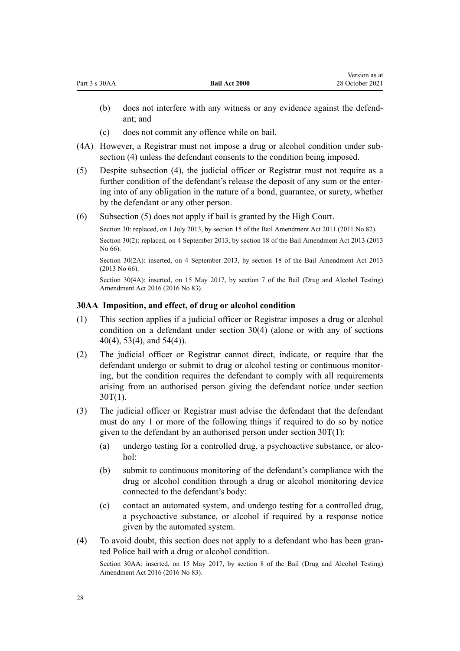|                                                                                                  | (c)                                                                                                                                                                                                                                                                                                                                           | does not commit any offence while on bail.                                                                                                                                                                                                |  |  |
|--------------------------------------------------------------------------------------------------|-----------------------------------------------------------------------------------------------------------------------------------------------------------------------------------------------------------------------------------------------------------------------------------------------------------------------------------------------|-------------------------------------------------------------------------------------------------------------------------------------------------------------------------------------------------------------------------------------------|--|--|
| (4A)                                                                                             | However, a Registrar must not impose a drug or alcohol condition under sub-<br>section (4) unless the defendant consents to the condition being imposed.                                                                                                                                                                                      |                                                                                                                                                                                                                                           |  |  |
| (5)                                                                                              | Despite subsection (4), the judicial officer or Registrar must not require as a<br>further condition of the defendant's release the deposit of any sum or the enter-<br>ing into of any obligation in the nature of a bond, guarantee, or surety, whether<br>by the defendant or any other person.                                            |                                                                                                                                                                                                                                           |  |  |
| (6)                                                                                              | Subsection (5) does not apply if bail is granted by the High Court.                                                                                                                                                                                                                                                                           |                                                                                                                                                                                                                                           |  |  |
| Section 30: replaced, on 1 July 2013, by section 15 of the Bail Amendment Act 2011 (2011 No 82). |                                                                                                                                                                                                                                                                                                                                               |                                                                                                                                                                                                                                           |  |  |
|                                                                                                  | No 66).                                                                                                                                                                                                                                                                                                                                       | Section 30(2): replaced, on 4 September 2013, by section 18 of the Bail Amendment Act 2013 (2013                                                                                                                                          |  |  |
|                                                                                                  |                                                                                                                                                                                                                                                                                                                                               | Section 30(2A): inserted, on 4 September 2013, by section 18 of the Bail Amendment Act 2013<br>$(2013$ No 66).                                                                                                                            |  |  |
|                                                                                                  |                                                                                                                                                                                                                                                                                                                                               | Section 30(4A): inserted, on 15 May 2017, by section 7 of the Bail (Drug and Alcohol Testing)<br>Amendment Act 2016 (2016 No 83).                                                                                                         |  |  |
|                                                                                                  | 30AA Imposition, and effect, of drug or alcohol condition                                                                                                                                                                                                                                                                                     |                                                                                                                                                                                                                                           |  |  |
| (1)                                                                                              | This section applies if a judicial officer or Registrar imposes a drug or alcohol<br>condition on a defendant under section $30(4)$ (alone or with any of sections<br>$40(4)$ , 53(4), and 54(4)).                                                                                                                                            |                                                                                                                                                                                                                                           |  |  |
| (2)                                                                                              | The judicial officer or Registrar cannot direct, indicate, or require that the<br>defendant undergo or submit to drug or alcohol testing or continuous monitor-<br>ing, but the condition requires the defendant to comply with all requirements<br>arising from an authorised person giving the defendant notice under section<br>$30T(1)$ . |                                                                                                                                                                                                                                           |  |  |
| (3)                                                                                              |                                                                                                                                                                                                                                                                                                                                               | The judicial officer or Registrar must advise the defendant that the defendant<br>must do any 1 or more of the following things if required to do so by notice<br>given to the defendant by an authorised person under section $30T(1)$ : |  |  |
|                                                                                                  | (a)                                                                                                                                                                                                                                                                                                                                           | undergo testing for a controlled drug, a psychoactive substance, or alco-<br>hol:                                                                                                                                                         |  |  |
|                                                                                                  | (b)                                                                                                                                                                                                                                                                                                                                           | submit to continuous monitoring of the defendant's compliance with the<br>drug or alcohol condition through a drug or alcohol monitoring device<br>connected to the defendant's body:                                                     |  |  |
|                                                                                                  | (c)                                                                                                                                                                                                                                                                                                                                           | contact an automated system, and undergo testing for a controlled drug,                                                                                                                                                                   |  |  |

(b) does not interfere with any witness or any evidence against the defend-

Version as at 28 October 2021

ant; and

<span id="page-27-0"></span>Part 3 s 30AA **Bail Act 2000**

- a psychoactive substance, or alcohol if required by a response notice given by the automated system.
- (4) To avoid doubt, this section does not apply to a defendant who has been gran‐ ted Police bail with a drug or alcohol condition.

Section 30AA: inserted, on 15 May 2017, by [section 8](http://legislation.govt.nz/pdflink.aspx?id=DLM7017032) of the Bail (Drug and Alcohol Testing) Amendment Act 2016 (2016 No 83).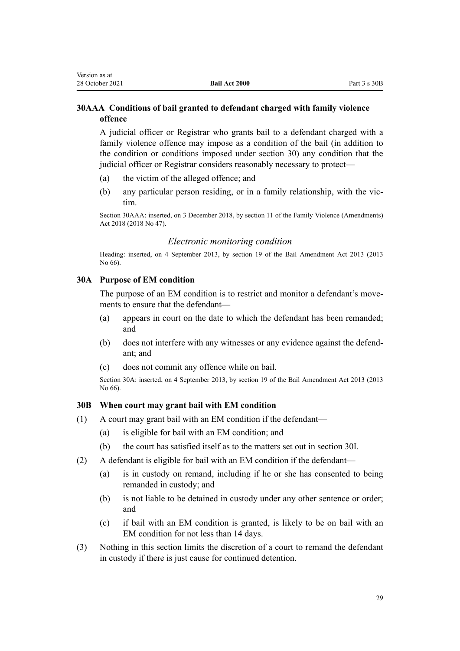## <span id="page-28-0"></span>**30AAA Conditions of bail granted to defendant charged with family violence offence**

A judicial officer or Registrar who grants bail to a defendant charged with a family violence offence may impose as a condition of the bail (in addition to the condition or conditions imposed under [section 30\)](#page-26-0) any condition that the judicial officer or Registrar considers reasonably necessary to protect—

- (a) the victim of the alleged offence; and
- (b) any particular person residing, or in a family relationship, with the vic‐ tim.

Section 30AAA: inserted, on 3 December 2018, by [section 11](http://legislation.govt.nz/pdflink.aspx?id=LMS113457) of the Family Violence (Amendments) Act 2018 (2018 No 47).

#### *Electronic monitoring condition*

Heading: inserted, on 4 September 2013, by [section 19](http://legislation.govt.nz/pdflink.aspx?id=DLM4454168) of the Bail Amendment Act 2013 (2013 No 66).

#### **30A Purpose of EM condition**

The purpose of an EM condition is to restrict and monitor a defendant's movements to ensure that the defendant—

- (a) appears in court on the date to which the defendant has been remanded; and
- (b) does not interfere with any witnesses or any evidence against the defend‐ ant; and
- (c) does not commit any offence while on bail.

Section 30A: inserted, on 4 September 2013, by [section 19](http://legislation.govt.nz/pdflink.aspx?id=DLM4454168) of the Bail Amendment Act 2013 (2013 No 66).

#### **30B When court may grant bail with EM condition**

- (1) A court may grant bail with an EM condition if the defendant—
	- (a) is eligible for bail with an EM condition; and
	- (b) the court has satisfied itself as to the matters set out in [section 30I.](#page-31-0)
- (2) A defendant is eligible for bail with an EM condition if the defendant—
	- (a) is in custody on remand, including if he or she has consented to being remanded in custody; and
	- (b) is not liable to be detained in custody under any other sentence or order; and
	- (c) if bail with an EM condition is granted, is likely to be on bail with an EM condition for not less than 14 days.
- (3) Nothing in this section limits the discretion of a court to remand the defendant in custody if there is just cause for continued detention.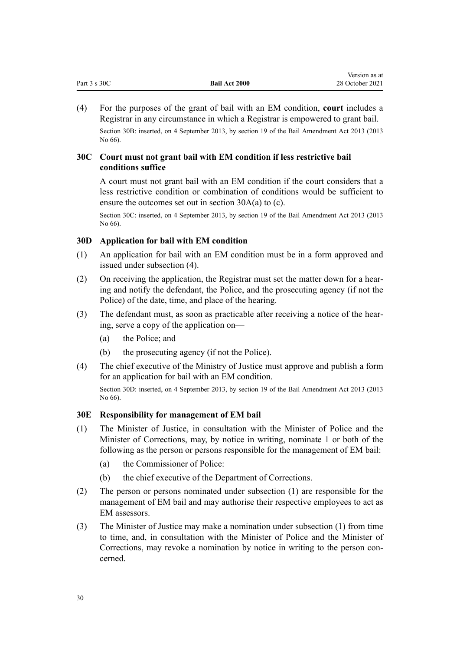<span id="page-29-0"></span>

| Part $3 \text{ s } 30C$ | <b>Bail Act 2000</b> | 28 October 2021 |
|-------------------------|----------------------|-----------------|
|                         |                      |                 |

Version as at

(4) For the purposes of the grant of bail with an EM condition, **court** includes a Registrar in any circumstance in which a Registrar is empowered to grant bail. Section 30B: inserted, on 4 September 2013, by [section 19](http://legislation.govt.nz/pdflink.aspx?id=DLM4454168) of the Bail Amendment Act 2013 (2013 No 66).

#### **30C Court must not grant bail with EM condition if less restrictive bail conditions suffice**

A court must not grant bail with an EM condition if the court considers that a less restrictive condition or combination of conditions would be sufficient to ensure the outcomes set out in [section 30A\(a\) to \(c\)](#page-28-0).

Section 30C: inserted, on 4 September 2013, by [section 19](http://legislation.govt.nz/pdflink.aspx?id=DLM4454168) of the Bail Amendment Act 2013 (2013 No 66).

## **30D Application for bail with EM condition**

- (1) An application for bail with an EM condition must be in a form approved and issued under subsection (4).
- (2) On receiving the application, the Registrar must set the matter down for a hearing and notify the defendant, the Police, and the prosecuting agency (if not the Police) of the date, time, and place of the hearing.
- (3) The defendant must, as soon as practicable after receiving a notice of the hear‐ ing, serve a copy of the application on—
	- (a) the Police; and
	- (b) the prosecuting agency (if not the Police).
- (4) The chief executive of the Ministry of Justice must approve and publish a form for an application for bail with an EM condition.

Section 30D: inserted, on 4 September 2013, by [section 19](http://legislation.govt.nz/pdflink.aspx?id=DLM4454168) of the Bail Amendment Act 2013 (2013 No 66).

#### **30E Responsibility for management of EM bail**

- (1) The Minister of Justice, in consultation with the Minister of Police and the Minister of Corrections, may, by notice in writing, nominate 1 or both of the following as the person or persons responsible for the management of EM bail:
	- (a) the Commissioner of Police:
	- (b) the chief executive of the Department of Corrections.
- (2) The person or persons nominated under subsection (1) are responsible for the management of EM bail and may authorise their respective employees to act as EM assessors.
- (3) The Minister of Justice may make a nomination under subsection (1) from time to time, and, in consultation with the Minister of Police and the Minister of Corrections, may revoke a nomination by notice in writing to the person con‐ cerned.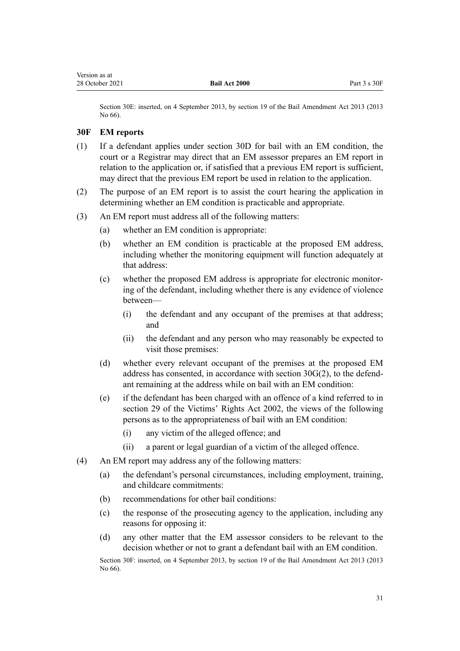<span id="page-30-0"></span>Section 30E: inserted, on 4 September 2013, by [section 19](http://legislation.govt.nz/pdflink.aspx?id=DLM4454168) of the Bail Amendment Act 2013 (2013 No 66).

#### **30F EM reports**

- (1) If a defendant applies under [section 30D](#page-29-0) for bail with an EM condition, the court or a Registrar may direct that an EM assessor prepares an EM report in relation to the application or, if satisfied that a previous EM report is sufficient, may direct that the previous EM report be used in relation to the application.
- (2) The purpose of an EM report is to assist the court hearing the application in determining whether an EM condition is practicable and appropriate.
- (3) An EM report must address all of the following matters:
	- (a) whether an EM condition is appropriate:
	- (b) whether an EM condition is practicable at the proposed EM address, including whether the monitoring equipment will function adequately at that address:
	- (c) whether the proposed EM address is appropriate for electronic monitor‐ ing of the defendant, including whether there is any evidence of violence between—
		- (i) the defendant and any occupant of the premises at that address; and
		- (ii) the defendant and any person who may reasonably be expected to visit those premises:
	- (d) whether every relevant occupant of the premises at the proposed EM address has consented, in accordance with [section 30G\(2\),](#page-31-0) to the defend‐ ant remaining at the address while on bail with an EM condition:
	- (e) if the defendant has been charged with an offence of a kind referred to in [section 29](http://legislation.govt.nz/pdflink.aspx?id=DLM157893) of the Victims' Rights Act 2002, the views of the following persons as to the appropriateness of bail with an EM condition:
		- (i) any victim of the alleged offence; and
		- (ii) a parent or legal guardian of a victim of the alleged offence.
- (4) An EM report may address any of the following matters:
	- (a) the defendant's personal circumstances, including employment, training, and childcare commitments:
	- (b) recommendations for other bail conditions:
	- (c) the response of the prosecuting agency to the application, including any reasons for opposing it:
	- (d) any other matter that the EM assessor considers to be relevant to the decision whether or not to grant a defendant bail with an EM condition.

Section 30F: inserted, on 4 September 2013, by [section 19](http://legislation.govt.nz/pdflink.aspx?id=DLM4454168) of the Bail Amendment Act 2013 (2013 No 66).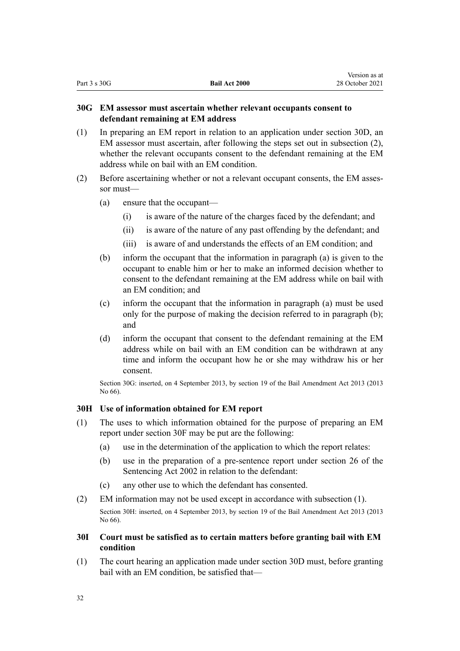Version as at

## <span id="page-31-0"></span>**30G EM assessor must ascertain whether relevant occupants consent to defendant remaining at EM address**

- (1) In preparing an EM report in relation to an application under [section 30D](#page-29-0), an EM assessor must ascertain, after following the steps set out in subsection (2), whether the relevant occupants consent to the defendant remaining at the EM address while on bail with an EM condition.
- (2) Before ascertaining whether or not a relevant occupant consents, the EM assessor must—
	- (a) ensure that the occupant—
		- (i) is aware of the nature of the charges faced by the defendant; and
		- (ii) is aware of the nature of any past offending by the defendant; and
		- (iii) is aware of and understands the effects of an EM condition; and
	- (b) inform the occupant that the information in paragraph (a) is given to the occupant to enable him or her to make an informed decision whether to consent to the defendant remaining at the EM address while on bail with an EM condition; and
	- (c) inform the occupant that the information in paragraph (a) must be used only for the purpose of making the decision referred to in paragraph (b); and
	- (d) inform the occupant that consent to the defendant remaining at the EM address while on bail with an EM condition can be withdrawn at any time and inform the occupant how he or she may withdraw his or her consent.

Section 30G: inserted, on 4 September 2013, by [section 19](http://legislation.govt.nz/pdflink.aspx?id=DLM4454168) of the Bail Amendment Act 2013 (2013 No 66).

## **30H Use of information obtained for EM report**

- (1) The uses to which information obtained for the purpose of preparing an EM report under [section 30F](#page-30-0) may be put are the following:
	- (a) use in the determination of the application to which the report relates:
	- (b) use in the preparation of a pre-sentence report under [section 26](http://legislation.govt.nz/pdflink.aspx?id=DLM135581) of the Sentencing Act 2002 in relation to the defendant:
	- (c) any other use to which the defendant has consented.
- (2) EM information may not be used except in accordance with subsection (1). Section 30H: inserted, on 4 September 2013, by [section 19](http://legislation.govt.nz/pdflink.aspx?id=DLM4454168) of the Bail Amendment Act 2013 (2013 No 66).
- **30I Court must be satisfied as to certain matters before granting bail with EM condition**
- (1) The court hearing an application made under [section 30D](#page-29-0) must, before granting bail with an EM condition, be satisfied that—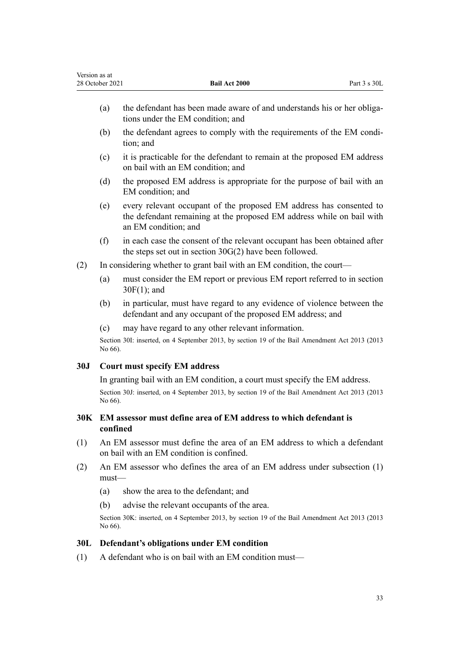<span id="page-32-0"></span>

| Version as at | 28 October 2021                                                                                                                                                                          | Bail Act 2000                                                                                                                                                        | Part 3 s 30L |
|---------------|------------------------------------------------------------------------------------------------------------------------------------------------------------------------------------------|----------------------------------------------------------------------------------------------------------------------------------------------------------------------|--------------|
|               | (a)                                                                                                                                                                                      | the defendant has been made aware of and understands his or her obliga-<br>tions under the EM condition; and                                                         |              |
|               | (b)                                                                                                                                                                                      | the defendant agrees to comply with the requirements of the EM condi-<br>tion; and                                                                                   |              |
|               | (c)                                                                                                                                                                                      | it is practicable for the defendant to remain at the proposed EM address<br>on bail with an EM condition; and                                                        |              |
|               | (d)                                                                                                                                                                                      | the proposed EM address is appropriate for the purpose of bail with an<br>EM condition; and                                                                          |              |
|               | (e)                                                                                                                                                                                      | every relevant occupant of the proposed EM address has consented to<br>the defendant remaining at the proposed EM address while on bail with<br>an EM condition; and |              |
|               | (f)                                                                                                                                                                                      | in each case the consent of the relevant occupant has been obtained after<br>the steps set out in section $30G(2)$ have been followed.                               |              |
| (2)           |                                                                                                                                                                                          | In considering whether to grant bail with an EM condition, the court—                                                                                                |              |
|               | (a)                                                                                                                                                                                      | must consider the EM report or previous EM report referred to in section<br>$30F(1)$ ; and                                                                           |              |
|               | (b)                                                                                                                                                                                      | in particular, must have regard to any evidence of violence between the<br>defendant and any occupant of the proposed EM address; and                                |              |
|               | (c)                                                                                                                                                                                      | may have regard to any other relevant information.                                                                                                                   |              |
|               | No 66).                                                                                                                                                                                  | Section 30I: inserted, on 4 September 2013, by section 19 of the Bail Amendment Act 2013 (2013                                                                       |              |
| 30J           |                                                                                                                                                                                          | <b>Court must specify EM address</b>                                                                                                                                 |              |
|               | In granting bail with an EM condition, a court must specify the EM address.<br>Section 30J: inserted, on 4 September 2013, by section 19 of the Bail Amendment Act 2013 (2013<br>No 66). |                                                                                                                                                                      |              |
| 30K           | EM assessor must define area of EM address to which defendant is<br>confined                                                                                                             |                                                                                                                                                                      |              |
| (1)           | An EM assessor must define the area of an EM address to which a defendant<br>on bail with an EM condition is confined.                                                                   |                                                                                                                                                                      |              |
| (2)           | $must$ —                                                                                                                                                                                 | An EM assessor who defines the area of an EM address under subsection $(1)$                                                                                          |              |
|               | (a)                                                                                                                                                                                      | show the area to the defendant; and                                                                                                                                  |              |
|               | (b)                                                                                                                                                                                      | advise the relevant occupants of the area.                                                                                                                           |              |
|               | No 66).                                                                                                                                                                                  | Section 30K: inserted, on 4 September 2013, by section 19 of the Bail Amendment Act 2013 (2013                                                                       |              |
| 30L           |                                                                                                                                                                                          | Defendant's obligations under EM condition                                                                                                                           |              |
| (1)           |                                                                                                                                                                                          | A defendant who is on bail with an EM condition must—                                                                                                                |              |
|               |                                                                                                                                                                                          |                                                                                                                                                                      |              |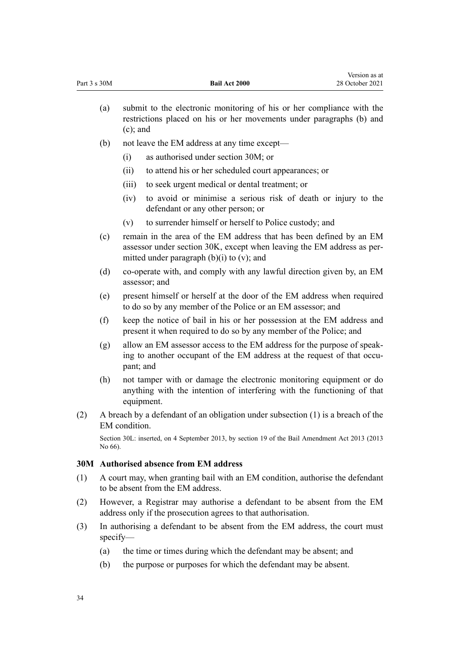<span id="page-33-0"></span>

| Part 3 s 30M |                                                                                                                                                                     | Bail Act 2000                                                                                                                                                                                   | 28 October 2021 |
|--------------|---------------------------------------------------------------------------------------------------------------------------------------------------------------------|-------------------------------------------------------------------------------------------------------------------------------------------------------------------------------------------------|-----------------|
|              | submit to the electronic monitoring of his or her compliance with the<br>(a)<br>restrictions placed on his or her movements under paragraphs (b) and<br>$(c)$ ; and |                                                                                                                                                                                                 |                 |
| (b)          |                                                                                                                                                                     | not leave the EM address at any time except—                                                                                                                                                    |                 |
|              |                                                                                                                                                                     | as authorised under section 30M; or<br>(i)                                                                                                                                                      |                 |
|              |                                                                                                                                                                     | (ii)<br>to attend his or her scheduled court appearances; or                                                                                                                                    |                 |
|              |                                                                                                                                                                     | (iii)<br>to seek urgent medical or dental treatment; or                                                                                                                                         |                 |
|              |                                                                                                                                                                     | to avoid or minimise a serious risk of death or injury to the<br>(iv)<br>defendant or any other person; or                                                                                      |                 |
|              |                                                                                                                                                                     | to surrender himself or herself to Police custody; and<br>(v)                                                                                                                                   |                 |
|              | (c)                                                                                                                                                                 | remain in the area of the EM address that has been defined by an EM<br>assessor under section 30K, except when leaving the EM address as per-<br>mitted under paragraph $(b)(i)$ to $(v)$ ; and |                 |
|              | (d)                                                                                                                                                                 | co-operate with, and comply with any lawful direction given by, an EM<br>assessor; and                                                                                                          |                 |
|              | (e)                                                                                                                                                                 | present himself or herself at the door of the EM address when required<br>to do so by any member of the Police or an EM assessor; and                                                           |                 |
|              | (f)                                                                                                                                                                 | keep the notice of bail in his or her possession at the EM address and<br>present it when required to do so by any member of the Police; and                                                    |                 |
|              | (g)                                                                                                                                                                 | allow an EM assessor access to the EM address for the purpose of speak-<br>ing to another occupant of the EM address at the request of that occu-<br>pant; and                                  |                 |
|              | (h)                                                                                                                                                                 | not tamper with or damage the electronic monitoring equipment or do<br>anything with the intention of interfering with the functioning of that<br>equipment.                                    |                 |
| (2)          |                                                                                                                                                                     | A breach by a defendant of an obligation under subsection (1) is a breach of the<br>EM condition.                                                                                               |                 |
|              | No 66).                                                                                                                                                             | Section 30L: inserted, on 4 September 2013, by section 19 of the Bail Amendment Act 2013 (2013                                                                                                  |                 |
|              |                                                                                                                                                                     | 30M Authorised absence from EM address                                                                                                                                                          |                 |
| (1)          | A court may, when granting bail with an EM condition, authorise the defendant<br>to be absent from the EM address.                                                  |                                                                                                                                                                                                 |                 |
| (2)          | However, a Registrar may authorise a defendant to be absent from the EM<br>address only if the prosecution agrees to that authorisation.                            |                                                                                                                                                                                                 |                 |
| (3)          |                                                                                                                                                                     | In authorising a defendant to be absent from the EM address, the court must<br>specify                                                                                                          |                 |
|              | (a)                                                                                                                                                                 | the time or times during which the defendant may be absent; and                                                                                                                                 |                 |
|              | (b)                                                                                                                                                                 | the purpose or purposes for which the defendant may be absent.                                                                                                                                  |                 |

Version as at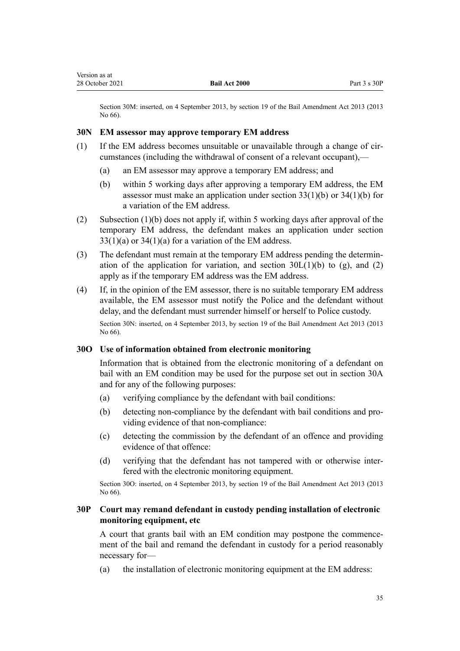<span id="page-34-0"></span>Section 30M: inserted, on 4 September 2013, by [section 19](http://legislation.govt.nz/pdflink.aspx?id=DLM4454168) of the Bail Amendment Act 2013 (2013 No 66).

## **30N EM assessor may approve temporary EM address**

- (1) If the EM address becomes unsuitable or unavailable through a change of cir‐ cumstances (including the withdrawal of consent of a relevant occupant),—
	- (a) an EM assessor may approve a temporary EM address; and
	- (b) within 5 working days after approving a temporary EM address, the EM assessor must make an application under section  $33(1)(b)$  or  $34(1)(b)$  for a variation of the EM address.
- (2) Subsection (1)(b) does not apply if, within 5 working days after approval of the temporary EM address, the defendant makes an application under [section](#page-41-0)  $33(1)(a)$  or  $34(1)(a)$  for a variation of the EM address.
- (3) The defendant must remain at the temporary EM address pending the determin‐ ation of the application for variation, and section  $30L(1)(b)$  to (g), and (2) apply as if the temporary EM address was the EM address.
- (4) If, in the opinion of the EM assessor, there is no suitable temporary EM address available, the EM assessor must notify the Police and the defendant without delay, and the defendant must surrender himself or herself to Police custody. Section 30N: inserted, on 4 September 2013, by [section 19](http://legislation.govt.nz/pdflink.aspx?id=DLM4454168) of the Bail Amendment Act 2013 (2013) No 66).

#### **30O Use of information obtained from electronic monitoring**

Information that is obtained from the electronic monitoring of a defendant on bail with an EM condition may be used for the purpose set out in [section 30A](#page-28-0) and for any of the following purposes:

- (a) verifying compliance by the defendant with bail conditions:
- (b) detecting non-compliance by the defendant with bail conditions and providing evidence of that non-compliance:
- (c) detecting the commission by the defendant of an offence and providing evidence of that offence:
- (d) verifying that the defendant has not tampered with or otherwise interfered with the electronic monitoring equipment.

Section 30O: inserted, on 4 September 2013, by [section 19](http://legislation.govt.nz/pdflink.aspx?id=DLM4454168) of the Bail Amendment Act 2013 (2013 No 66).

## **30P Court may remand defendant in custody pending installation of electronic monitoring equipment, etc**

A court that grants bail with an EM condition may postpone the commence‐ ment of the bail and remand the defendant in custody for a period reasonably necessary for—

(a) the installation of electronic monitoring equipment at the EM address: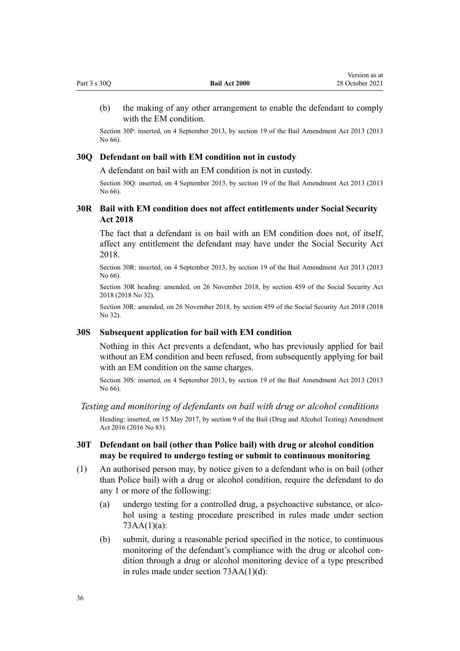<span id="page-35-0"></span>

| Part 3 s 30Q | <b>Bail Act 2000</b> | 28 October 2021 |
|--------------|----------------------|-----------------|
|--------------|----------------------|-----------------|

(b) the making of any other arrangement to enable the defendant to comply with the EM condition.

Version as at

Section 30P: inserted, on 4 September 2013, by [section 19](http://legislation.govt.nz/pdflink.aspx?id=DLM4454168) of the Bail Amendment Act 2013 (2013 No 66).

#### **30Q Defendant on bail with EM condition not in custody**

A defendant on bail with an EM condition is not in custody.

Section 30Q: inserted, on 4 September 2013, by [section 19](http://legislation.govt.nz/pdflink.aspx?id=DLM4454168) of the Bail Amendment Act 2013 (2013 No 66).

# **30R Bail with EM condition does not affect entitlements under Social Security Act 2018**

The fact that a defendant is on bail with an EM condition does not, of itself, affect any entitlement the defendant may have under the [Social Security Act](http://legislation.govt.nz/pdflink.aspx?id=DLM6783102) [2018](http://legislation.govt.nz/pdflink.aspx?id=DLM6783102).

Section 30R: inserted, on 4 September 2013, by [section 19](http://legislation.govt.nz/pdflink.aspx?id=DLM4454168) of the Bail Amendment Act 2013 (2013 No 66).

Section 30R heading: amended, on 26 November 2018, by [section 459](http://legislation.govt.nz/pdflink.aspx?id=DLM6784038) of the Social Security Act 2018 (2018 No 32).

Section 30R: amended, on 26 November 2018, by [section 459](http://legislation.govt.nz/pdflink.aspx?id=DLM6784038) of the Social Security Act 2018 (2018 No 32).

#### **30S Subsequent application for bail with EM condition**

Nothing in this Act prevents a defendant, who has previously applied for bail without an EM condition and been refused, from subsequently applying for bail with an EM condition on the same charges.

Section 30S: inserted, on 4 September 2013, by [section 19](http://legislation.govt.nz/pdflink.aspx?id=DLM4454168) of the Bail Amendment Act 2013 (2013 No 66).

#### *Testing and monitoring of defendants on bail with drug or alcohol conditions*

Heading: inserted, on 15 May 2017, by [section 9](http://legislation.govt.nz/pdflink.aspx?id=DLM7017034) of the Bail (Drug and Alcohol Testing) Amendment Act 2016 (2016 No 83).

#### **30T Defendant on bail (other than Police bail) with drug or alcohol condition may be required to undergo testing or submit to continuous monitoring**

- (1) An authorised person may, by notice given to a defendant who is on bail (other than Police bail) with a drug or alcohol condition, require the defendant to do any 1 or more of the following:
	- (a) undergo testing for a controlled drug, a psychoactive substance, or alcohol using a testing procedure prescribed in rules made under [section](#page-61-0)  $73AA(1)(a)$ :
	- (b) submit, during a reasonable period specified in the notice, to continuous monitoring of the defendant's compliance with the drug or alcohol condition through a drug or alcohol monitoring device of a type prescribed in rules made under [section 73AA\(1\)\(d\)](#page-61-0):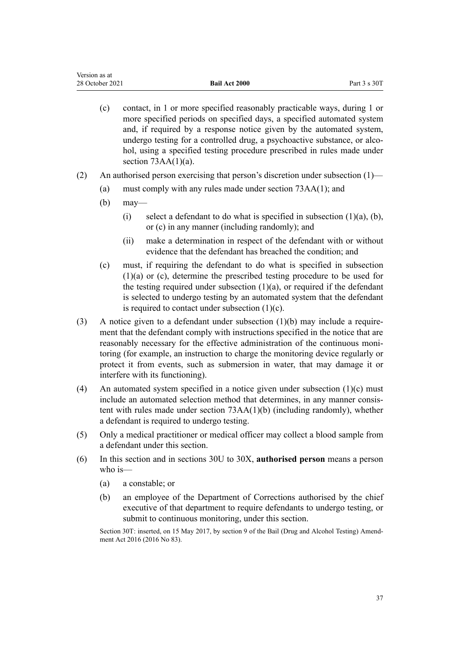- (c) contact, in 1 or more specified reasonably practicable ways, during 1 or more specified periods on specified days, a specified automated system and, if required by a response notice given by the automated system, undergo testing for a controlled drug, a psychoactive substance, or alcohol, using a specified testing procedure prescribed in rules made under section  $73AA(1)(a)$ .
- (2) An authorised person exercising that person's discretion under subsection  $(1)$ 
	- (a) must comply with any rules made under [section 73AA\(1\);](#page-61-0) and
	- (b) may—
		- (i) select a defendant to do what is specified in subsection  $(1)(a)$ ,  $(b)$ , or (c) in any manner (including randomly); and
		- (ii) make a determination in respect of the defendant with or without evidence that the defendant has breached the condition; and
	- (c) must, if requiring the defendant to do what is specified in subsection (1)(a) or (c), determine the prescribed testing procedure to be used for the testing required under subsection  $(1)(a)$ , or required if the defendant is selected to undergo testing by an automated system that the defendant is required to contact under subsection  $(1)(c)$ .
- (3) A notice given to a defendant under subsection  $(1)(b)$  may include a requirement that the defendant comply with instructions specified in the notice that are reasonably necessary for the effective administration of the continuous monitoring (for example, an instruction to charge the monitoring device regularly or protect it from events, such as submersion in water, that may damage it or interfere with its functioning).
- (4) An automated system specified in a notice given under subsection  $(1)(c)$  must include an automated selection method that determines, in any manner consistent with rules made under [section 73AA\(1\)\(b\)](#page-61-0) (including randomly), whether a defendant is required to undergo testing.
- (5) Only a medical practitioner or medical officer may collect a blood sample from a defendant under this section.
- (6) In this section and in [sections 30U to 30X,](#page-37-0) **authorised person** means a person who is—
	- (a) a constable; or
	- (b) an employee of the Department of Corrections authorised by the chief executive of that department to require defendants to undergo testing, or submit to continuous monitoring, under this section.

Section 30T: inserted, on 15 May 2017, by [section 9](http://legislation.govt.nz/pdflink.aspx?id=DLM7017034) of the Bail (Drug and Alcohol Testing) Amendment Act 2016 (2016 No 83).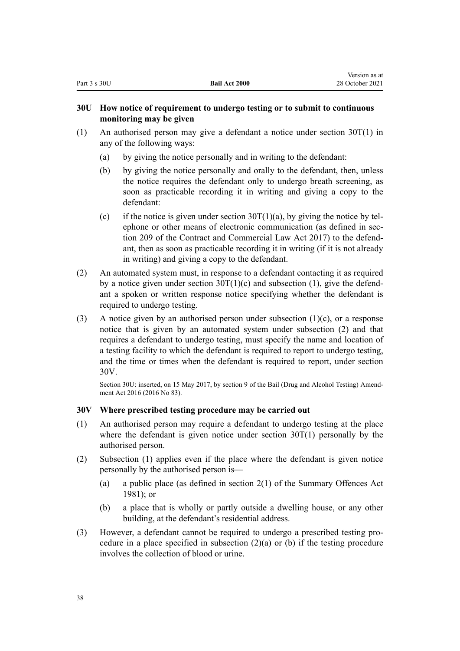## <span id="page-37-0"></span>**30U How notice of requirement to undergo testing or to submit to continuous monitoring may be given**

- (1) An authorised person may give a defendant a notice under [section 30T\(1\)](#page-35-0) in any of the following ways:
	- (a) by giving the notice personally and in writing to the defendant:
	- (b) by giving the notice personally and orally to the defendant, then, unless the notice requires the defendant only to undergo breath screening, as soon as practicable recording it in writing and giving a copy to the defendant:
	- (c) if the notice is given under section  $30T(1)(a)$ , by giving the notice by telephone or other means of electronic communication (as defined in sec[tion 209](http://legislation.govt.nz/pdflink.aspx?id=DLM6844433) of the Contract and Commercial Law Act 2017) to the defend‐ ant, then as soon as practicable recording it in writing (if it is not already in writing) and giving a copy to the defendant.
- (2) An automated system must, in response to a defendant contacting it as required by a notice given under section  $30T(1)(c)$  and subsection (1), give the defendant a spoken or written response notice specifying whether the defendant is required to undergo testing.
- (3) A notice given by an authorised person under subsection  $(1)(c)$ , or a response notice that is given by an automated system under subsection (2) and that requires a defendant to undergo testing, must specify the name and location of a testing facility to which the defendant is required to report to undergo testing, and the time or times when the defendant is required to report, under section 30V.

Section 30U: inserted, on 15 May 2017, by [section 9](http://legislation.govt.nz/pdflink.aspx?id=DLM7017034) of the Bail (Drug and Alcohol Testing) Amendment Act 2016 (2016 No 83).

## **30V Where prescribed testing procedure may be carried out**

- (1) An authorised person may require a defendant to undergo testing at the place where the defendant is given notice under section  $30T(1)$  personally by the authorised person.
- (2) Subsection (1) applies even if the place where the defendant is given notice personally by the authorised person is—
	- (a) a public place (as defined in [section 2\(1\)](http://legislation.govt.nz/pdflink.aspx?id=DLM53353) of the Summary Offences Act 1981); or
	- (b) a place that is wholly or partly outside a dwelling house, or any other building, at the defendant's residential address.
- (3) However, a defendant cannot be required to undergo a prescribed testing pro‐ cedure in a place specified in subsection  $(2)(a)$  or (b) if the testing procedure involves the collection of blood or urine.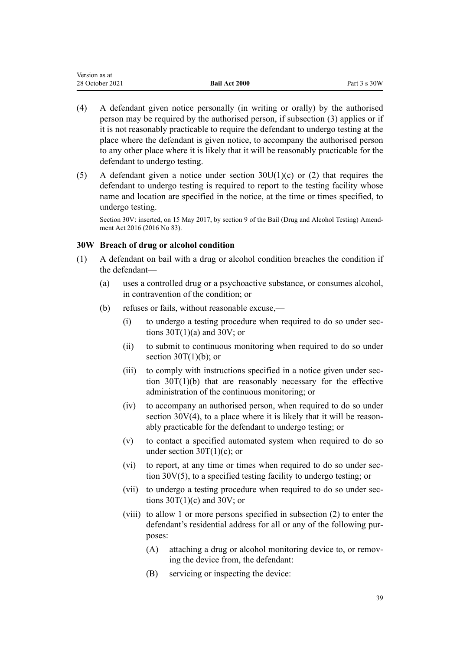| Version as at   |                      |                         |
|-----------------|----------------------|-------------------------|
| 28 October 2021 | <b>Bail Act 2000</b> | Part $3 \text{ s } 30W$ |

- (4) A defendant given notice personally (in writing or orally) by the authorised person may be required by the authorised person, if subsection (3) applies or if it is not reasonably practicable to require the defendant to undergo testing at the place where the defendant is given notice, to accompany the authorised person to any other place where it is likely that it will be reasonably practicable for the defendant to undergo testing.
- (5) A defendant given a notice under section  $30U(1)(c)$  or (2) that requires the defendant to undergo testing is required to report to the testing facility whose name and location are specified in the notice, at the time or times specified, to undergo testing.

Section 30V: inserted, on 15 May 2017, by [section 9](http://legislation.govt.nz/pdflink.aspx?id=DLM7017034) of the Bail (Drug and Alcohol Testing) Amend‐ ment Act 2016 (2016 No 83).

### **30W Breach of drug or alcohol condition**

- (1) A defendant on bail with a drug or alcohol condition breaches the condition if the defendant—
	- (a) uses a controlled drug or a psychoactive substance, or consumes alcohol, in contravention of the condition; or
	- (b) refuses or fails, without reasonable excuse,—
		- (i) to undergo a testing procedure when required to do so under [sec‐](#page-35-0) tions  $30T(1)(a)$  and  $30V$ ; or
		- (ii) to submit to continuous monitoring when required to do so under section  $30T(1)(b)$ ; or
		- (iii) to comply with instructions specified in a notice given under sec[tion 30T\(1\)\(b\)](#page-35-0) that are reasonably necessary for the effective administration of the continuous monitoring; or
		- (iv) to accompany an authorised person, when required to do so under section  $30V(4)$ , to a place where it is likely that it will be reasonably practicable for the defendant to undergo testing; or
		- (v) to contact a specified automated system when required to do so under section  $30T(1)(c)$ ; or
		- (vi) to report, at any time or times when required to do so under [sec‐](#page-37-0) [tion 30V\(5\)](#page-37-0), to a specified testing facility to undergo testing; or
		- (vii) to undergo a testing procedure when required to do so under [sec‐](#page-35-0) tions  $30T(1)(c)$  and  $30V$ ; or
		- (viii) to allow 1 or more persons specified in subsection (2) to enter the defendant's residential address for all or any of the following pur‐ poses:
			- (A) attaching a drug or alcohol monitoring device to, or removing the device from, the defendant:
			- (B) servicing or inspecting the device: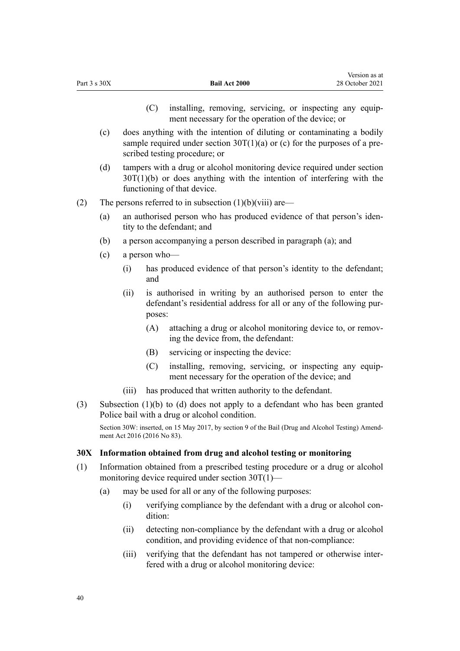|     | (c) |       |                             | does anything with the intention of diluting or contaminating a bodily<br>sample required under section $30T(1)(a)$ or (c) for the purposes of a pre-<br>scribed testing procedure; or |
|-----|-----|-------|-----------------------------|----------------------------------------------------------------------------------------------------------------------------------------------------------------------------------------|
|     | (d) |       |                             | tampers with a drug or alcohol monitoring device required under section<br>$30T(1)(b)$ or does anything with the intention of interfering with the<br>functioning of that device.      |
| (2) |     |       |                             | The persons referred to in subsection $(1)(b)(viii)$ are—                                                                                                                              |
|     | (a) |       |                             | an authorised person who has produced evidence of that person's iden-<br>tity to the defendant; and                                                                                    |
|     | (b) |       |                             | a person accompanying a person described in paragraph (a); and                                                                                                                         |
|     | (c) |       | a person who-               |                                                                                                                                                                                        |
|     |     | (i)   | and                         | has produced evidence of that person's identity to the defendant;                                                                                                                      |
|     |     | (ii)  | poses:                      | is authorised in writing by an authorised person to enter the<br>defendant's residential address for all or any of the following pur-                                                  |
|     |     |       | (A)                         | attaching a drug or alcohol monitoring device to, or remov-<br>ing the device from, the defendant:                                                                                     |
|     |     |       | (B)                         | servicing or inspecting the device:                                                                                                                                                    |
|     |     |       | (C)                         | installing, removing, servicing, or inspecting any equip-<br>ment necessary for the operation of the device; and                                                                       |
|     |     | (iii) |                             | has produced that written authority to the defendant.                                                                                                                                  |
| (3) |     |       |                             | Subsection $(1)(b)$ to $(d)$ does not apply to a defendant who has been granted<br>Police bail with a drug or alcohol condition.                                                       |
|     |     |       | ment Act 2016 (2016 No 83). | Section 30W: inserted, on 15 May 2017, by section 9 of the Bail (Drug and Alcohol Testing) Amend-                                                                                      |
| 30X |     |       |                             | Information obtained from drug and alcohol testing or monitoring                                                                                                                       |
| (1) |     |       |                             | Information obtained from a prescribed testing procedure or a drug or alcohol<br>monitoring device required under section 30T(1)-                                                      |
|     | (a) |       |                             | may be used for all or any of the following purposes:                                                                                                                                  |
|     |     | (i)   | dition:                     | verifying compliance by the defendant with a drug or alcohol con-                                                                                                                      |
|     |     | (ii)  |                             | detecting non-compliance by the defendant with a drug or alcohol<br>condition, and providing evidence of that non-compliance:                                                          |

(C) installing, removing, servicing, or inspecting any equip‐ ment necessary for the operation of the device; or

Version as at 28 October 2021

Part 3 s 30X **Bail Act 2000**

(iii) verifying that the defendant has not tampered or otherwise inter‐ fered with a drug or alcohol monitoring device: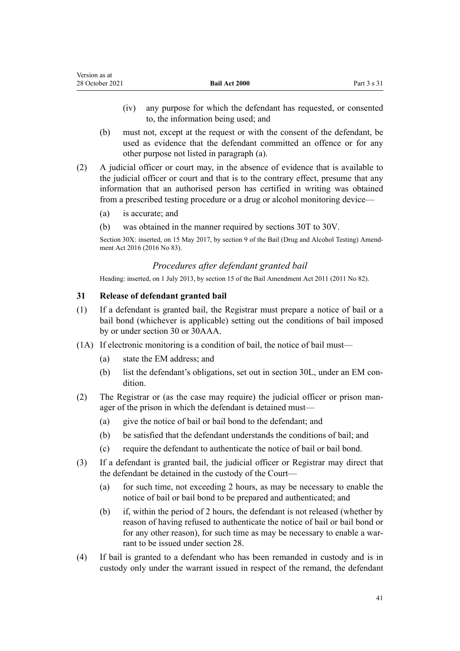- <span id="page-40-0"></span>(iv) any purpose for which the defendant has requested, or consented to, the information being used; and
- (b) must not, except at the request or with the consent of the defendant, be used as evidence that the defendant committed an offence or for any other purpose not listed in paragraph (a).
- (2) A judicial officer or court may, in the absence of evidence that is available to the judicial officer or court and that is to the contrary effect, presume that any information that an authorised person has certified in writing was obtained from a prescribed testing procedure or a drug or alcohol monitoring device—
	- (a) is accurate; and
	- (b) was obtained in the manner required by [sections 30T to 30V](#page-35-0).

Section 30X: inserted, on 15 May 2017, by [section 9](http://legislation.govt.nz/pdflink.aspx?id=DLM7017034) of the Bail (Drug and Alcohol Testing) Amendment Act 2016 (2016 No 83).

## *Procedures after defendant granted bail*

Heading: inserted, on 1 July 2013, by [section 15](http://legislation.govt.nz/pdflink.aspx?id=DLM4057416) of the Bail Amendment Act 2011 (2011 No 82).

## **31 Release of defendant granted bail**

- (1) If a defendant is granted bail, the Registrar must prepare a notice of bail or a bail bond (whichever is applicable) setting out the conditions of bail imposed by or under [section 30](#page-26-0) or [30AAA.](#page-28-0)
- (1A) If electronic monitoring is a condition of bail, the notice of bail must—
	- (a) state the EM address; and
	- (b) list the defendant's obligations, set out in [section 30L](#page-32-0), under an EM condition.
- (2) The Registrar or (as the case may require) the judicial officer or prison man‐ ager of the prison in which the defendant is detained must—
	- (a) give the notice of bail or bail bond to the defendant; and
	- (b) be satisfied that the defendant understands the conditions of bail; and
	- (c) require the defendant to authenticate the notice of bail or bail bond.
- (3) If a defendant is granted bail, the judicial officer or Registrar may direct that the defendant be detained in the custody of the Court—
	- (a) for such time, not exceeding 2 hours, as may be necessary to enable the notice of bail or bail bond to be prepared and authenticated; and
	- (b) if, within the period of 2 hours, the defendant is not released (whether by reason of having refused to authenticate the notice of bail or bail bond or for any other reason), for such time as may be necessary to enable a warrant to be issued under [section 28](#page-25-0).
- (4) If bail is granted to a defendant who has been remanded in custody and is in custody only under the warrant issued in respect of the remand, the defendant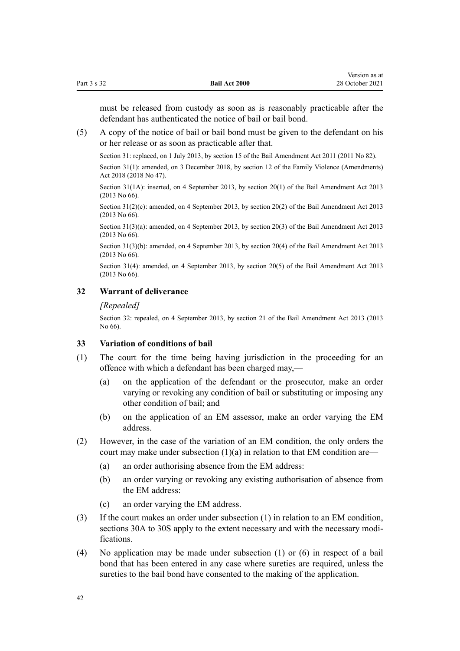<span id="page-41-0"></span>must be released from custody as soon as is reasonably practicable after the defendant has authenticated the notice of bail or bail bond.

(5) A copy of the notice of bail or bail bond must be given to the defendant on his or her release or as soon as practicable after that.

Section 31: replaced, on 1 July 2013, by [section 15](http://legislation.govt.nz/pdflink.aspx?id=DLM4057416) of the Bail Amendment Act 2011 (2011 No 82).

Section 31(1): amended, on 3 December 2018, by [section 12](http://legislation.govt.nz/pdflink.aspx?id=LMS113458) of the Family Violence (Amendments) Act 2018 (2018 No 47).

Section 31(1A): inserted, on 4 September 2013, by [section 20\(1\)](http://legislation.govt.nz/pdflink.aspx?id=DLM4454189) of the Bail Amendment Act 2013 (2013 No 66).

Section 31(2)(c): amended, on 4 September 2013, by [section 20\(2\)](http://legislation.govt.nz/pdflink.aspx?id=DLM4454189) of the Bail Amendment Act 2013 (2013 No 66).

Section 31(3)(a): amended, on 4 September 2013, by [section 20\(3\)](http://legislation.govt.nz/pdflink.aspx?id=DLM4454189) of the Bail Amendment Act 2013 (2013 No 66).

Section 31(3)(b): amended, on 4 September 2013, by [section 20\(4\)](http://legislation.govt.nz/pdflink.aspx?id=DLM4454189) of the Bail Amendment Act 2013 (2013 No 66).

Section 31(4): amended, on 4 September 2013, by [section 20\(5\)](http://legislation.govt.nz/pdflink.aspx?id=DLM4454189) of the Bail Amendment Act 2013 (2013 No 66).

## **32 Warrant of deliverance**

#### *[Repealed]*

Section 32: repealed, on 4 September 2013, by [section 21](http://legislation.govt.nz/pdflink.aspx?id=DLM4454152) of the Bail Amendment Act 2013 (2013 No 66).

## **33 Variation of conditions of bail**

- (1) The court for the time being having jurisdiction in the proceeding for an offence with which a defendant has been charged may,—
	- (a) on the application of the defendant or the prosecutor, make an order varying or revoking any condition of bail or substituting or imposing any other condition of bail; and
	- (b) on the application of an EM assessor, make an order varying the EM address.
- (2) However, in the case of the variation of an EM condition, the only orders the court may make under subsection  $(1)(a)$  in relation to that EM condition are—
	- (a) an order authorising absence from the EM address:
	- (b) an order varying or revoking any existing authorisation of absence from the EM address:
	- (c) an order varying the EM address.
- (3) If the court makes an order under subsection (1) in relation to an EM condition, [sections 30A to 30S](#page-28-0) apply to the extent necessary and with the necessary modifications.
- (4) No application may be made under subsection (1) or (6) in respect of a bail bond that has been entered in any case where sureties are required, unless the sureties to the bail bond have consented to the making of the application.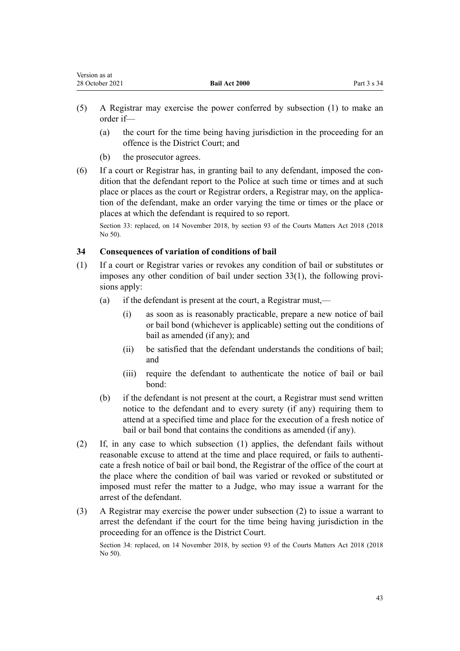- <span id="page-42-0"></span>(5) A Registrar may exercise the power conferred by subsection (1) to make an order if—
	- (a) the court for the time being having jurisdiction in the proceeding for an offence is the District Court; and
	- (b) the prosecutor agrees.
- $(6)$  If a court or Registrar has, in granting bail to any defendant, imposed the condition that the defendant report to the Police at such time or times and at such place or places as the court or Registrar orders, a Registrar may, on the application of the defendant, make an order varying the time or times or the place or places at which the defendant is required to so report.

Section 33: replaced, on 14 November 2018, by [section 93](http://legislation.govt.nz/pdflink.aspx?id=DLM7371793) of the Courts Matters Act 2018 (2018 No 50).

## **34 Consequences of variation of conditions of bail**

- (1) If a court or Registrar varies or revokes any condition of bail or substitutes or imposes any other condition of bail under section  $33(1)$ , the following provisions apply:
	- (a) if the defendant is present at the court, a Registrar must,—
		- (i) as soon as is reasonably practicable, prepare a new notice of bail or bail bond (whichever is applicable) setting out the conditions of bail as amended (if any); and
		- (ii) be satisfied that the defendant understands the conditions of bail; and
		- (iii) require the defendant to authenticate the notice of bail or bail bond:
	- (b) if the defendant is not present at the court, a Registrar must send written notice to the defendant and to every surety (if any) requiring them to attend at a specified time and place for the execution of a fresh notice of bail or bail bond that contains the conditions as amended (if any).
- (2) If, in any case to which subsection (1) applies, the defendant fails without reasonable excuse to attend at the time and place required, or fails to authenticate a fresh notice of bail or bail bond, the Registrar of the office of the court at the place where the condition of bail was varied or revoked or substituted or imposed must refer the matter to a Judge, who may issue a warrant for the arrest of the defendant.
- (3) A Registrar may exercise the power under subsection (2) to issue a warrant to arrest the defendant if the court for the time being having jurisdiction in the proceeding for an offence is the District Court.

Section 34: replaced, on 14 November 2018, by [section 93](http://legislation.govt.nz/pdflink.aspx?id=DLM7371793) of the Courts Matters Act 2018 (2018 No 50).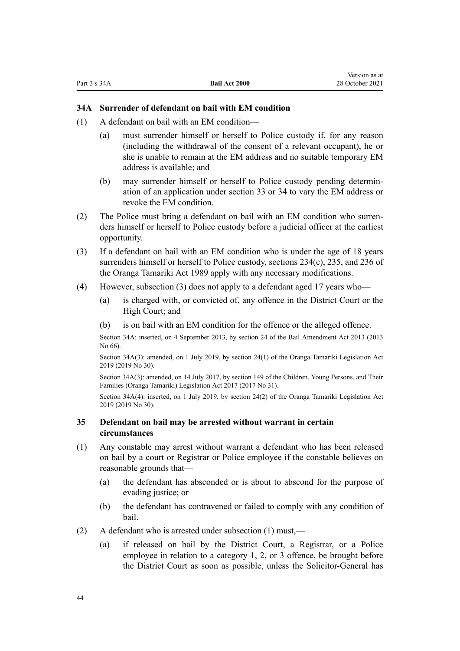## <span id="page-43-0"></span>**34A Surrender of defendant on bail with EM condition**

- (1) A defendant on bail with an EM condition—
	- (a) must surrender himself or herself to Police custody if, for any reason (including the withdrawal of the consent of a relevant occupant), he or she is unable to remain at the EM address and no suitable temporary EM address is available; and
	- (b) may surrender himself or herself to Police custody pending determin‐ ation of an application under [section 33](#page-41-0) or [34](#page-42-0) to vary the EM address or revoke the EM condition.
- (2) The Police must bring a defendant on bail with an EM condition who surren‐ ders himself or herself to Police custody before a judicial officer at the earliest opportunity.
- (3) If a defendant on bail with an EM condition who is under the age of 18 years surrenders himself or herself to Police custody, [sections 234\(c\)](http://legislation.govt.nz/pdflink.aspx?id=DLM152939), [235](http://legislation.govt.nz/pdflink.aspx?id=DLM152943), and [236](http://legislation.govt.nz/pdflink.aspx?id=DLM152945) of the Oranga Tamariki Act 1989 apply with any necessary modifications.
- (4) However, subsection (3) does not apply to a defendant aged 17 years who—
	- (a) is charged with, or convicted of, any offence in the District Court or the High Court; and
	- (b) is on bail with an EM condition for the offence or the alleged offence.

Section 34A: inserted, on 4 September 2013, by [section 24](http://legislation.govt.nz/pdflink.aspx?id=DLM4454192) of the Bail Amendment Act 2013 (2013 No 66).

Section 34A(3): amended, on 1 July 2019, by [section 24\(1\)](http://legislation.govt.nz/pdflink.aspx?id=LMS158692) of the Oranga Tamariki Legislation Act 2019 (2019 No 30).

Section 34A(3): amended, on 14 July 2017, by [section 149](http://legislation.govt.nz/pdflink.aspx?id=DLM7287401) of the Children, Young Persons, and Their Families (Oranga Tamariki) Legislation Act 2017 (2017 No 31).

Section 34A(4): inserted, on 1 July 2019, by [section 24\(2\)](http://legislation.govt.nz/pdflink.aspx?id=LMS158692) of the Oranga Tamariki Legislation Act 2019 (2019 No 30).

### **35 Defendant on bail may be arrested without warrant in certain circumstances**

- (1) Any constable may arrest without warrant a defendant who has been released on bail by a court or Registrar or Police employee if the constable believes on reasonable grounds that—
	- (a) the defendant has absconded or is about to abscond for the purpose of evading justice; or
	- (b) the defendant has contravened or failed to comply with any condition of bail.
- (2) A defendant who is arrested under subsection (1) must,—
	- (a) if released on bail by the District Court, a Registrar, or a Police employee in relation to a category 1, 2, or 3 offence, be brought before the District Court as soon as possible, unless the Solicitor-General has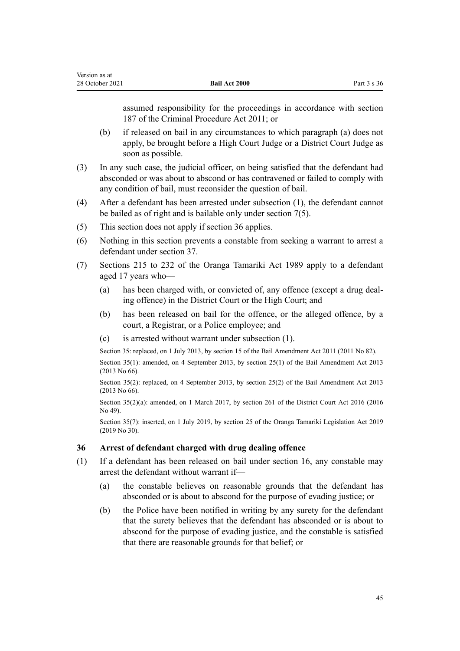<span id="page-44-0"></span>assumed responsibility for the proceedings in accordance with [section](http://legislation.govt.nz/pdflink.aspx?id=DLM3360321) [187](http://legislation.govt.nz/pdflink.aspx?id=DLM3360321) of the Criminal Procedure Act 2011; or

- (b) if released on bail in any circumstances to which paragraph (a) does not apply, be brought before a High Court Judge or a District Court Judge as soon as possible.
- (3) In any such case, the judicial officer, on being satisfied that the defendant had absconded or was about to abscond or has contravened or failed to comply with any condition of bail, must reconsider the question of bail.
- (4) After a defendant has been arrested under subsection (1), the defendant cannot be bailed as of right and is bailable only under [section 7\(5\).](#page-9-0)
- (5) This section does not apply if section 36 applies.
- (6) Nothing in this section prevents a constable from seeking a warrant to arrest a defendant under [section 37](#page-46-0).
- (7) [Sections 215 to 232](http://legislation.govt.nz/pdflink.aspx?id=DLM152905) of the Oranga Tamariki Act 1989 apply to a defendant aged 17 years who—
	- (a) has been charged with, or convicted of, any offence (except a drug deal‐ ing offence) in the District Court or the High Court; and
	- (b) has been released on bail for the offence, or the alleged offence, by a court, a Registrar, or a Police employee; and
	- (c) is arrested without warrant under subsection (1).

Section 35: replaced, on 1 July 2013, by [section 15](http://legislation.govt.nz/pdflink.aspx?id=DLM4057416) of the Bail Amendment Act 2011 (2011 No 82).

Section 35(1): amended, on 4 September 2013, by [section 25\(1\)](http://legislation.govt.nz/pdflink.aspx?id=DLM4454194) of the Bail Amendment Act 2013 (2013 No 66).

Section 35(2): replaced, on 4 September 2013, by [section 25\(2\)](http://legislation.govt.nz/pdflink.aspx?id=DLM4454194) of the Bail Amendment Act 2013 (2013 No 66).

Section 35(2)(a): amended, on 1 March 2017, by [section 261](http://legislation.govt.nz/pdflink.aspx?id=DLM6942680) of the District Court Act 2016 (2016) No 49).

Section 35(7): inserted, on 1 July 2019, by [section 25](http://legislation.govt.nz/pdflink.aspx?id=LMS158693) of the Oranga Tamariki Legislation Act 2019 (2019 No 30).

### **36 Arrest of defendant charged with drug dealing offence**

- (1) If a defendant has been released on bail under [section 16](#page-19-0), any constable may arrest the defendant without warrant if—
	- (a) the constable believes on reasonable grounds that the defendant has absconded or is about to abscond for the purpose of evading justice; or
	- (b) the Police have been notified in writing by any surety for the defendant that the surety believes that the defendant has absconded or is about to abscond for the purpose of evading justice, and the constable is satisfied that there are reasonable grounds for that belief; or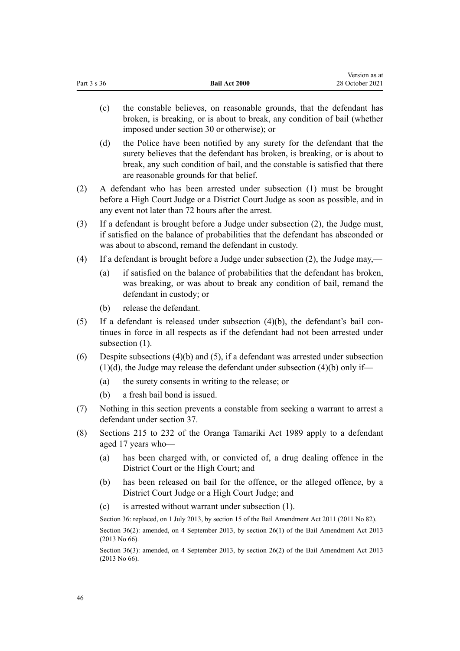| (c) | the constable believes, on reasonable grounds, that the defendant has                                                                              |
|-----|----------------------------------------------------------------------------------------------------------------------------------------------------|
|     | broken, is breaking, or is about to break, any condition of bail (whether<br>imposed under section 30 or otherwise); or                            |
| (d) | the Police have been notified by any surety for the defendant that the<br>surety believes that the defendant has broken is breaking or is about to |

surety believes that the defendant has broken, is breaking, or is about to break, any such condition of bail, and the constable is satisfied that there are reasonable grounds for that belief.

Version as at 28 October 2021

- (2) A defendant who has been arrested under subsection (1) must be brought before a High Court Judge or a District Court Judge as soon as possible, and in any event not later than 72 hours after the arrest.
- (3) If a defendant is brought before a Judge under subsection (2), the Judge must, if satisfied on the balance of probabilities that the defendant has absconded or was about to abscond, remand the defendant in custody.
- (4) If a defendant is brought before a Judge under subsection (2), the Judge may,—
	- (a) if satisfied on the balance of probabilities that the defendant has broken, was breaking, or was about to break any condition of bail, remand the defendant in custody; or
	- (b) release the defendant.

Part 3 s 36 **Bail Act 2000**

- (5) If a defendant is released under subsection  $(4)(b)$ , the defendant's bail continues in force in all respects as if the defendant had not been arrested under subsection (1).
- (6) Despite subsections (4)(b) and (5), if a defendant was arrested under subsection  $(1)(d)$ , the Judge may release the defendant under subsection  $(4)(b)$  only if—
	- (a) the surety consents in writing to the release; or
	- (b) a fresh bail bond is issued.
- (7) Nothing in this section prevents a constable from seeking a warrant to arrest a defendant under [section 37](#page-46-0).
- (8) [Sections 215 to 232](http://legislation.govt.nz/pdflink.aspx?id=DLM152905) of the Oranga Tamariki Act 1989 apply to a defendant aged 17 years who—
	- (a) has been charged with, or convicted of, a drug dealing offence in the District Court or the High Court; and
	- (b) has been released on bail for the offence, or the alleged offence, by a District Court Judge or a High Court Judge; and
	- (c) is arrested without warrant under subsection (1).

Section 36: replaced, on 1 July 2013, by [section 15](http://legislation.govt.nz/pdflink.aspx?id=DLM4057416) of the Bail Amendment Act 2011 (2011 No 82). Section 36(2): amended, on 4 September 2013, by [section 26\(1\)](http://legislation.govt.nz/pdflink.aspx?id=DLM4454166) of the Bail Amendment Act 2013 (2013 No 66).

Section 36(3): amended, on 4 September 2013, by [section 26\(2\)](http://legislation.govt.nz/pdflink.aspx?id=DLM4454166) of the Bail Amendment Act 2013 (2013 No 66).

46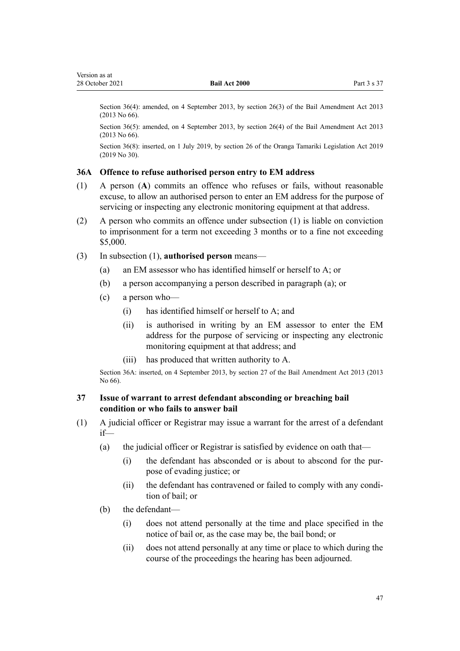<span id="page-46-0"></span>Section 36(4): amended, on 4 September 2013, by [section 26\(3\)](http://legislation.govt.nz/pdflink.aspx?id=DLM4454166) of the Bail Amendment Act 2013 (2013 No 66).

Section 36(5): amended, on 4 September 2013, by [section 26\(4\)](http://legislation.govt.nz/pdflink.aspx?id=DLM4454166) of the Bail Amendment Act 2013 (2013 No 66).

Section 36(8): inserted, on 1 July 2019, by [section 26](http://legislation.govt.nz/pdflink.aspx?id=LMS158694) of the Oranga Tamariki Legislation Act 2019 (2019 No 30).

### **36A Offence to refuse authorised person entry to EM address**

- (1) A person (**A**) commits an offence who refuses or fails, without reasonable excuse, to allow an authorised person to enter an EM address for the purpose of servicing or inspecting any electronic monitoring equipment at that address.
- (2) A person who commits an offence under subsection (1) is liable on conviction to imprisonment for a term not exceeding 3 months or to a fine not exceeding \$5,000.
- (3) In subsection (1), **authorised person** means—
	- (a) an EM assessor who has identified himself or herself to A; or
	- (b) a person accompanying a person described in paragraph (a); or
	- (c) a person who—
		- (i) has identified himself or herself to A; and
		- (ii) is authorised in writing by an EM assessor to enter the EM address for the purpose of servicing or inspecting any electronic monitoring equipment at that address; and
		- (iii) has produced that written authority to A.

Section 36A: inserted, on 4 September 2013, by [section 27](http://legislation.govt.nz/pdflink.aspx?id=DLM4454196) of the Bail Amendment Act 2013 (2013 No 66).

## **37 Issue of warrant to arrest defendant absconding or breaching bail condition or who fails to answer bail**

- (1) A judicial officer or Registrar may issue a warrant for the arrest of a defendant if—
	- (a) the judicial officer or Registrar is satisfied by evidence on oath that—
		- (i) the defendant has absconded or is about to abscond for the pur‐ pose of evading justice; or
		- (ii) the defendant has contravened or failed to comply with any condi‐ tion of bail; or
	- (b) the defendant—
		- (i) does not attend personally at the time and place specified in the notice of bail or, as the case may be, the bail bond; or
		- (ii) does not attend personally at any time or place to which during the course of the proceedings the hearing has been adjourned.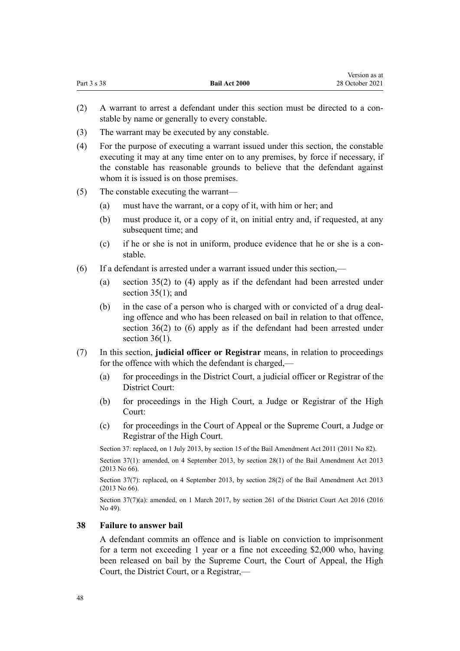<span id="page-47-0"></span>

|             |                      | Version as at   |
|-------------|----------------------|-----------------|
| Part 3 s 38 | <b>Bail Act 2000</b> | 28 October 2021 |

- (2) A warrant to arrest a defendant under this section must be directed to a con‐ stable by name or generally to every constable.
- (3) The warrant may be executed by any constable.
- (4) For the purpose of executing a warrant issued under this section, the constable executing it may at any time enter on to any premises, by force if necessary, if the constable has reasonable grounds to believe that the defendant against whom it is issued is on those premises.
- (5) The constable executing the warrant—
	- (a) must have the warrant, or a copy of it, with him or her; and
	- (b) must produce it, or a copy of it, on initial entry and, if requested, at any subsequent time; and
	- (c) if he or she is not in uniform, produce evidence that he or she is a constable.
- (6) If a defendant is arrested under a warrant issued under this section,—
	- (a) [section 35\(2\) to \(4\)](#page-43-0) apply as if the defendant had been arrested under section 35(1); and
	- (b) in the case of a person who is charged with or convicted of a drug dealing offence and who has been released on bail in relation to that offence, [section 36\(2\) to \(6\)](#page-44-0) apply as if the defendant had been arrested under section  $36(1)$ .
- (7) In this section, **judicial officer or Registrar** means, in relation to proceedings for the offence with which the defendant is charged,—
	- (a) for proceedings in the District Court, a judicial officer or Registrar of the District Court:
	- (b) for proceedings in the High Court, a Judge or Registrar of the High Court:
	- (c) for proceedings in the Court of Appeal or the Supreme Court, a Judge or Registrar of the High Court.

Section 37: replaced, on 1 July 2013, by [section 15](http://legislation.govt.nz/pdflink.aspx?id=DLM4057416) of the Bail Amendment Act 2011 (2011 No 82).

Section 37(1): amended, on 4 September 2013, by [section 28\(1\)](http://legislation.govt.nz/pdflink.aspx?id=DLM4869205) of the Bail Amendment Act 2013 (2013 No 66).

Section 37(7): replaced, on 4 September 2013, by [section 28\(2\)](http://legislation.govt.nz/pdflink.aspx?id=DLM4869205) of the Bail Amendment Act 2013 (2013 No 66).

Section 37(7)(a): amended, on 1 March 2017, by [section 261](http://legislation.govt.nz/pdflink.aspx?id=DLM6942680) of the District Court Act 2016 (2016) No 49).

## **38 Failure to answer bail**

A defendant commits an offence and is liable on conviction to imprisonment for a term not exceeding 1 year or a fine not exceeding \$2,000 who, having been released on bail by the Supreme Court, the Court of Appeal, the High Court, the District Court, or a Registrar,—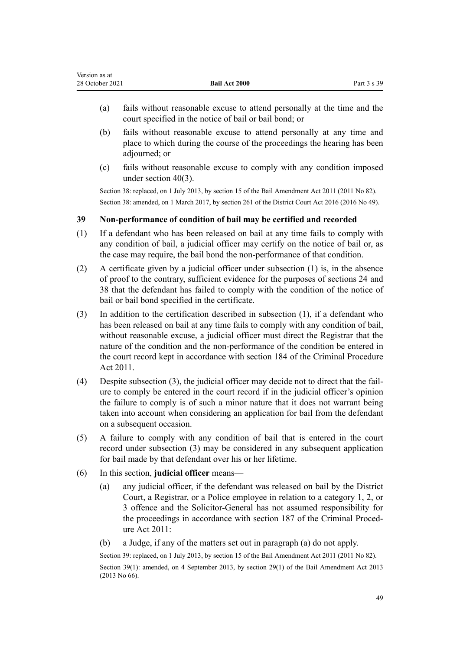<span id="page-48-0"></span>

| Version as at   |                      |             |
|-----------------|----------------------|-------------|
| 28 October 2021 | <b>Bail Act 2000</b> | Part 3 s 39 |

- (a) fails without reasonable excuse to attend personally at the time and the court specified in the notice of bail or bail bond; or
- (b) fails without reasonable excuse to attend personally at any time and place to which during the course of the proceedings the hearing has been adjourned; or
- (c) fails without reasonable excuse to comply with any condition imposed under [section 40\(3\).](#page-49-0)

Section 38: replaced, on 1 July 2013, by [section 15](http://legislation.govt.nz/pdflink.aspx?id=DLM4057416) of the Bail Amendment Act 2011 (2011 No 82). Section 38: amended, on 1 March 2017, by [section 261](http://legislation.govt.nz/pdflink.aspx?id=DLM6942680) of the District Court Act 2016 (2016 No 49).

## **39 Non-performance of condition of bail may be certified and recorded**

- (1) If a defendant who has been released on bail at any time fails to comply with any condition of bail, a judicial officer may certify on the notice of bail or, as the case may require, the bail bond the non-performance of that condition.
- (2) A certificate given by a judicial officer under subsection (1) is, in the absence of proof to the contrary, sufficient evidence for the purposes of [sections 24](#page-24-0) and [38](#page-47-0) that the defendant has failed to comply with the condition of the notice of bail or bail bond specified in the certificate.
- (3) In addition to the certification described in subsection (1), if a defendant who has been released on bail at any time fails to comply with any condition of bail, without reasonable excuse, a judicial officer must direct the Registrar that the nature of the condition and the non-performance of the condition be entered in the court record kept in accordance with [section 184](http://legislation.govt.nz/pdflink.aspx?id=DLM3360317) of the Criminal Procedure Act 2011.
- (4) Despite subsection (3), the judicial officer may decide not to direct that the fail‐ ure to comply be entered in the court record if in the judicial officer's opinion the failure to comply is of such a minor nature that it does not warrant being taken into account when considering an application for bail from the defendant on a subsequent occasion.
- (5) A failure to comply with any condition of bail that is entered in the court record under subsection (3) may be considered in any subsequent application for bail made by that defendant over his or her lifetime.
- (6) In this section, **judicial officer** means—
	- (a) any judicial officer, if the defendant was released on bail by the District Court, a Registrar, or a Police employee in relation to a category 1, 2, or 3 offence and the Solicitor-General has not assumed responsibility for the proceedings in accordance with [section 187](http://legislation.govt.nz/pdflink.aspx?id=DLM3360321) of the Criminal Procedure Act 2011:
	- (b) a Judge, if any of the matters set out in paragraph (a) do not apply.

Section 39: replaced, on 1 July 2013, by [section 15](http://legislation.govt.nz/pdflink.aspx?id=DLM4057416) of the Bail Amendment Act 2011 (2011 No 82). Section 39(1): amended, on 4 September 2013, by [section 29\(1\)](http://legislation.govt.nz/pdflink.aspx?id=DLM4869207) of the Bail Amendment Act 2013 (2013 No 66).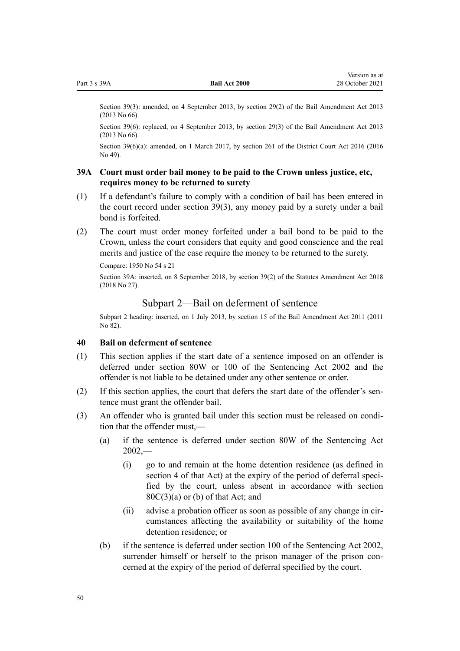<span id="page-49-0"></span>Section 39(3): amended, on 4 September 2013, by [section 29\(2\)](http://legislation.govt.nz/pdflink.aspx?id=DLM4869207) of the Bail Amendment Act 2013 (2013 No 66).

Section 39(6): replaced, on 4 September 2013, by [section 29\(3\)](http://legislation.govt.nz/pdflink.aspx?id=DLM4869207) of the Bail Amendment Act 2013 (2013 No 66).

Section 39(6)(a): amended, on 1 March 2017, by [section 261](http://legislation.govt.nz/pdflink.aspx?id=DLM6942680) of the District Court Act 2016 (2016 No 49).

## **39A Court must order bail money to be paid to the Crown unless justice, etc, requires money to be returned to surety**

- (1) If a defendant's failure to comply with a condition of bail has been entered in the court record under [section 39\(3\),](#page-48-0) any money paid by a surety under a bail bond is forfeited.
- (2) The court must order money forfeited under a bail bond to be paid to the Crown, unless the court considers that equity and good conscience and the real merits and justice of the case require the money to be returned to the surety.

Compare: 1950 No 54 [s 21](http://legislation.govt.nz/pdflink.aspx?id=DLM261962)

Section 39A: inserted, on 8 September 2018, by [section 39\(2\)](http://legislation.govt.nz/pdflink.aspx?id=DLM7227102) of the Statutes Amendment Act 2018 (2018 No 27).

## Subpart 2—Bail on deferment of sentence

Subpart 2 heading: inserted, on 1 July 2013, by [section 15](http://legislation.govt.nz/pdflink.aspx?id=DLM4057416) of the Bail Amendment Act 2011 (2011 No 82).

### **40 Bail on deferment of sentence**

- (1) This section applies if the start date of a sentence imposed on an offender is deferred under [section 80W](http://legislation.govt.nz/pdflink.aspx?id=DLM136423) or [100](http://legislation.govt.nz/pdflink.aspx?id=DLM136489) of the Sentencing Act 2002 and the offender is not liable to be detained under any other sentence or order.
- $(2)$  If this section applies, the court that defers the start date of the offender's sentence must grant the offender bail.
- (3) An offender who is granted bail under this section must be released on condition that the offender must,—
	- (a) if the sentence is deferred under [section 80W](http://legislation.govt.nz/pdflink.aspx?id=DLM136423) of the Sentencing Act  $2002, -$ 
		- (i) go to and remain at the home detention residence (as defined in [section 4](http://legislation.govt.nz/pdflink.aspx?id=DLM135350) of that Act) at the expiry of the period of deferral specified by the court, unless absent in accordance with [section](http://legislation.govt.nz/pdflink.aspx?id=DLM136403)  $80C(3)(a)$  or (b) of that Act; and
		- (ii) advise a probation officer as soon as possible of any change in cir‐ cumstances affecting the availability or suitability of the home detention residence; or
	- (b) if the sentence is deferred under [section 100](http://legislation.govt.nz/pdflink.aspx?id=DLM136489) of the Sentencing Act 2002, surrender himself or herself to the prison manager of the prison concerned at the expiry of the period of deferral specified by the court.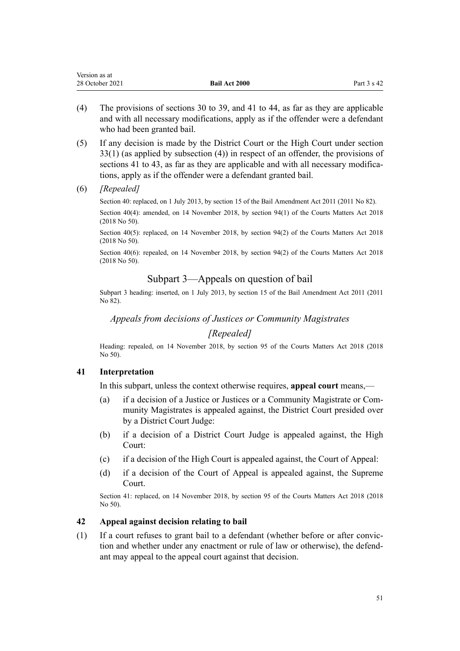<span id="page-50-0"></span>

| Version as at   |                      |                        |
|-----------------|----------------------|------------------------|
| 28 October 2021 | <b>Bail Act 2000</b> | Part $3 \text{ s } 42$ |

- (4) The provisions of [sections 30 to 39](#page-26-0), and 41 to 44, as far as they are applicable and with all necessary modifications, apply as if the offender were a defendant who had been granted bail.
- (5) If any decision is made by the District Court or the High Court under [section](#page-41-0) [33\(1\)](#page-41-0) (as applied by subsection (4)) in respect of an offender, the provisions of sections 41 to 43, as far as they are applicable and with all necessary modifications, apply as if the offender were a defendant granted bail.
- (6) *[Repealed]*

Section 40: replaced, on 1 July 2013, by [section 15](http://legislation.govt.nz/pdflink.aspx?id=DLM4057416) of the Bail Amendment Act 2011 (2011 No 82). Section 40(4): amended, on 14 November 2018, by [section 94\(1\)](http://legislation.govt.nz/pdflink.aspx?id=LMS45963) of the Courts Matters Act 2018 (2018 No 50).

Section 40(5): replaced, on 14 November 2018, by [section 94\(2\)](http://legislation.govt.nz/pdflink.aspx?id=LMS45963) of the Courts Matters Act 2018 (2018 No 50).

Section 40(6): repealed, on 14 November 2018, by [section 94\(2\)](http://legislation.govt.nz/pdflink.aspx?id=LMS45963) of the Courts Matters Act 2018 (2018 No 50).

## Subpart 3—Appeals on question of bail

Subpart 3 heading: inserted, on 1 July 2013, by [section 15](http://legislation.govt.nz/pdflink.aspx?id=DLM4057416) of the Bail Amendment Act 2011 (2011 No 82).

*Appeals from decisions of Justices or Community Magistrates*

## *[Repealed]*

Heading: repealed, on 14 November 2018, by [section 95](http://legislation.govt.nz/pdflink.aspx?id=DLM7371796) of the Courts Matters Act 2018 (2018 No 50).

### **41 Interpretation**

In this subpart, unless the context otherwise requires, **appeal court** means,—

- (a) if a decision of a Justice or Justices or a Community Magistrate or Com‐ munity Magistrates is appealed against, the District Court presided over by a District Court Judge:
- (b) if a decision of a District Court Judge is appealed against, the High Court:
- (c) if a decision of the High Court is appealed against, the Court of Appeal:
- (d) if a decision of the Court of Appeal is appealed against, the Supreme Court.

Section 41: replaced, on 14 November 2018, by [section 95](http://legislation.govt.nz/pdflink.aspx?id=DLM7371796) of the Courts Matters Act 2018 (2018 No 50).

## **42 Appeal against decision relating to bail**

(1) If a court refuses to grant bail to a defendant (whether before or after convic‐ tion and whether under any enactment or rule of law or otherwise), the defend‐ ant may appeal to the appeal court against that decision.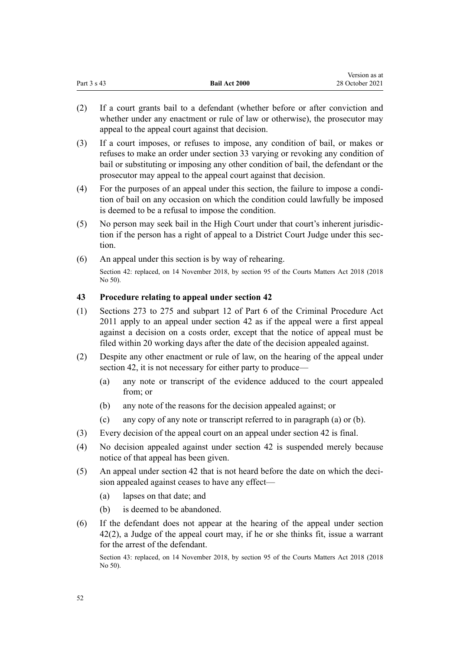<span id="page-51-0"></span>

|             |                      | Version as at   |
|-------------|----------------------|-----------------|
| Part 3 s 43 | <b>Bail Act 2000</b> | 28 October 2021 |

- (2) If a court grants bail to a defendant (whether before or after conviction and whether under any enactment or rule of law or otherwise), the prosecutor may appeal to the appeal court against that decision.
- (3) If a court imposes, or refuses to impose, any condition of bail, or makes or refuses to make an order under [section 33](#page-41-0) varying or revoking any condition of bail or substituting or imposing any other condition of bail, the defendant or the prosecutor may appeal to the appeal court against that decision.
- (4) For the purposes of an appeal under this section, the failure to impose a condi‐ tion of bail on any occasion on which the condition could lawfully be imposed is deemed to be a refusal to impose the condition.
- (5) No person may seek bail in the High Court under that court's inherent jurisdic‐ tion if the person has a right of appeal to a District Court Judge under this section.
- (6) An appeal under this section is by way of rehearing. Section 42: replaced, on 14 November 2018, by [section 95](http://legislation.govt.nz/pdflink.aspx?id=DLM7371796) of the Courts Matters Act 2018 (2018 No 50).

### **43 Procedure relating to appeal under section 42**

- (1) [Sections 273 to 275](http://legislation.govt.nz/pdflink.aspx?id=DLM3360455) and [subpart 12](http://legislation.govt.nz/pdflink.aspx?id=DLM3360509) of Part 6 of the Criminal Procedure Act 2011 apply to an appeal under [section 42](#page-50-0) as if the appeal were a first appeal against a decision on a costs order, except that the notice of appeal must be filed within 20 working days after the date of the decision appealed against.
- (2) Despite any other enactment or rule of law, on the hearing of the appeal under [section 42](#page-50-0), it is not necessary for either party to produce—
	- (a) any note or transcript of the evidence adduced to the court appealed from; or
	- (b) any note of the reasons for the decision appealed against; or
	- (c) any copy of any note or transcript referred to in paragraph (a) or (b).
- (3) Every decision of the appeal court on an appeal under [section 42](#page-50-0) is final.
- (4) No decision appealed against under [section 42](#page-50-0) is suspended merely because notice of that appeal has been given.
- (5) An appeal under [section 42](#page-50-0) that is not heard before the date on which the deci‐ sion appealed against ceases to have any effect—
	- (a) lapses on that date; and
	- (b) is deemed to be abandoned.
- (6) If the defendant does not appear at the hearing of the appeal under [section](#page-50-0) [42\(2\)](#page-50-0), a Judge of the appeal court may, if he or she thinks fit, issue a warrant for the arrest of the defendant.

Section 43: replaced, on 14 November 2018, by [section 95](http://legislation.govt.nz/pdflink.aspx?id=DLM7371796) of the Courts Matters Act 2018 (2018 No 50).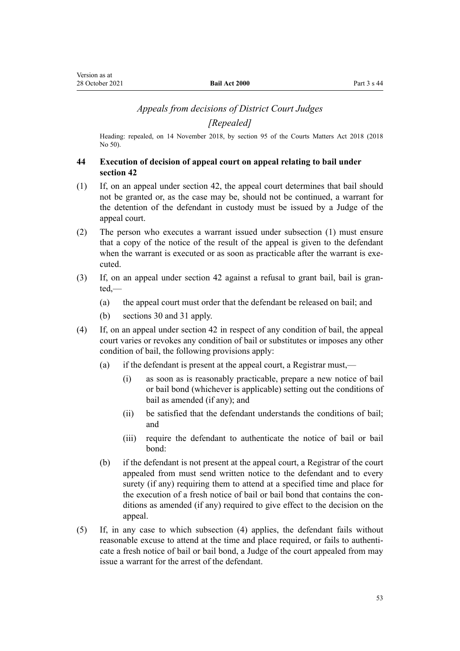## *Appeals from decisions of District Court Judges*

*[Repealed]*

<span id="page-52-0"></span>Heading: repealed, on 14 November 2018, by [section 95](http://legislation.govt.nz/pdflink.aspx?id=DLM7371796) of the Courts Matters Act 2018 (2018 No 50).

## **44 Execution of decision of appeal court on appeal relating to bail under section 42**

- (1) If, on an appeal under [section 42](#page-50-0), the appeal court determines that bail should not be granted or, as the case may be, should not be continued, a warrant for the detention of the defendant in custody must be issued by a Judge of the appeal court.
- (2) The person who executes a warrant issued under subsection (1) must ensure that a copy of the notice of the result of the appeal is given to the defendant when the warrant is executed or as soon as practicable after the warrant is executed.
- (3) If, on an appeal under [section 42](#page-50-0) against a refusal to grant bail, bail is gran‐ ted,—
	- (a) the appeal court must order that the defendant be released on bail; and
	- (b) [sections 30](#page-26-0) and [31](#page-40-0) apply.
- (4) If, on an appeal under [section 42](#page-50-0) in respect of any condition of bail, the appeal court varies or revokes any condition of bail or substitutes or imposes any other condition of bail, the following provisions apply:
	- (a) if the defendant is present at the appeal court, a Registrar must,—
		- (i) as soon as is reasonably practicable, prepare a new notice of bail or bail bond (whichever is applicable) setting out the conditions of bail as amended (if any); and
		- (ii) be satisfied that the defendant understands the conditions of bail; and
		- (iii) require the defendant to authenticate the notice of bail or bail bond:
	- (b) if the defendant is not present at the appeal court, a Registrar of the court appealed from must send written notice to the defendant and to every surety (if any) requiring them to attend at a specified time and place for the execution of a fresh notice of bail or bail bond that contains the conditions as amended (if any) required to give effect to the decision on the appeal.
- (5) If, in any case to which subsection (4) applies, the defendant fails without reasonable excuse to attend at the time and place required, or fails to authenticate a fresh notice of bail or bail bond, a Judge of the court appealed from may issue a warrant for the arrest of the defendant.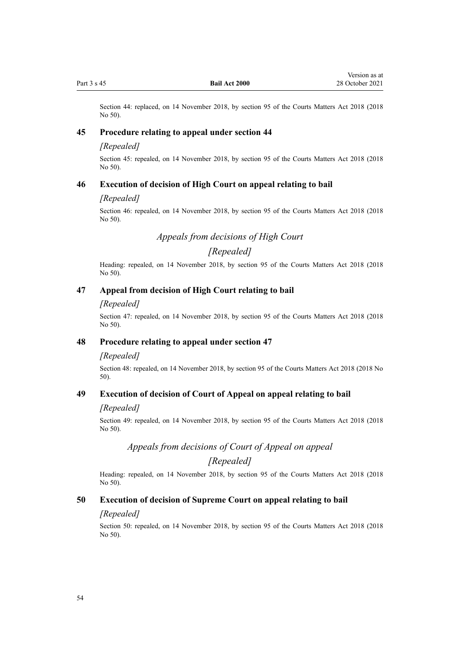Section 44: replaced, on 14 November 2018, by [section 95](http://legislation.govt.nz/pdflink.aspx?id=DLM7371796) of the Courts Matters Act 2018 (2018 No 50).

### **45 Procedure relating to appeal under section 44**

### *[Repealed]*

Section 45: repealed, on 14 November 2018, by [section 95](http://legislation.govt.nz/pdflink.aspx?id=DLM7371796) of the Courts Matters Act 2018 (2018 No 50).

### **46 Execution of decision of High Court on appeal relating to bail**

### *[Repealed]*

Section 46: repealed, on 14 November 2018, by [section 95](http://legislation.govt.nz/pdflink.aspx?id=DLM7371796) of the Courts Matters Act 2018 (2018 No 50).

*Appeals from decisions of High Court*

## *[Repealed]*

Heading: repealed, on 14 November 2018, by [section 95](http://legislation.govt.nz/pdflink.aspx?id=DLM7371796) of the Courts Matters Act 2018 (2018 No 50).

### **47 Appeal from decision of High Court relating to bail**

#### *[Repealed]*

Section 47: repealed, on 14 November 2018, by [section 95](http://legislation.govt.nz/pdflink.aspx?id=DLM7371796) of the Courts Matters Act 2018 (2018 No 50).

## **48 Procedure relating to appeal under section 47**

#### *[Repealed]*

Section 48: repealed, on 14 November 2018, by [section 95](http://legislation.govt.nz/pdflink.aspx?id=DLM7371796) of the Courts Matters Act 2018 (2018 No 50).

## **49 Execution of decision of Court of Appeal on appeal relating to bail**

#### *[Repealed]*

Section 49: repealed, on 14 November 2018, by [section 95](http://legislation.govt.nz/pdflink.aspx?id=DLM7371796) of the Courts Matters Act 2018 (2018 No 50).

## *Appeals from decisions of Court of Appeal on appeal*

## *[Repealed]*

Heading: repealed, on 14 November 2018, by [section 95](http://legislation.govt.nz/pdflink.aspx?id=DLM7371796) of the Courts Matters Act 2018 (2018 No 50).

### **50 Execution of decision of Supreme Court on appeal relating to bail**

#### *[Repealed]*

Section 50: repealed, on 14 November 2018, by [section 95](http://legislation.govt.nz/pdflink.aspx?id=DLM7371796) of the Courts Matters Act 2018 (2018 No 50).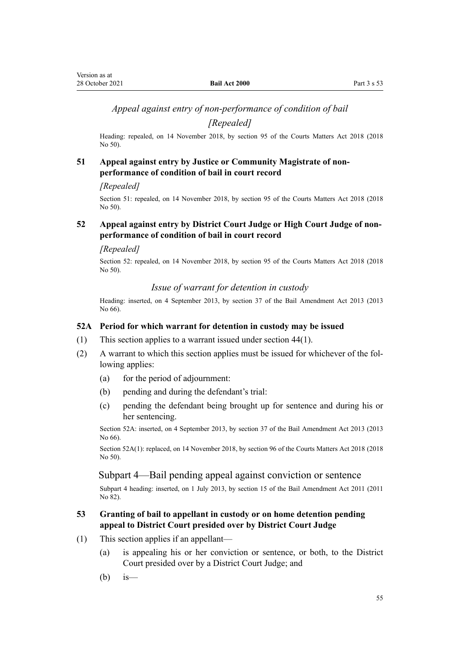## <span id="page-54-0"></span>*Appeal against entry of non-performance of condition of bail*

*[Repealed]*

Heading: repealed, on 14 November 2018, by [section 95](http://legislation.govt.nz/pdflink.aspx?id=DLM7371796) of the Courts Matters Act 2018 (2018 No 50).

## **51 Appeal against entry by Justice or Community Magistrate of nonperformance of condition of bail in court record**

#### *[Repealed]*

Section 51: repealed, on 14 November 2018, by [section 95](http://legislation.govt.nz/pdflink.aspx?id=DLM7371796) of the Courts Matters Act 2018 (2018 No 50).

## **52 Appeal against entry by District Court Judge or High Court Judge of nonperformance of condition of bail in court record**

#### *[Repealed]*

Section 52: repealed, on 14 November 2018, by [section 95](http://legislation.govt.nz/pdflink.aspx?id=DLM7371796) of the Courts Matters Act 2018 (2018 No 50).

*Issue of warrant for detention in custody*

Heading: inserted, on 4 September 2013, by [section 37](http://legislation.govt.nz/pdflink.aspx?id=DLM4869216) of the Bail Amendment Act 2013 (2013 No 66).

## **52A Period for which warrant for detention in custody may be issued**

- (1) This section applies to a warrant issued under [section 44\(1\)](#page-52-0).
- (2) A warrant to which this section applies must be issued for whichever of the fol‐ lowing applies:
	- (a) for the period of adjournment:
	- (b) pending and during the defendant's trial:
	- (c) pending the defendant being brought up for sentence and during his or her sentencing.

Section 52A: inserted, on 4 September 2013, by [section 37](http://legislation.govt.nz/pdflink.aspx?id=DLM4869216) of the Bail Amendment Act 2013 (2013 No 66).

Section 52A(1): replaced, on 14 November 2018, by [section 96](http://legislation.govt.nz/pdflink.aspx?id=LMS45964) of the Courts Matters Act 2018 (2018 No 50).

## Subpart 4—Bail pending appeal against conviction or sentence

Subpart 4 heading: inserted, on 1 July 2013, by [section 15](http://legislation.govt.nz/pdflink.aspx?id=DLM4057416) of the Bail Amendment Act 2011 (2011 No 82).

## **53 Granting of bail to appellant in custody or on home detention pending appeal to District Court presided over by District Court Judge**

- (1) This section applies if an appellant—
	- (a) is appealing his or her conviction or sentence, or both, to the District Court presided over by a District Court Judge; and
	- $(b)$  is —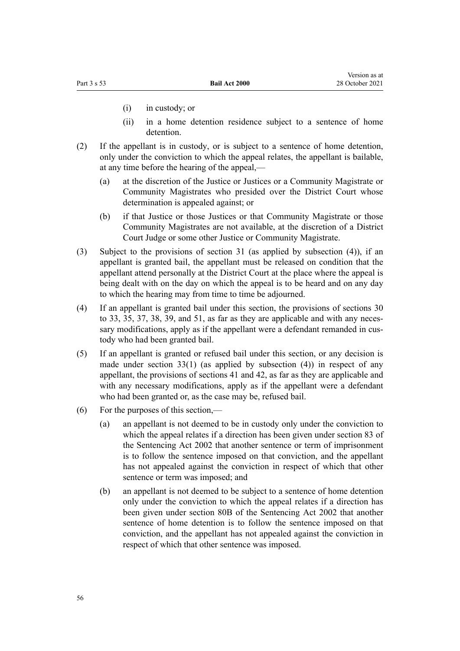- (i) in custody; or
- (ii) in a home detention residence subject to a sentence of home detention.
- (2) If the appellant is in custody, or is subject to a sentence of home detention, only under the conviction to which the appeal relates, the appellant is bailable, at any time before the hearing of the appeal,—
	- (a) at the discretion of the Justice or Justices or a Community Magistrate or Community Magistrates who presided over the District Court whose determination is appealed against; or
	- (b) if that Justice or those Justices or that Community Magistrate or those Community Magistrates are not available, at the discretion of a District Court Judge or some other Justice or Community Magistrate.
- (3) Subject to the provisions of [section 31](#page-40-0) (as applied by subsection (4)), if an appellant is granted bail, the appellant must be released on condition that the appellant attend personally at the District Court at the place where the appeal is being dealt with on the day on which the appeal is to be heard and on any day to which the hearing may from time to time be adjourned.
- (4) If an appellant is granted bail under this section, the provisions of [sections 30](#page-26-0) [to 33](#page-26-0), [35,](#page-43-0) [37,](#page-46-0) [38,](#page-47-0) [39,](#page-48-0) and [51](#page-54-0), as far as they are applicable and with any necessary modifications, apply as if the appellant were a defendant remanded in custody who had been granted bail.
- (5) If an appellant is granted or refused bail under this section, or any decision is made under section  $33(1)$  (as applied by subsection (4)) in respect of any appellant, the provisions of [sections 41](#page-50-0) and [42](#page-50-0), as far as they are applicable and with any necessary modifications, apply as if the appellant were a defendant who had been granted or, as the case may be, refused bail.
- (6) For the purposes of this section,—
	- (a) an appellant is not deemed to be in custody only under the conviction to which the appeal relates if a direction has been given under [section 83](http://legislation.govt.nz/pdflink.aspx?id=DLM136445) of the Sentencing Act 2002 that another sentence or term of imprisonment is to follow the sentence imposed on that conviction, and the appellant has not appealed against the conviction in respect of which that other sentence or term was imposed; and
	- (b) an appellant is not deemed to be subject to a sentence of home detention only under the conviction to which the appeal relates if a direction has been given under [section 80B](http://legislation.govt.nz/pdflink.aspx?id=DLM136402) of the Sentencing Act 2002 that another sentence of home detention is to follow the sentence imposed on that conviction, and the appellant has not appealed against the conviction in respect of which that other sentence was imposed.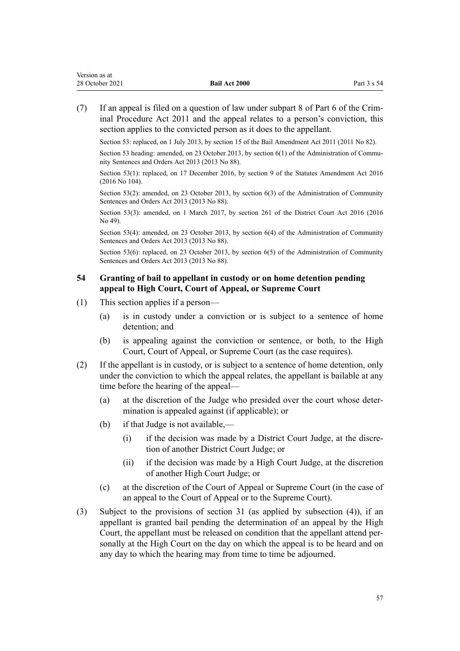<span id="page-56-0"></span>(7) If an appeal is filed on a question of law under [subpart 8](http://legislation.govt.nz/pdflink.aspx?id=DLM3360482) of Part 6 of the Crim‐ inal Procedure Act 2011 and the appeal relates to a person's conviction, this section applies to the convicted person as it does to the appellant.

Section 53: replaced, on 1 July 2013, by [section 15](http://legislation.govt.nz/pdflink.aspx?id=DLM4057416) of the Bail Amendment Act 2011 (2011 No 82).

Section 53 heading: amended, on 23 October 2013, by [section 6\(1\)](http://legislation.govt.nz/pdflink.aspx?id=DLM5342104) of the Administration of Community Sentences and Orders Act 2013 (2013 No 88).

Section 53(1): replaced, on 17 December 2016, by [section 9](http://legislation.govt.nz/pdflink.aspx?id=DLM6623744) of the Statutes Amendment Act 2016 (2016 No 104).

Section 53(2): amended, on 23 October 2013, by [section 6\(3\)](http://legislation.govt.nz/pdflink.aspx?id=DLM5342104) of the Administration of Community Sentences and Orders Act 2013 (2013 No 88).

Section 53(3): amended, on 1 March 2017, by [section 261](http://legislation.govt.nz/pdflink.aspx?id=DLM6942680) of the District Court Act 2016 (2016 No 49).

Section 53(4): amended, on 23 October 2013, by [section 6\(4\)](http://legislation.govt.nz/pdflink.aspx?id=DLM5342104) of the Administration of Community Sentences and Orders Act 2013 (2013 No 88).

Section 53(6): replaced, on 23 October 2013, by [section 6\(5\)](http://legislation.govt.nz/pdflink.aspx?id=DLM5342104) of the Administration of Community Sentences and Orders Act 2013 (2013 No 88).

## **54 Granting of bail to appellant in custody or on home detention pending appeal to High Court, Court of Appeal, or Supreme Court**

- (1) This section applies if a person—
	- (a) is in custody under a conviction or is subject to a sentence of home detention; and
	- (b) is appealing against the conviction or sentence, or both, to the High Court, Court of Appeal, or Supreme Court (as the case requires).
- (2) If the appellant is in custody, or is subject to a sentence of home detention, only under the conviction to which the appeal relates, the appellant is bailable at any time before the hearing of the appeal—
	- (a) at the discretion of the Judge who presided over the court whose deter‐ mination is appealed against (if applicable); or
	- (b) if that Judge is not available,—
		- (i) if the decision was made by a District Court Judge, at the discretion of another District Court Judge; or
		- (ii) if the decision was made by a High Court Judge, at the discretion of another High Court Judge; or
	- (c) at the discretion of the Court of Appeal or Supreme Court (in the case of an appeal to the Court of Appeal or to the Supreme Court).
- (3) Subject to the provisions of [section 31](#page-40-0) (as applied by subsection (4)), if an appellant is granted bail pending the determination of an appeal by the High Court, the appellant must be released on condition that the appellant attend per‐ sonally at the High Court on the day on which the appeal is to be heard and on any day to which the hearing may from time to time be adjourned.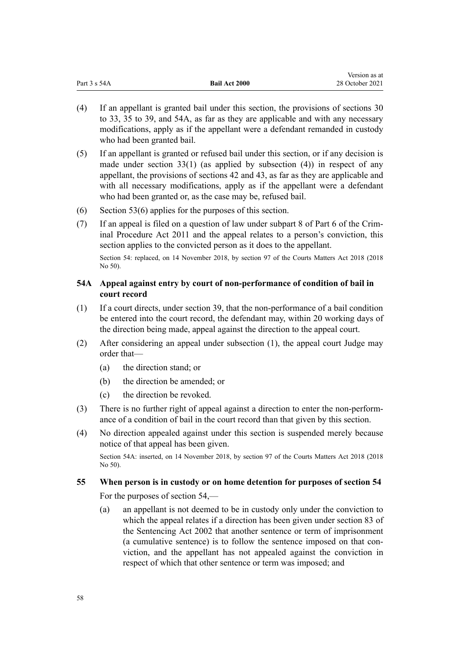|              |                      | Version as at   |
|--------------|----------------------|-----------------|
| Part 3 s 54A | <b>Bail Act 2000</b> | 28 October 2021 |

- (4) If an appellant is granted bail under this section, the provisions of [sections 30](#page-26-0) [to 33](#page-26-0), [35 to 39](#page-43-0), and 54A, as far as they are applicable and with any necessary modifications, apply as if the appellant were a defendant remanded in custody who had been granted bail.
- (5) If an appellant is granted or refused bail under this section, or if any decision is made under section  $33(1)$  (as applied by subsection (4)) in respect of any appellant, the provisions of [sections 42](#page-50-0) and [43](#page-51-0), as far as they are applicable and with all necessary modifications, apply as if the appellant were a defendant who had been granted or, as the case may be, refused bail.
- (6) [Section 53\(6\)](#page-54-0) applies for the purposes of this section.
- (7) If an appeal is filed on a question of law under [subpart 8](http://legislation.govt.nz/pdflink.aspx?id=DLM3360482) of Part 6 of the Crim‐ inal Procedure Act 2011 and the appeal relates to a person's conviction, this section applies to the convicted person as it does to the appellant.

Section 54: replaced, on 14 November 2018, by [section 97](http://legislation.govt.nz/pdflink.aspx?id=DLM7371803) of the Courts Matters Act 2018 (2018 No 50).

## **54A Appeal against entry by court of non-performance of condition of bail in court record**

- (1) If a court directs, under [section 39,](#page-48-0) that the non-performance of a bail condition be entered into the court record, the defendant may, within 20 working days of the direction being made, appeal against the direction to the appeal court.
- (2) After considering an appeal under subsection (1), the appeal court Judge may order that—
	- (a) the direction stand; or
	- (b) the direction be amended; or
	- (c) the direction be revoked.
- (3) There is no further right of appeal against a direction to enter the non-perform‐ ance of a condition of bail in the court record than that given by this section.
- (4) No direction appealed against under this section is suspended merely because notice of that appeal has been given.

Section 54A: inserted, on 14 November 2018, by [section 97](http://legislation.govt.nz/pdflink.aspx?id=DLM7371803) of the Courts Matters Act 2018 (2018 No 50).

# **55 When person is in custody or on home detention for purposes of section 54**

For the purposes of [section 54](#page-56-0),—

(a) an appellant is not deemed to be in custody only under the conviction to which the appeal relates if a direction has been given under [section 83](http://legislation.govt.nz/pdflink.aspx?id=DLM136445) of the Sentencing Act 2002 that another sentence or term of imprisonment (a cumulative sentence) is to follow the sentence imposed on that con‐ viction, and the appellant has not appealed against the conviction in respect of which that other sentence or term was imposed; and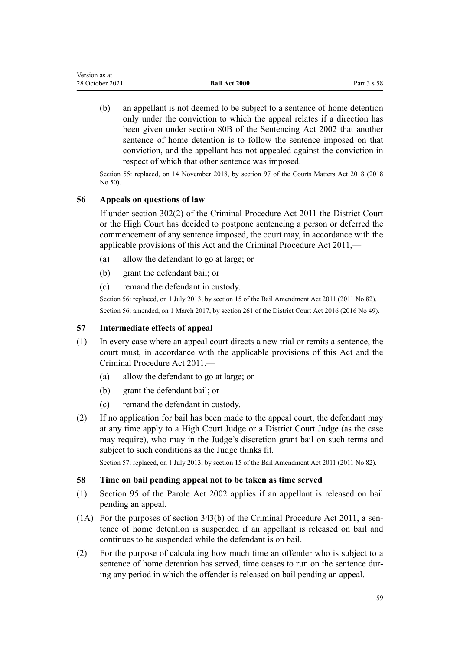| Version as at   |                      |             |
|-----------------|----------------------|-------------|
| 28 October 2021 | <b>Bail Act 2000</b> | Part 3 s 58 |

(b) an appellant is not deemed to be subject to a sentence of home detention only under the conviction to which the appeal relates if a direction has been given under [section 80B](http://legislation.govt.nz/pdflink.aspx?id=DLM136402) of the Sentencing Act 2002 that another sentence of home detention is to follow the sentence imposed on that conviction, and the appellant has not appealed against the conviction in respect of which that other sentence was imposed.

Section 55: replaced, on 14 November 2018, by [section 97](http://legislation.govt.nz/pdflink.aspx?id=DLM7371803) of the Courts Matters Act 2018 (2018 No 50).

## **56 Appeals on questions of law**

If under [section 302\(2\)](http://legislation.govt.nz/pdflink.aspx?id=DLM3360490) of the Criminal Procedure Act 2011 the District Court or the High Court has decided to postpone sentencing a person or deferred the commencement of any sentence imposed, the court may, in accordance with the applicable provisions of this Act and the Criminal Procedure Act 2011,—

- (a) allow the defendant to go at large; or
- (b) grant the defendant bail; or
- (c) remand the defendant in custody.

Section 56: replaced, on 1 July 2013, by [section 15](http://legislation.govt.nz/pdflink.aspx?id=DLM4057416) of the Bail Amendment Act 2011 (2011 No 82). Section 56: amended, on 1 March 2017, by [section 261](http://legislation.govt.nz/pdflink.aspx?id=DLM6942680) of the District Court Act 2016 (2016 No 49).

## **57 Intermediate effects of appeal**

- (1) In every case where an appeal court directs a new trial or remits a sentence, the court must, in accordance with the applicable provisions of this Act and the [Criminal Procedure Act 2011,](http://legislation.govt.nz/pdflink.aspx?id=DLM3359902)—
	- (a) allow the defendant to go at large; or
	- (b) grant the defendant bail; or
	- (c) remand the defendant in custody.
- (2) If no application for bail has been made to the appeal court, the defendant may at any time apply to a High Court Judge or a District Court Judge (as the case may require), who may in the Judge's discretion grant bail on such terms and subject to such conditions as the Judge thinks fit.

Section 57: replaced, on 1 July 2013, by [section 15](http://legislation.govt.nz/pdflink.aspx?id=DLM4057416) of the Bail Amendment Act 2011 (2011 No 82).

## **58 Time on bail pending appeal not to be taken as time served**

- (1) [Section 95](http://legislation.govt.nz/pdflink.aspx?id=DLM139375) of the Parole Act 2002 applies if an appellant is released on bail pending an appeal.
- (1A) For the purposes of section  $343(b)$  of the Criminal Procedure Act 2011, a sentence of home detention is suspended if an appellant is released on bail and continues to be suspended while the defendant is on bail.
- (2) For the purpose of calculating how much time an offender who is subject to a sentence of home detention has served, time ceases to run on the sentence during any period in which the offender is released on bail pending an appeal.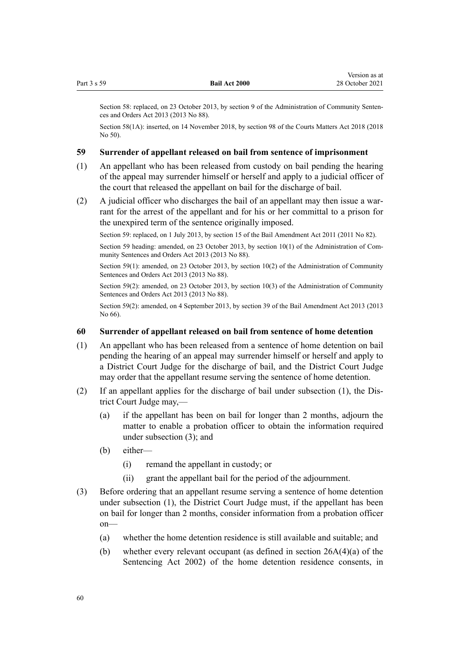|             |                      | Version as at   |
|-------------|----------------------|-----------------|
| Part 3 s 59 | <b>Bail Act 2000</b> | 28 October 2021 |
|             |                      |                 |

Section 58: replaced, on 23 October 2013, by [section 9](http://legislation.govt.nz/pdflink.aspx?id=DLM5342107) of the Administration of Community Sentences and Orders Act 2013 (2013 No 88).

Section 58(1A): inserted, on 14 November 2018, by [section 98](http://legislation.govt.nz/pdflink.aspx?id=DLM7371807) of the Courts Matters Act 2018 (2018 No 50).

### **59 Surrender of appellant released on bail from sentence of imprisonment**

- (1) An appellant who has been released from custody on bail pending the hearing of the appeal may surrender himself or herself and apply to a judicial officer of the court that released the appellant on bail for the discharge of bail.
- $(2)$  A judicial officer who discharges the bail of an appellant may then issue a warrant for the arrest of the appellant and for his or her committal to a prison for the unexpired term of the sentence originally imposed.

Section 59: replaced, on 1 July 2013, by [section 15](http://legislation.govt.nz/pdflink.aspx?id=DLM4057416) of the Bail Amendment Act 2011 (2011 No 82).

Section 59 heading: amended, on 23 October 2013, by [section 10\(1\)](http://legislation.govt.nz/pdflink.aspx?id=DLM5342109) of the Administration of Community Sentences and Orders Act 2013 (2013 No 88).

Section 59(1): amended, on 23 October 2013, by [section 10\(2\)](http://legislation.govt.nz/pdflink.aspx?id=DLM5342109) of the Administration of Community Sentences and Orders Act 2013 (2013 No 88).

Section 59(2): amended, on 23 October 2013, by [section 10\(3\)](http://legislation.govt.nz/pdflink.aspx?id=DLM5342109) of the Administration of Community Sentences and Orders Act 2013 (2013 No 88).

Section 59(2): amended, on 4 September 2013, by [section 39](http://legislation.govt.nz/pdflink.aspx?id=DLM4869220) of the Bail Amendment Act 2013 (2013 No 66).

#### **60 Surrender of appellant released on bail from sentence of home detention**

- (1) An appellant who has been released from a sentence of home detention on bail pending the hearing of an appeal may surrender himself or herself and apply to a District Court Judge for the discharge of bail, and the District Court Judge may order that the appellant resume serving the sentence of home detention.
- (2) If an appellant applies for the discharge of bail under subsection (1), the Dis‐ trict Court Judge may,—
	- (a) if the appellant has been on bail for longer than 2 months, adjourn the matter to enable a probation officer to obtain the information required under subsection (3); and
	- (b) either—
		- (i) remand the appellant in custody; or
		- (ii) grant the appellant bail for the period of the adjournment.
- (3) Before ordering that an appellant resume serving a sentence of home detention under subsection (1), the District Court Judge must, if the appellant has been on bail for longer than 2 months, consider information from a probation officer on—
	- (a) whether the home detention residence is still available and suitable; and
	- (b) whether every relevant occupant (as defined in [section 26A\(4\)\(a\)](http://legislation.govt.nz/pdflink.aspx?id=DLM135582) of the Sentencing Act 2002) of the home detention residence consents, in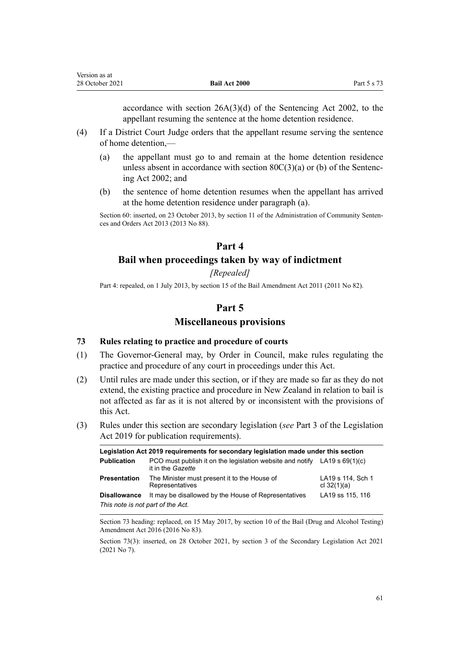accordance with section 26A(3)(d) of the Sentencing Act 2002, to the appellant resuming the sentence at the home detention residence.

- (4) If a District Court Judge orders that the appellant resume serving the sentence of home detention,—
	- (a) the appellant must go to and remain at the home detention residence unless absent in accordance with section  $80C(3)(a)$  or (b) of the Sentencing Act 2002; and
	- (b) the sentence of home detention resumes when the appellant has arrived at the home detention residence under paragraph (a).

Section 60: inserted, on 23 October 2013, by [section 11](http://legislation.govt.nz/pdflink.aspx?id=DLM5342110) of the Administration of Community Sentences and Orders Act 2013 (2013 No 88).

## **Part 4**

## **Bail when proceedings taken by way of indictment**

*[Repealed]*

Part 4: repealed, on 1 July 2013, by [section 15](http://legislation.govt.nz/pdflink.aspx?id=DLM4057416) of the Bail Amendment Act 2011 (2011 No 82).

## **Part 5**

## **Miscellaneous provisions**

#### **73 Rules relating to practice and procedure of courts**

- (1) The Governor-General may, by Order in Council, make rules regulating the practice and procedure of any court in proceedings under this Act.
- (2) Until rules are made under this section, or if they are made so far as they do not extend, the existing practice and procedure in New Zealand in relation to bail is not affected as far as it is not altered by or inconsistent with the provisions of this Act.
- (3) Rules under this section are secondary legislation (*see* [Part 3](http://legislation.govt.nz/pdflink.aspx?id=DLM7298343) of the Legislation Act 2019 for publication requirements).

| Legislation Act 2019 requirements for secondary legislation made under this section |                                                                                                  |                                    |  |
|-------------------------------------------------------------------------------------|--------------------------------------------------------------------------------------------------|------------------------------------|--|
| <b>Publication</b>                                                                  | PCO must publish it on the legislation website and notify LA19 s $69(1)(c)$<br>it in the Gazette |                                    |  |
| <b>Presentation</b>                                                                 | The Minister must present it to the House of<br>Representatives                                  | LA19 s 114, Sch 1<br>cl $32(1)(a)$ |  |
| <b>Disallowance</b>                                                                 | It may be disallowed by the House of Representatives                                             | LA19 ss 115, 116                   |  |
| This note is not part of the Act.                                                   |                                                                                                  |                                    |  |

Section 73 heading: replaced, on 15 May 2017, by [section 10](http://legislation.govt.nz/pdflink.aspx?id=DLM7017043) of the Bail (Drug and Alcohol Testing) Amendment Act 2016 (2016 No 83).

Section 73(3): inserted, on 28 October 2021, by [section 3](http://legislation.govt.nz/pdflink.aspx?id=LMS268932) of the Secondary Legislation Act 2021 (2021 No 7).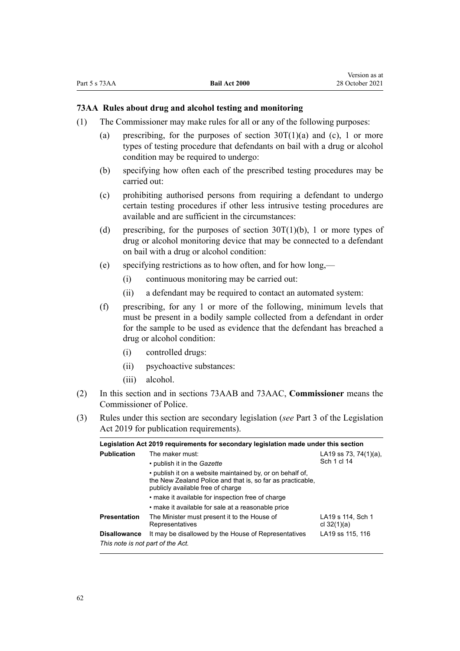### <span id="page-61-0"></span>**73AA Rules about drug and alcohol testing and monitoring**

- (1) The Commissioner may make rules for all or any of the following purposes:
	- (a) prescribing, for the purposes of section  $30T(1)(a)$  and (c), 1 or more types of testing procedure that defendants on bail with a drug or alcohol condition may be required to undergo:
	- (b) specifying how often each of the prescribed testing procedures may be carried out:
	- (c) prohibiting authorised persons from requiring a defendant to undergo certain testing procedures if other less intrusive testing procedures are available and are sufficient in the circumstances:
	- (d) prescribing, for the purposes of section  $30T(1)(b)$ , 1 or more types of drug or alcohol monitoring device that may be connected to a defendant on bail with a drug or alcohol condition:
	- (e) specifying restrictions as to how often, and for how long,—
		- (i) continuous monitoring may be carried out:
		- (ii) a defendant may be required to contact an automated system:
	- (f) prescribing, for any 1 or more of the following, minimum levels that must be present in a bodily sample collected from a defendant in order for the sample to be used as evidence that the defendant has breached a drug or alcohol condition:
		- (i) controlled drugs:
		- (ii) psychoactive substances:
		- (iii) alcohol.
- (2) In this section and in [sections 73AAB](#page-62-0) and [73AAC,](#page-62-0) **Commissioner** means the Commissioner of Police.
- (3) Rules under this section are secondary legislation (*see* [Part 3](http://legislation.govt.nz/pdflink.aspx?id=DLM7298343) of the Legislation Act 2019 for publication requirements).

|                                   | Legislation Act 2019 requirements for secondary legislation made under this section                                                                          |                                    |  |
|-----------------------------------|--------------------------------------------------------------------------------------------------------------------------------------------------------------|------------------------------------|--|
| <b>Publication</b>                | The maker must:                                                                                                                                              | LA19 ss 73, 74(1)(a),              |  |
|                                   | • publish it in the <i>Gazette</i>                                                                                                                           | Sch 1 cl 14                        |  |
|                                   | • publish it on a website maintained by, or on behalf of,<br>the New Zealand Police and that is, so far as practicable,<br>publicly available free of charge |                                    |  |
|                                   | • make it available for inspection free of charge                                                                                                            |                                    |  |
|                                   | • make it available for sale at a reasonable price                                                                                                           |                                    |  |
| <b>Presentation</b>               | The Minister must present it to the House of<br>Representatives                                                                                              | LA19 s 114. Sch 1<br>cl $32(1)(a)$ |  |
| <b>Disallowance</b>               | It may be disallowed by the House of Representatives                                                                                                         | LA19 ss 115, 116                   |  |
| This note is not part of the Act. |                                                                                                                                                              |                                    |  |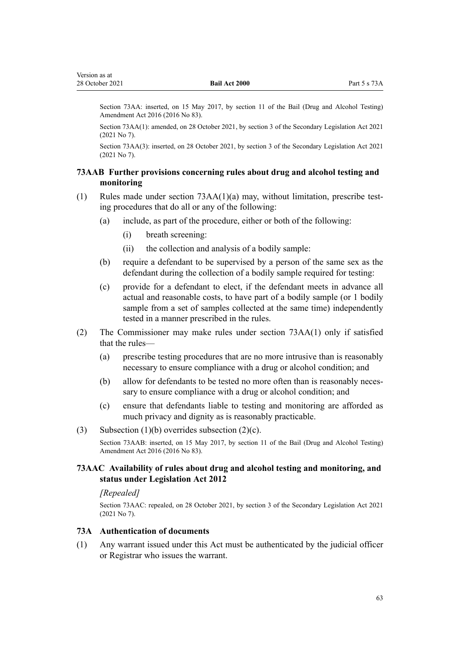<span id="page-62-0"></span>Section 73AA: inserted, on 15 May 2017, by [section 11](http://legislation.govt.nz/pdflink.aspx?id=DLM7017044) of the Bail (Drug and Alcohol Testing) Amendment Act 2016 (2016 No 83).

Section 73AA(1): amended, on 28 October 2021, by [section 3](http://legislation.govt.nz/pdflink.aspx?id=LMS268932) of the Secondary Legislation Act 2021 (2021 No 7).

Section 73AA(3): inserted, on 28 October 2021, by [section 3](http://legislation.govt.nz/pdflink.aspx?id=LMS268932) of the Secondary Legislation Act 2021 (2021 No 7).

## **73AAB Further provisions concerning rules about drug and alcohol testing and monitoring**

- (1) Rules made under section  $73AA(1)(a)$  may, without limitation, prescribe testing procedures that do all or any of the following:
	- (a) include, as part of the procedure, either or both of the following:
		- (i) breath screening:
		- (ii) the collection and analysis of a bodily sample:
	- (b) require a defendant to be supervised by a person of the same sex as the defendant during the collection of a bodily sample required for testing:
	- (c) provide for a defendant to elect, if the defendant meets in advance all actual and reasonable costs, to have part of a bodily sample (or 1 bodily sample from a set of samples collected at the same time) independently tested in a manner prescribed in the rules.
- (2) The Commissioner may make rules under [section 73AA\(1\)](#page-61-0) only if satisfied that the rules—
	- (a) prescribe testing procedures that are no more intrusive than is reasonably necessary to ensure compliance with a drug or alcohol condition; and
	- (b) allow for defendants to be tested no more often than is reasonably necessary to ensure compliance with a drug or alcohol condition; and
	- (c) ensure that defendants liable to testing and monitoring are afforded as much privacy and dignity as is reasonably practicable.

## (3) Subsection  $(1)(b)$  overrides subsection  $(2)(c)$ .

Section 73AAB: inserted, on 15 May 2017, by [section 11](http://legislation.govt.nz/pdflink.aspx?id=DLM7017044) of the Bail (Drug and Alcohol Testing) Amendment Act 2016 (2016 No 83).

### **73AAC Availability of rules about drug and alcohol testing and monitoring, and status under Legislation Act 2012**

## *[Repealed]*

Section 73AAC: repealed, on 28 October 2021, by [section 3](http://legislation.govt.nz/pdflink.aspx?id=LMS268932) of the Secondary Legislation Act 2021 (2021 No 7).

## **73A Authentication of documents**

(1) Any warrant issued under this Act must be authenticated by the judicial officer or Registrar who issues the warrant.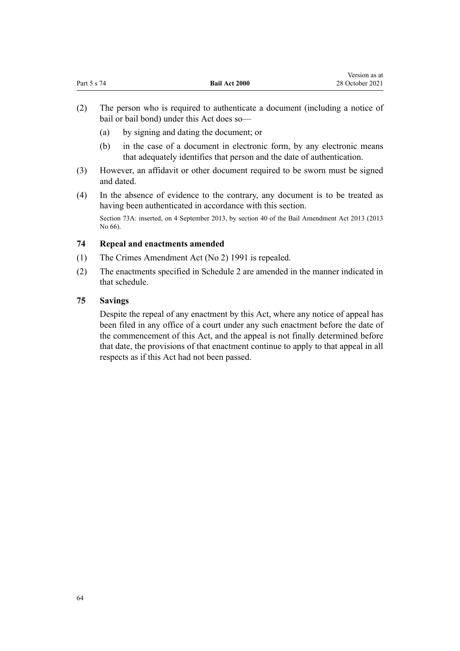<span id="page-63-0"></span>

| Part 5 s 74 | <b>Bail Act 2000</b> | $1.0101011$ as at<br>28 October 2021 |
|-------------|----------------------|--------------------------------------|
|             |                      |                                      |

Version as at

- (2) The person who is required to authenticate a document (including a notice of bail or bail bond) under this Act does so—
	- (a) by signing and dating the document; or
	- (b) in the case of a document in electronic form, by any electronic means that adequately identifies that person and the date of authentication.
- (3) However, an affidavit or other document required to be sworn must be signed and dated.
- (4) In the absence of evidence to the contrary, any document is to be treated as having been authenticated in accordance with this section.

Section 73A: inserted, on 4 September 2013, by [section 40](http://legislation.govt.nz/pdflink.aspx?id=DLM4869222) of the Bail Amendment Act 2013 (2013 No 66).

## **74 Repeal and enactments amended**

- (1) The Crimes Amendment Act (No 2) 1991 is repealed.
- (2) The enactments specified in [Schedule 2](#page-67-0) are amended in the manner indicated in that schedule.

## **75 Savings**

Despite the repeal of any enactment by this Act, where any notice of appeal has been filed in any office of a court under any such enactment before the date of the commencement of this Act, and the appeal is not finally determined before that date, the provisions of that enactment continue to apply to that appeal in all respects as if this Act had not been passed.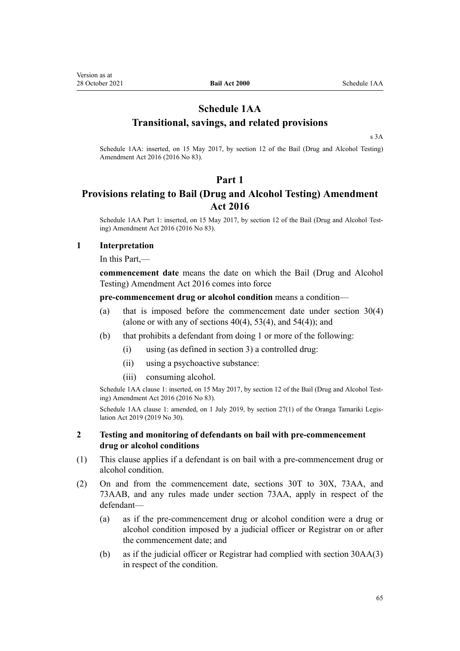## **Schedule 1AA Transitional, savings, and related provisions**

[s 3A](#page-9-0)

Schedule 1AA: inserted, on 15 May 2017, by [section 12](http://legislation.govt.nz/pdflink.aspx?id=DLM7017049) of the Bail (Drug and Alcohol Testing) Amendment Act 2016 (2016 No 83).

## **Part 1**

## **Provisions relating to Bail (Drug and Alcohol Testing) Amendment Act 2016**

Schedule 1AA Part 1: inserted, on 15 May 2017, by [section 12](http://legislation.govt.nz/pdflink.aspx?id=DLM7017049) of the Bail (Drug and Alcohol Testing) Amendment Act 2016 (2016 No 83).

### **1 Interpretation**

In this Part,—

**commencement date** means the date on which the [Bail \(Drug and Alcohol](http://legislation.govt.nz/pdflink.aspx?id=DLM6223130) [Testing\) Amendment Act 2016](http://legislation.govt.nz/pdflink.aspx?id=DLM6223130) comes into force

**pre-commencement drug or alcohol condition** means a condition—

- (a) that is imposed before the commencement date under [section 30\(4\)](#page-26-0) (alone or with any of sections  $40(4)$ ,  $53(4)$ , and  $54(4)$ ); and
- (b) that prohibits a defendant from doing 1 or more of the following:
	- (i) using (as defined in [section 3\)](#page-5-0) a controlled drug:
	- (ii) using a psychoactive substance:
	- (iii) consuming alcohol.

Schedule 1AA clause 1: inserted, on 15 May 2017, by [section 12](http://legislation.govt.nz/pdflink.aspx?id=DLM7017049) of the Bail (Drug and Alcohol Testing) Amendment Act 2016 (2016 No 83).

Schedule 1AA clause 1: amended, on 1 July 2019, by [section 27\(1\)](http://legislation.govt.nz/pdflink.aspx?id=LMS158695) of the Oranga Tamariki Legislation Act 2019 (2019 No 30).

## **2 Testing and monitoring of defendants on bail with pre-commencement drug or alcohol conditions**

- (1) This clause applies if a defendant is on bail with a pre-commencement drug or alcohol condition.
- (2) On and from the commencement date, [sections 30T to 30X,](#page-35-0) [73AA](#page-61-0), and [73AAB,](#page-62-0) and any rules made under section 73AA, apply in respect of the defendant—
	- (a) as if the pre-commencement drug or alcohol condition were a drug or alcohol condition imposed by a judicial officer or Registrar on or after the commencement date; and
	- (b) as if the judicial officer or Registrar had complied with [section 30AA\(3\)](#page-27-0) in respect of the condition.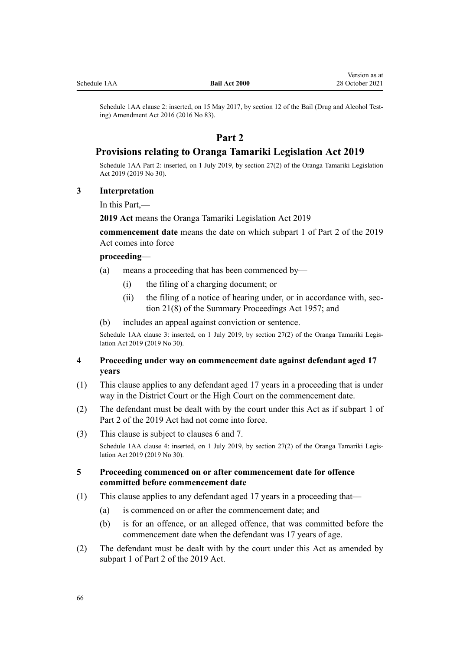## **Part 2**

## **Provisions relating to Oranga Tamariki Legislation Act 2019**

Schedule 1AA Part 2: inserted, on 1 July 2019, by [section 27\(2\)](http://legislation.govt.nz/pdflink.aspx?id=LMS158695) of the Oranga Tamariki Legislation Act 2019 (2019 No 30).

## **3 Interpretation**

In this Part,—

**2019 Act** means the [Oranga Tamariki Legislation Act 2019](http://legislation.govt.nz/pdflink.aspx?id=LMS158643)

**commencement date** means the date on which [subpart 1](http://legislation.govt.nz/pdflink.aspx?id=LMS158696) of Part 2 of the 2019 Act comes into force

### **proceeding**—

- (a) means a proceeding that has been commenced by—
	- (i) the filing of a charging document; or
	- (ii) the filing of a notice of hearing under, or in accordance with, sec[tion 21\(8\)](http://legislation.govt.nz/pdflink.aspx?id=DLM311346) of the Summary Proceedings Act 1957; and
- (b) includes an appeal against conviction or sentence.

Schedule 1AA clause 3: inserted, on 1 July 2019, by [section 27\(2\)](http://legislation.govt.nz/pdflink.aspx?id=LMS158695) of the Oranga Tamariki Legislation Act 2019 (2019 No 30).

## **4 Proceeding under way on commencement date against defendant aged 17 years**

- (1) This clause applies to any defendant aged 17 years in a proceeding that is under way in the District Court or the High Court on the commencement date.
- (2) The defendant must be dealt with by the court under this Act as if [subpart 1](http://legislation.govt.nz/pdflink.aspx?id=LMS158696) of Part 2 of the 2019 Act had not come into force.
- (3) This clause is subject to [clauses 6](#page-66-0) and [7.](#page-66-0)

Schedule 1AA clause 4: inserted, on 1 July 2019, by [section 27\(2\)](http://legislation.govt.nz/pdflink.aspx?id=LMS158695) of the Oranga Tamariki Legislation Act 2019 (2019 No 30).

## **5 Proceeding commenced on or after commencement date for offence committed before commencement date**

- (1) This clause applies to any defendant aged 17 years in a proceeding that—
	- (a) is commenced on or after the commencement date; and
	- (b) is for an offence, or an alleged offence, that was committed before the commencement date when the defendant was 17 years of age.
- (2) The defendant must be dealt with by the court under this Act as amended by [subpart 1](http://legislation.govt.nz/pdflink.aspx?id=LMS158696) of Part 2 of the 2019 Act.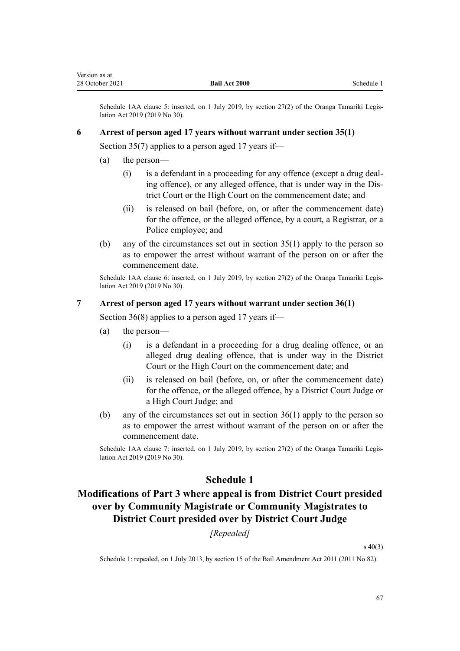<span id="page-66-0"></span>Schedule 1AA clause 5: inserted, on 1 July 2019, by section  $27(2)$  of the Oranga Tamariki Legislation Act 2019 (2019 No 30).

### **6 Arrest of person aged 17 years without warrant under section 35(1)**

[Section 35\(7\)](#page-43-0) applies to a person aged 17 years if—

- (a) the person—
	- (i) is a defendant in a proceeding for any offence (except a drug deal‐ ing offence), or any alleged offence, that is under way in the Dis‐ trict Court or the High Court on the commencement date; and
	- (ii) is released on bail (before, on, or after the commencement date) for the offence, or the alleged offence, by a court, a Registrar, or a Police employee; and
- (b) any of the circumstances set out in [section 35\(1\)](#page-43-0) apply to the person so as to empower the arrest without warrant of the person on or after the commencement date.

Schedule 1AA clause 6: inserted, on 1 July 2019, by [section 27\(2\)](http://legislation.govt.nz/pdflink.aspx?id=LMS158695) of the Oranga Tamariki Legislation Act 2019 (2019 No 30).

### **7 Arrest of person aged 17 years without warrant under section 36(1)**

[Section 36\(8\)](#page-44-0) applies to a person aged 17 years if—

- (a) the person—
	- (i) is a defendant in a proceeding for a drug dealing offence, or an alleged drug dealing offence, that is under way in the District Court or the High Court on the commencement date; and
	- (ii) is released on bail (before, on, or after the commencement date) for the offence, or the alleged offence, by a District Court Judge or a High Court Judge; and
- (b) any of the circumstances set out in section  $36(1)$  apply to the person so as to empower the arrest without warrant of the person on or after the commencement date.

Schedule 1AA clause 7: inserted, on 1 July 2019, by [section 27\(2\)](http://legislation.govt.nz/pdflink.aspx?id=LMS158695) of the Oranga Tamariki Legislation Act 2019 (2019 No 30).

## **Schedule 1**

## **Modifications of Part 3 where appeal is from District Court presided over by Community Magistrate or Community Magistrates to District Court presided over by District Court Judge**

*[Repealed]*

[s 40\(3\)](#page-49-0)

Schedule 1: repealed, on 1 July 2013, by [section 15](http://legislation.govt.nz/pdflink.aspx?id=DLM4057416) of the Bail Amendment Act 2011 (2011 No 82).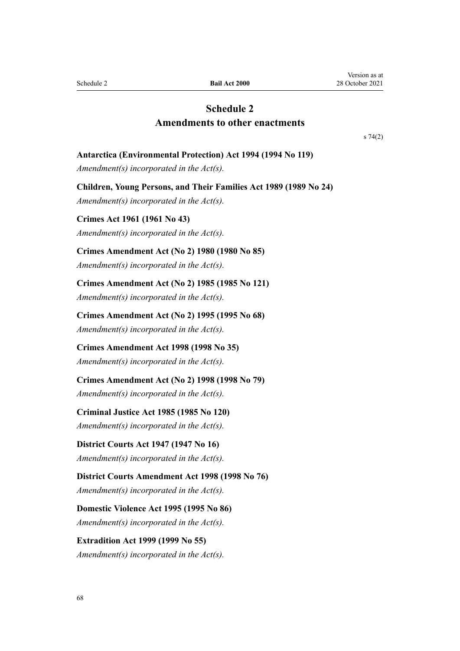<span id="page-67-0"></span>Schedule 2 **Bail Act 2000**

## **Schedule 2 Amendments to other enactments**

[s 74\(2\)](#page-63-0)

### **Antarctica (Environmental Protection) Act 1994 (1994 No 119)**

*Amendment(s) incorporated in the [Act\(s\).](http://legislation.govt.nz/pdflink.aspx?id=DLM343606)*

**Children, Young Persons, and Their Families Act 1989 (1989 No 24)** *Amendment(s) incorporated in the [Act\(s\).](http://legislation.govt.nz/pdflink.aspx?id=DLM147087)*

**Crimes Act 1961 (1961 No 43)** *Amendment(s) incorporated in the [Act\(s\).](http://legislation.govt.nz/pdflink.aspx?id=DLM327381)*

## **Crimes Amendment Act (No 2) 1980 (1980 No 85)**

*Amendment(s) incorporated in the Act(s).*

**Crimes Amendment Act (No 2) 1985 (1985 No 121)**

*Amendment(s) incorporated in the [Act\(s\).](http://legislation.govt.nz/pdflink.aspx?id=DLM79191)*

#### **Crimes Amendment Act (No 2) 1995 (1995 No 68)**

*Amendment(s) incorporated in the [Act\(s\).](http://legislation.govt.nz/pdflink.aspx?id=DLM371237)*

**Crimes Amendment Act 1998 (1998 No 35)**

*Amendment(s) incorporated in the [Act\(s\).](http://legislation.govt.nz/pdflink.aspx?id=DLM426415)*

**Crimes Amendment Act (No 2) 1998 (1998 No 79)**

*Amendment(s) incorporated in the [Act\(s\).](http://legislation.govt.nz/pdflink.aspx?id=DLM428123)*

### **Criminal Justice Act 1985 (1985 No 120)**

*Amendment(s) incorporated in the [Act\(s\).](http://legislation.govt.nz/pdflink.aspx?id=DLM78558)*

## **District Courts Act 1947 (1947 No 16)**

*Amendment(s) incorporated in the [Act\(s\).](http://legislation.govt.nz/pdflink.aspx?id=DLM242775)*

**District Courts Amendment Act 1998 (1998 No 76)** *Amendment(s) incorporated in the [Act\(s\).](http://legislation.govt.nz/pdflink.aspx?id=DLM427921)*

**Domestic Violence Act 1995 (1995 No 86)** *Amendment(s) incorporated in the [Act\(s\).](http://legislation.govt.nz/pdflink.aspx?id=DLM372400)*

**Extradition Act 1999 (1999 No 55)** *Amendment(s) incorporated in the [Act\(s\).](http://legislation.govt.nz/pdflink.aspx?id=DLM25627)*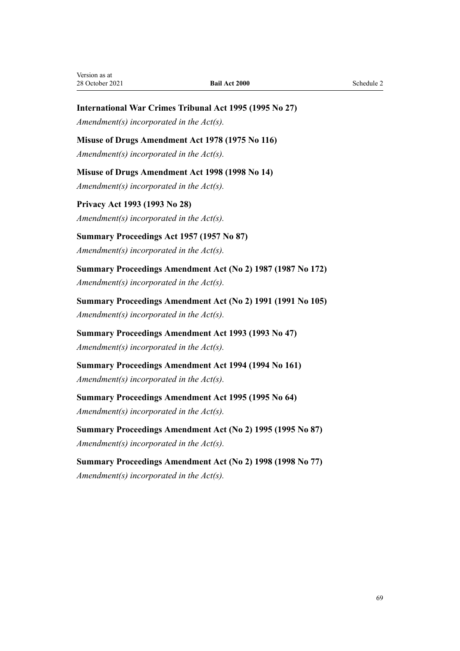## **International War Crimes Tribunal Act 1995 (1995 No 27)**

*Amendment(s) incorporated in the [Act\(s\).](http://legislation.govt.nz/pdflink.aspx?id=DLM365060)*

## **Misuse of Drugs Amendment Act 1978 (1975 No 116)**

*Amendment(s) incorporated in the [Act\(s\).](http://legislation.govt.nz/pdflink.aspx?id=DLM23690)*

**Misuse of Drugs Amendment Act 1998 (1998 No 14)**

*Amendment(s) incorporated in the [Act\(s\).](http://legislation.govt.nz/pdflink.aspx?id=DLM425332)*

**Privacy Act 1993 (1993 No 28)** *Amendment(s) incorporated in the [Act\(s\).](http://legislation.govt.nz/pdflink.aspx?id=DLM298798)*

**Summary Proceedings Act 1957 (1957 No 87)** *Amendment(s) incorporated in the [Act\(s\).](http://legislation.govt.nz/pdflink.aspx?id=DLM311134)*

**Summary Proceedings Amendment Act (No 2) 1987 (1987 No 172)** *Amendment(s) incorporated in the Act(s).*

**Summary Proceedings Amendment Act (No 2) 1991 (1991 No 105)** *Amendment(s) incorporated in the Act(s).*

**Summary Proceedings Amendment Act 1993 (1993 No 47)** *Amendment(s) incorporated in the [Act\(s\).](http://legislation.govt.nz/pdflink.aspx?id=DLM302508)*

**Summary Proceedings Amendment Act 1994 (1994 No 161)** *Amendment(s) incorporated in the Act(s).*

**Summary Proceedings Amendment Act 1995 (1995 No 64)** *Amendment(s) incorporated in the [Act\(s\).](http://legislation.govt.nz/pdflink.aspx?id=DLM371094)*

**Summary Proceedings Amendment Act (No 2) 1995 (1995 No 87)** *Amendment(s) incorporated in the Act(s).*

**Summary Proceedings Amendment Act (No 2) 1998 (1998 No 77)** *Amendment(s) incorporated in the [Act\(s\).](http://legislation.govt.nz/pdflink.aspx?id=DLM427945)*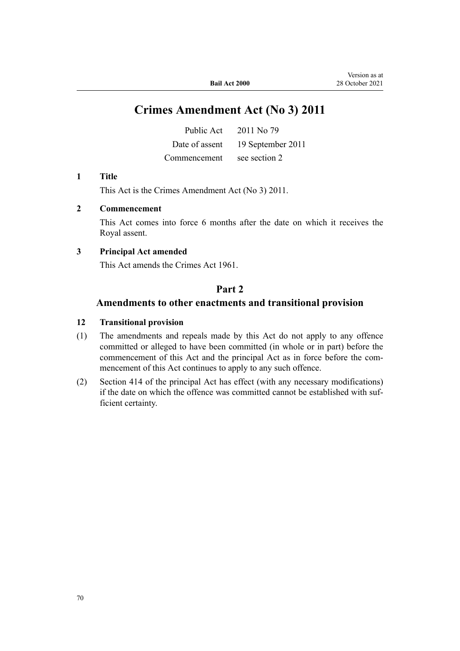# **Crimes Amendment Act (No 3) 2011**

|              | Public Act $2011$ No 79          |
|--------------|----------------------------------|
|              | Date of assent 19 September 2011 |
| Commencement | see section 2                    |

### **1 Title**

This Act is the [Crimes Amendment Act \(No 3\) 2011.](http://legislation.govt.nz/pdflink.aspx?id=DLM3650002)

## **2 Commencement**

This Act comes into force 6 months after the date on which it receives the Royal assent.

## **3 Principal Act amended**

This Act amends the Crimes Act 1961.

## **Part 2**

## **Amendments to other enactments and transitional provision**

### **12 Transitional provision**

- (1) The amendments and repeals made by this Act do not apply to any offence committed or alleged to have been committed (in whole or in part) before the commencement of this Act and the principal Act as in force before the commencement of this Act continues to apply to any such offence.
- (2) Section 414 of the principal Act has effect (with any necessary modifications) if the date on which the offence was committed cannot be established with sufficient certainty.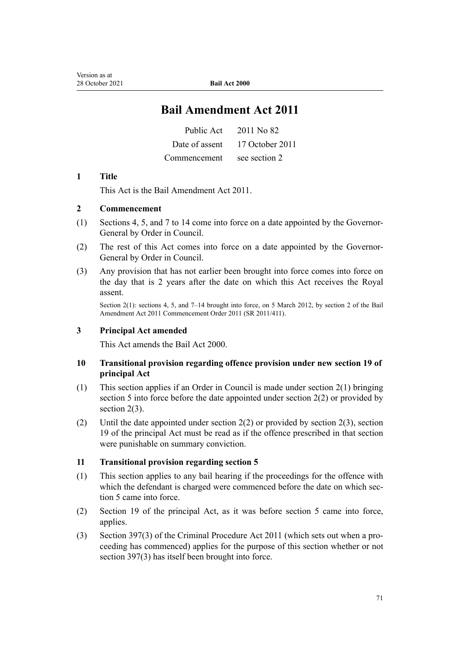# **Bail Amendment Act 2011**

| Public Act   | 2011 No 82                     |
|--------------|--------------------------------|
|              | Date of assent 17 October 2011 |
| Commencement | see section 2                  |

## **1 Title**

This Act is the [Bail Amendment Act 2011](http://legislation.govt.nz/pdflink.aspx?id=DLM4057400).

## **2 Commencement**

- (1) Sections 4, 5, and 7 to 14 come into force on a date appointed by the Governor-General by Order in Council.
- (2) The rest of this Act comes into force on a date appointed by the Governor-General by Order in Council.
- (3) Any provision that has not earlier been brought into force comes into force on the day that is 2 years after the date on which this Act receives the Royal assent.

Section 2(1): sections 4, 5, and 7–14 brought into force, on 5 March 2012, by [section 2](http://legislation.govt.nz/pdflink.aspx?id=DLM4153512) of the Bail Amendment Act 2011 Commencement Order 2011 (SR 2011/411).

## **3 Principal Act amended**

This Act amends the Bail Act 2000.

## **10 Transitional provision regarding offence provision under new section 19 of principal Act**

- (1) This section applies if an Order in Council is made under section 2(1) bringing section 5 into force before the date appointed under section 2(2) or provided by section 2(3).
- (2) Until the date appointed under section 2(2) or provided by section 2(3), section 19 of the principal Act must be read as if the offence prescribed in that section were punishable on summary conviction.

## **11 Transitional provision regarding section 5**

- (1) This section applies to any bail hearing if the proceedings for the offence with which the defendant is charged were commenced before the date on which section 5 came into force.
- (2) Section 19 of the principal Act, as it was before section 5 came into force, applies.
- (3) Section 397(3) of the Criminal Procedure Act 2011 (which sets out when a pro‐ ceeding has commenced) applies for the purpose of this section whether or not section 397(3) has itself been brought into force.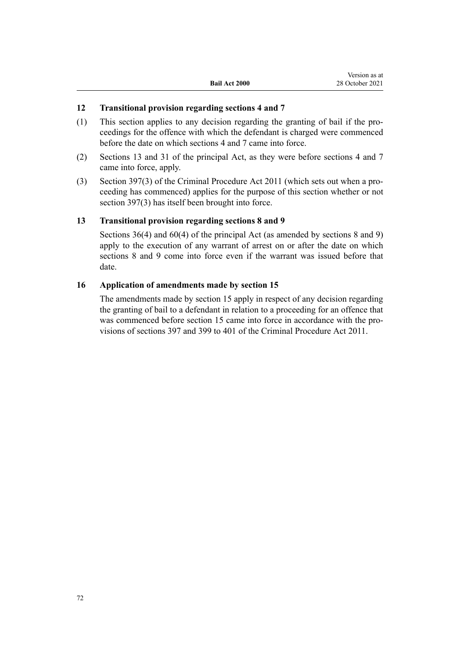Version as at

## **12 Transitional provision regarding sections 4 and 7**

(1) This section applies to any decision regarding the granting of bail if the pro‐ ceedings for the offence with which the defendant is charged were commenced before the date on which sections 4 and 7 came into force.

**Bail Act 2000**

- (2) Sections 13 and 31 of the principal Act, as they were before sections 4 and 7 came into force, apply.
- (3) Section 397(3) of the Criminal Procedure Act 2011 (which sets out when a pro‐ ceeding has commenced) applies for the purpose of this section whether or not section 397(3) has itself been brought into force.

## **13 Transitional provision regarding sections 8 and 9**

Sections 36(4) and 60(4) of the principal Act (as amended by sections 8 and 9) apply to the execution of any warrant of arrest on or after the date on which sections 8 and 9 come into force even if the warrant was issued before that date.

### **16 Application of amendments made by section 15**

The amendments made by section 15 apply in respect of any decision regarding the granting of bail to a defendant in relation to a proceeding for an offence that was commenced before section 15 came into force in accordance with the provisions of sections 397 and 399 to 401 of the Criminal Procedure Act 2011.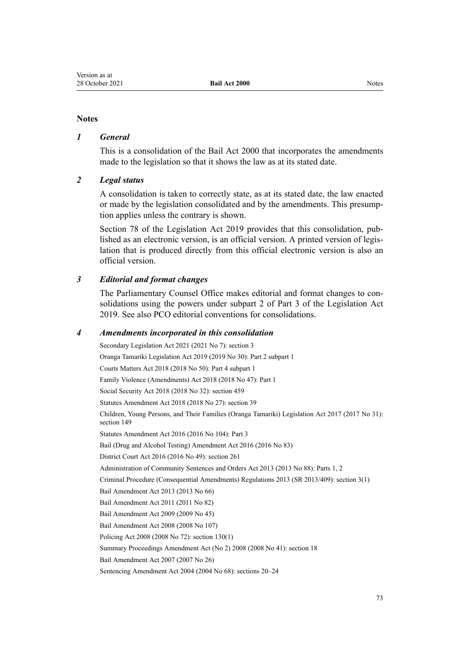# **Notes**

# *1 General*

This is a consolidation of the Bail Act 2000 that incorporates the amendments made to the legislation so that it shows the law as at its stated date.

### *2 Legal status*

A consolidation is taken to correctly state, as at its stated date, the law enacted or made by the legislation consolidated and by the amendments. This presump‐ tion applies unless the contrary is shown.

[Section 78](http://legislation.govt.nz/pdflink.aspx?id=DLM7298365) of the Legislation Act 2019 provides that this consolidation, pub‐ lished as an electronic version, is an official version. A printed version of legis‐ lation that is produced directly from this official electronic version is also an official version.

# *3 Editorial and format changes*

The Parliamentary Counsel Office makes editorial and format changes to consolidations using the powers under [subpart 2](http://legislation.govt.nz/pdflink.aspx?id=DLM7298371) of Part 3 of the Legislation Act 2019. See also [PCO editorial conventions for consolidations](http://www.pco.govt.nz/editorial-conventions/).

#### *4 Amendments incorporated in this consolidation*

Secondary Legislation Act 2021 (2021 No 7): [section 3](http://legislation.govt.nz/pdflink.aspx?id=LMS268932) Oranga Tamariki Legislation Act 2019 (2019 No 30): Part 2 [subpart 1](http://legislation.govt.nz/pdflink.aspx?id=LMS158696) Courts Matters Act 2018 (2018 No 50): Part 4 [subpart 1](http://legislation.govt.nz/pdflink.aspx?id=DLM7371790) Family Violence (Amendments) Act 2018 (2018 No 47): [Part 1](http://legislation.govt.nz/pdflink.aspx?id=LMS113459) Social Security Act 2018 (2018 No 32): [section 459](http://legislation.govt.nz/pdflink.aspx?id=DLM6784038) Statutes Amendment Act 2018 (2018 No 27): [section 39](http://legislation.govt.nz/pdflink.aspx?id=DLM7227102) Children, Young Persons, and Their Families (Oranga Tamariki) Legislation Act 2017 (2017 No 31): [section 149](http://legislation.govt.nz/pdflink.aspx?id=DLM151050) Statutes Amendment Act 2016 (2016 No 104): [Part 3](http://legislation.govt.nz/pdflink.aspx?id=DLM6623740) [Bail \(Drug and Alcohol Testing\) Amendment Act 2016](http://legislation.govt.nz/pdflink.aspx?id=DLM6223130) (2016 No 83) District Court Act 2016 (2016 No 49): [section 261](http://legislation.govt.nz/pdflink.aspx?id=DLM6942680) Administration of Community Sentences and Orders Act 2013 (2013 No 88): [Parts 1,](http://legislation.govt.nz/pdflink.aspx?id=DLM4088213) [2](http://legislation.govt.nz/pdflink.aspx?id=DLM5342102) Criminal Procedure (Consequential Amendments) Regulations 2013 (SR 2013/409): [section 3\(1\)](http://legislation.govt.nz/pdflink.aspx?id=DLM5642106) [Bail Amendment Act 2013](http://legislation.govt.nz/pdflink.aspx?id=DLM4454102) (2013 No 66) [Bail Amendment Act 2011](http://legislation.govt.nz/pdflink.aspx?id=DLM4057400) (2011 No 82) [Bail Amendment Act 2009](http://legislation.govt.nz/pdflink.aspx?id=DLM2473202) (2009 No 45) [Bail Amendment Act 2008](http://legislation.govt.nz/pdflink.aspx?id=DLM1764000) (2008 No 107) Policing Act 2008 (2008 No 72): [section 130\(1\)](http://legislation.govt.nz/pdflink.aspx?id=DLM1102383) Summary Proceedings Amendment Act (No 2) 2008 (2008 No 41): [section 18](http://legislation.govt.nz/pdflink.aspx?id=DLM1380050) [Bail Amendment Act 2007](http://legislation.govt.nz/pdflink.aspx?id=DLM410214) (2007 No 26) Sentencing Amendment Act 2004 (2004 No 68): [sections 20–24](http://legislation.govt.nz/pdflink.aspx?id=DLM304804)